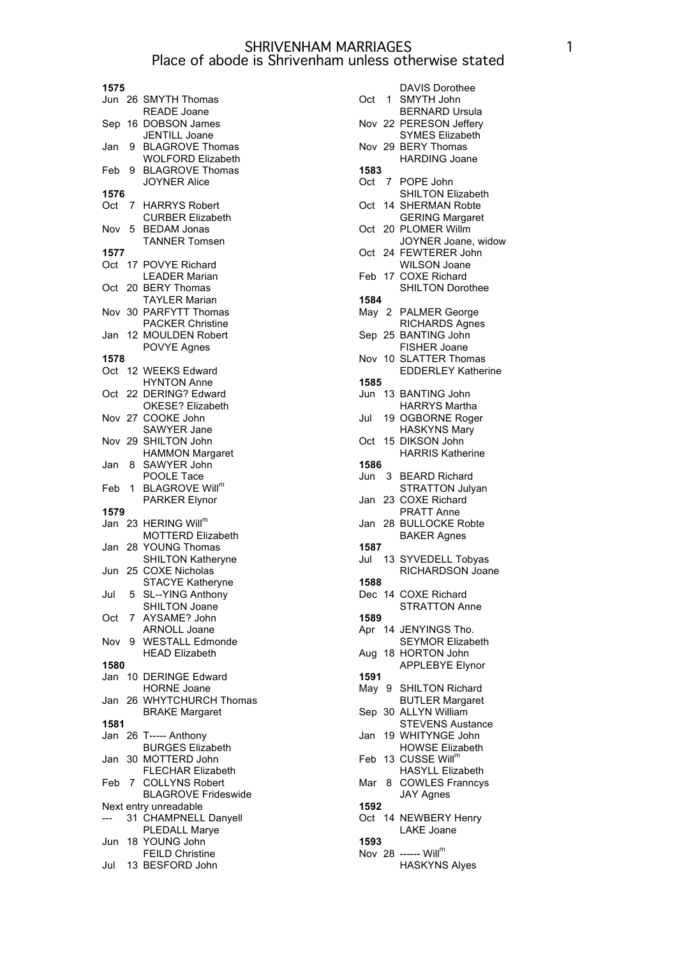| 1575   |             |                                                                           |
|--------|-------------|---------------------------------------------------------------------------|
|        |             | Jun 26 SMYTH Thomas<br><b>READE Joane</b>                                 |
| Sep 16 |             | <b>DOBSON James</b>                                                       |
| Jan    | 9           | JENTILL Joane<br><b>BLAGROVE Thomas</b>                                   |
| Feb    | 9           | <b>WOLFORD Elizabeth</b><br><b>BLAGROVE Thomas</b><br><b>JOYNER Alice</b> |
| 1576   |             |                                                                           |
| Oct    | $7^{\circ}$ | <b>HARRYS Robert</b><br><b>CURBER Elizabeth</b>                           |
| Nov    | 5           | <b>BEDAM Jonas</b><br><b>TANNER Tomsen</b>                                |
| 1577   |             |                                                                           |
|        |             | Oct 17 POVYE Richard                                                      |
| Oct 20 |             | <b>LEADER Marian</b><br><b>BERY Thomas</b>                                |
|        |             | <b>TAYLER Marian</b><br>Nov 30 PARFYTT Thomas                             |
| Jan    | 12.         | <b>PACKER Christine</b><br><b>MOULDEN Robert</b>                          |
|        |             | POVYE Agnes                                                               |
| 1578   |             |                                                                           |
| Oct    |             | 12 WEEKS Edward                                                           |
|        |             | <b>HYNTON Anne</b>                                                        |
| Oct 22 |             | DERING? Edward                                                            |
|        |             | OKESE? Elizabeth<br>Nov 27 COOKE John                                     |
|        |             | SAWYER Jane                                                               |
| Nov 29 |             | SHILTON John                                                              |
|        |             | <b>HAMMON Margaret</b><br>SAWYER John                                     |
| Jan    | -8          | POOLE Tace                                                                |
| Feb    | 1           | <b>BLAGROVE Will<sup>m</sup></b>                                          |
|        |             | <b>PARKER Elynor</b>                                                      |
| 1579   |             |                                                                           |
|        |             | Jan 23 HERING Will <sup>m</sup>                                           |
|        |             | <b>MOTTERD Elizabeth</b><br>Jan 28 YOUNG Thomas                           |
|        |             | <b>SHILTON Katheryne</b>                                                  |
|        |             | Jun 25 COXE Nicholas<br>STACYE Katheryne                                  |
| Jul    | 5           | SL--YING Anthony<br>SHILTON Joane                                         |
| Oct    | 7           | AYSAME? John<br><b>ARNOLL Joane</b>                                       |
| Nov    | 9           | <b>WESTALL Edmonde</b><br><b>HEAD Elizabeth</b>                           |
| 1580   |             |                                                                           |
| Jan    |             | 10 DERINGE Edward                                                         |
|        |             | <b>HORNE Joane</b>                                                        |
| Jan    |             | 26 WHYTCHURCH Thomas<br><b>BRAKE Margaret</b>                             |
| 1581   |             |                                                                           |
| Jan    |             | 26 T----- Anthony<br><b>BURGES Elizabeth</b>                              |
| Jan    | 30          | MOTTERD John<br><b>FLECHAR Elizabeth</b>                                  |
| Feb 7  |             | <b>COLLYNS Robert</b>                                                     |
|        |             | <b>BLAGROVE Frideswide</b>                                                |
|        |             | Next entry unreadable                                                     |
|        |             | 31 CHAMPNELL Danyell                                                      |
|        |             | PLEDALL Marye<br>Jun 18 YOUNG John                                        |
|        |             | <b>FEILD Christine</b>                                                    |

Jul 13 BESFORD John

| Oct    | $\overline{1}$ | <b>DAVIS Dorothee</b><br><b>SMYTH John</b>                            |
|--------|----------------|-----------------------------------------------------------------------|
|        |                | <b>BERNARD Ursula</b>                                                 |
|        |                | Nov 22 PERESON Jeffery<br>SYMES Elizabeth                             |
|        |                | Nov 29 BERY Thomas<br><b>HARDING Joane</b>                            |
| 1583   |                |                                                                       |
| Oct    | 7              | POPE John                                                             |
|        |                | SHILTON Elizabeth<br>Oct 14 SHERMAN Robte                             |
| Oct    |                | <b>GERING Margaret</b><br>20 PLOMER Willm                             |
|        |                | JOYNER Joane, widow<br>Oct 24 FEWTERER John                           |
|        |                | <b>WILSON Joane</b><br>Feb 17 COXE Richard<br><b>SHILTON Dorothee</b> |
| 1584   |                |                                                                       |
| May 2  |                |                                                                       |
|        |                | <b>PALMER George</b>                                                  |
|        |                | <b>RICHARDS Agnes</b>                                                 |
| Sep 25 |                | <b>BANTING John</b>                                                   |
|        |                | FISHER Joane                                                          |
| Nov 10 |                | <b>SLATTER Thomas</b>                                                 |
|        |                | <b>EDDERLEY Katherine</b>                                             |
| 1585   |                |                                                                       |
|        |                | Jun 13 BANTING John                                                   |
|        |                | <b>HARRYS Martha</b>                                                  |
| Jul    |                | 19 OGBORNE Roger                                                      |
|        |                | <b>HASKYNS Mary</b>                                                   |
| Oct    | 15             | <b>DIKSON John</b>                                                    |
|        |                | <b>HARRIS Katherine</b>                                               |
|        |                |                                                                       |
| 1586   |                |                                                                       |
| Jun    | 3              | <b>BEARD Richard</b>                                                  |
|        |                | <b>STRATTON Julyan</b>                                                |
| Jan    | 23             | <b>COXE Richard</b>                                                   |
|        |                | <b>PRATT Anne</b>                                                     |
| Jan 28 |                | <b>BULLOCKE Robte</b>                                                 |
|        |                | <b>BAKER Agnes</b>                                                    |
| 1587   |                |                                                                       |
| Jul    |                | 13 SYVEDELL Tobyas                                                    |
|        |                | RICHARDSON Joane                                                      |
| 1588   |                |                                                                       |
|        |                | Dec 14 COXE Richard                                                   |
|        |                | <b>STRATTON Anne</b>                                                  |
| 1589   |                |                                                                       |
|        |                |                                                                       |
|        |                | Apr 14 JENYINGS Tho.                                                  |
|        |                | SEYMOR Elizabeth                                                      |
|        |                | Aug 18 HORTON John                                                    |
|        |                | <b>APPLEBYE Elynor</b>                                                |
| 1591   |                |                                                                       |
|        |                | May 9 SHILTON Richard                                                 |
|        |                | <b>BUTLER Margaret</b>                                                |
|        |                | Sep 30 ALLYN William                                                  |
|        |                | <b>STEVENS Austance</b>                                               |
|        |                | Jan 19 WHITYNGE John                                                  |
|        |                | <b>HOWSE Elizabeth</b>                                                |
|        |                | Feb 13 CUSSE Will <sup>m</sup>                                        |
|        |                | <b>HASYLL Elizabeth</b>                                               |
| Mar 8  |                | <b>COWLES Franncys</b>                                                |
|        |                |                                                                       |
|        |                | <b>JAY Agnes</b>                                                      |
| 1592   |                |                                                                       |
|        |                | Oct 14 NEWBERY Henry                                                  |
|        |                | <b>LAKE Joane</b>                                                     |
| 1593   |                |                                                                       |
|        |                | Nov 28 ------ Will <sup>m</sup>                                       |
|        |                | <b>HASKYNS Alyes</b>                                                  |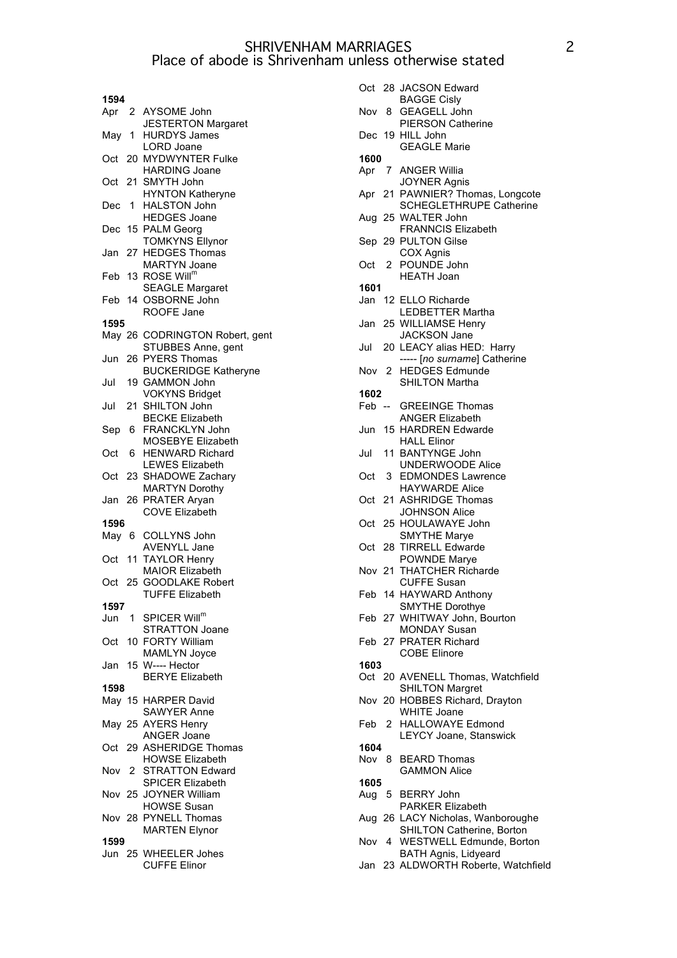| 1594  |     |                                                  |
|-------|-----|--------------------------------------------------|
|       |     | Apr 2 AYSOME John                                |
|       |     | <b>JESTERTON Margaret</b>                        |
| May 1 |     | <b>HURDYS James</b>                              |
|       |     | <b>LORD Joane</b>                                |
| Oct   |     | 20 MYDWYNTER Fulke                               |
| Oct   | 21. | <b>HARDING Joane</b><br>SMYTH John               |
|       |     | <b>HYNTON Katheryne</b>                          |
| Dec   | 1.  | <b>HALSTON John</b>                              |
|       |     | <b>HEDGES Joane</b>                              |
| Dec   |     | 15 PALM Georg                                    |
|       |     | <b>TOMKYNS Ellynor</b>                           |
| Jan   | 27  | <b>HEDGES Thomas</b>                             |
|       |     | <b>MARTYN Joane</b>                              |
| Feb   |     | 13 ROSE Will <sup>m</sup>                        |
|       |     | <b>SEAGLE Margaret</b><br>Feb 14 OSBORNE John    |
|       |     | ROOFE Jane                                       |
| 1595  |     |                                                  |
|       |     | May 26 CODRINGTON Robert, gent                   |
|       |     | STUBBES Anne, gent                               |
| Jun   | 26  | <b>PYERS Thomas</b>                              |
|       |     | <b>BUCKERIDGE Katheryne</b>                      |
| Jul   |     | 19 GAMMON John                                   |
|       |     | <b>VOKYNS Bridget</b>                            |
| Jul   |     | 21 SHILTON John                                  |
|       |     | <b>BECKE Elizabeth</b>                           |
| Sep   | 6.  | FRANCKLYN John<br>MOSEBYE Elizabeth              |
| Oct   | 6.  | <b>HENWARD Richard</b>                           |
|       |     | <b>LEWES Elizabeth</b>                           |
| Oct   |     | 23 SHADOWE Zachary                               |
|       |     | <b>MARTYN Dorothy</b>                            |
| Jan   |     | 26 PRATER Aryan                                  |
|       |     | <b>COVE Elizabeth</b>                            |
| 1596  |     |                                                  |
| May 6 |     | COLLYNS John                                     |
|       |     | <b>AVENYLL Jane</b>                              |
| Oct   | 11  | <b>TAYLOR Henry</b>                              |
|       |     | <b>MAIOR Elizabeth</b><br>Oct 25 GOODLAKE Robert |
|       |     | <b>TUFFE Elizabeth</b>                           |
| 1597  |     |                                                  |
| Jun   |     | 1 SPICER Will <sup>m</sup>                       |
|       |     | <b>STRATTON Joane</b>                            |
| Oct   |     | 10 FORTY William                                 |
|       |     | <b>MAMLYN Joyce</b>                              |
| Jan   |     | 15 W---- Hector                                  |
|       |     | <b>BERYE Elizabeth</b>                           |
| 1598  |     |                                                  |
|       |     | May 15 HARPER David                              |
|       |     | <b>SAWYER Anne</b><br>May 25 AYERS Henry         |
|       |     | <b>ANGER Joane</b>                               |
| Oct   |     | 29 ASHERIDGE Thomas                              |
|       |     | <b>HOWSE Elizabeth</b>                           |
| Nov   | 2   | <b>STRATTON Edward</b>                           |
|       |     | <b>SPICER Elizabeth</b>                          |
|       |     | Nov 25 JOYNER William                            |
|       |     | <b>HOWSE Susan</b>                               |
|       |     | Nov 28 PYNELL Thomas                             |
|       |     | <b>MARTEN Elynor</b>                             |
| 1599  |     | Jun 25 WHEELER Johes                             |
|       |     | <b>CUFFE Elinor</b>                              |
|       |     |                                                  |

|       |              | Oct 28 JACSON Edward                                                |
|-------|--------------|---------------------------------------------------------------------|
| Nov 8 |              | <b>BAGGE Cisly</b><br><b>GEAGELL John</b>                           |
|       |              | <b>PIERSON Catherine</b><br>Dec 19 HILL John<br><b>GEAGLE Marie</b> |
|       |              |                                                                     |
| 1600  |              |                                                                     |
|       |              | Apr 7 ANGER Willia                                                  |
|       |              | <b>JOYNER Agnis</b>                                                 |
|       |              | Apr 21 PAWNIER? Thomas, Longcote                                    |
|       |              |                                                                     |
|       |              | <b>SCHEGLETHRUPE Catherine</b>                                      |
|       |              | Aug 25 WALTER John                                                  |
|       |              | <b>FRANNCIS Elizabeth</b>                                           |
|       |              | Sep 29 PULTON Gilse                                                 |
|       |              | COX Agnis                                                           |
| Oct   | $\mathbf{2}$ | POUNDE John                                                         |
|       |              |                                                                     |
|       |              | <b>HEATH Joan</b>                                                   |
| 1601  |              |                                                                     |
|       |              | Jan 12 ELLO Richarde                                                |
|       |              | <b>LEDBETTER Martha</b>                                             |
|       |              | Jan 25 WILLIAMSE Henry                                              |
|       |              |                                                                     |
|       |              | <b>JACKSON Jane</b>                                                 |
| Jul   |              | 20 LEACY alias HED: Harry                                           |
|       |              | ----- [no surname] Catherine                                        |
|       |              | Nov 2 HEDGES Edmunde                                                |
|       |              | <b>SHILTON Martha</b>                                               |
| 1602  |              |                                                                     |
|       |              |                                                                     |
|       |              | Feb -- GREEINGE Thomas                                              |
|       |              | <b>ANGER Elizabeth</b>                                              |
| Jun   |              | 15 HARDREN Edwarde                                                  |
|       |              | <b>HALL Elinor</b>                                                  |
| Jul   |              | 11 BANTYNGE John                                                    |
|       |              | <b>UNDERWOODE Alice</b>                                             |
|       |              |                                                                     |
| Oct   |              | 3 EDMONDES Lawrence                                                 |
|       |              | <b>HAYWARDE Alice</b>                                               |
| Oct   |              | 21 ASHRIDGE Thomas                                                  |
|       |              | <b>JOHNSON Alice</b>                                                |
| Oct   |              | 25 HOULAWAYE John                                                   |
|       |              |                                                                     |
|       |              | <b>SMYTHE Marye</b>                                                 |
| Oct   |              | 28 TIRRELL Edwarde                                                  |
|       |              | POWNDE Marye                                                        |
|       |              | Nov 21 THATCHER Richarde                                            |
|       |              | <b>CUFFE Susan</b>                                                  |
|       |              | Feb 14 HAYWARD Anthony                                              |
|       |              | <b>SMYTHE Dorothye</b>                                              |
|       |              |                                                                     |
|       |              | Feb 27 WHITWAY John, Bourton                                        |
|       |              | <b>MONDAY Susan</b>                                                 |
|       |              | Feb 27 PRATER Richard                                               |
|       |              | <b>COBE Elinore</b>                                                 |
| 1603  |              |                                                                     |
| Oct   |              | 20 AVENELL Thomas, Watchfield                                       |
|       |              |                                                                     |
|       |              | <b>SHILTON Margret</b>                                              |
|       |              | Nov 20 HOBBES Richard, Drayton                                      |
|       |              | WHITE Joane                                                         |
| Feb   | 2            | <b>HALLOWAYE Edmond</b>                                             |
|       |              | LEYCY Joane, Stanswick                                              |
| 1604  |              |                                                                     |
|       |              |                                                                     |
| Nov   | 8            | <b>BEARD Thomas</b>                                                 |
|       |              | <b>GAMMON Alice</b>                                                 |
| 1605  |              |                                                                     |
| Aug   |              | 5 BERRY John                                                        |
|       |              | PARKER Elizabeth                                                    |
| Aug   |              | 26 LACY Nicholas, Wanboroughe                                       |
|       |              | SHILTON Catherine, Borton                                           |
|       |              |                                                                     |
| Nov   |              | 4 WESTWELL Edmunde, Borton                                          |
|       |              | <b>BATH Agnis, Lidyeard</b>                                         |
| Jan   |              | 23 ALDWORTH Roberte, Watchfield                                     |
|       |              |                                                                     |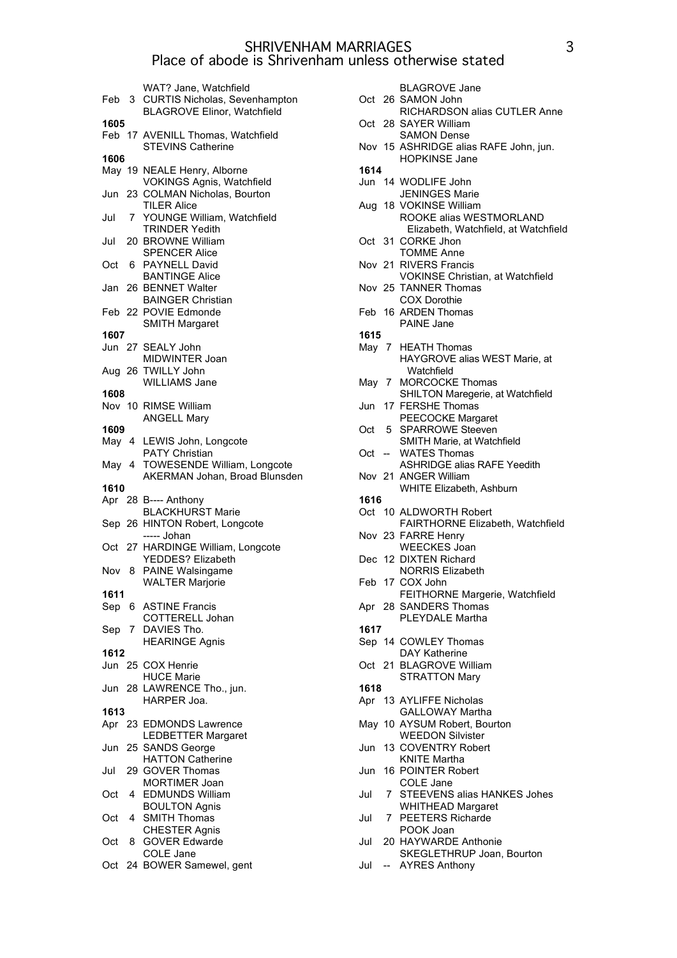|       |   | WAT? Jane, Watchfield<br>Feb 3 CURTIS Nicholas, Sevenhampton  |
|-------|---|---------------------------------------------------------------|
|       |   | <b>BLAGROVE Elinor, Watchfield</b>                            |
| 1605  |   |                                                               |
|       |   | Feb 17 AVENILL Thomas, Watchfield<br><b>STEVINS Catherine</b> |
| 1606  |   |                                                               |
|       |   | May 19 NEALE Henry, Alborne                                   |
|       |   | <b>VOKINGS Agnis, Watchfield</b>                              |
| Jun   |   | 23 COLMAN Nicholas, Bourton<br><b>TILER Alice</b>             |
| Jul   |   | 7 YOUNGE William, Watchfield                                  |
|       |   | <b>TRINDER Yedith</b>                                         |
| Jul   |   | 20 BROWNE William                                             |
|       |   | <b>SPENCER Alice</b>                                          |
|       |   | Oct 6 PAYNELL David<br><b>BANTINGE Alice</b>                  |
|       |   | Jan 26 BENNET Walter                                          |
|       |   | <b>BAINGER Christian</b>                                      |
|       |   | Feb 22 POVIE Edmonde                                          |
|       |   | <b>SMITH Margaret</b>                                         |
| 1607  |   | Jun 27 SEALY John                                             |
|       |   | MIDWINTER Joan                                                |
|       |   | Aug 26 TWILLY John                                            |
|       |   | <b>WILLIAMS Jane</b>                                          |
| 1608  |   | Nov 10 RIMSE William                                          |
|       |   | <b>ANGELL Mary</b>                                            |
| 1609  |   |                                                               |
| May 4 |   | LEWIS John, Longcote                                          |
|       |   | PATY Christian                                                |
| May 4 |   | TOWESENDE William, Longcote<br>AKERMAN Johan, Broad Blunsden  |
|       |   |                                                               |
|       |   |                                                               |
| 1610  |   | Apr 28 B---- Anthony                                          |
|       |   | <b>BLACKHURST Marie</b>                                       |
|       |   | Sep 26 HINTON Robert, Longcote                                |
|       |   | ----- Johan                                                   |
|       |   | Oct 27 HARDINGE William, Longcote                             |
|       |   | YEDDES? Elizabeth<br>Nov 8 PAINE Walsingame                   |
|       |   | <b>WALTER Marjorie</b>                                        |
| 1611  |   |                                                               |
| Sep   | 6 | <b>ASTINE Francis</b>                                         |
| Sep   | 7 | COTTERELL Johan                                               |
|       |   | DAVIES Tho.<br><b>HEARINGE Agnis</b>                          |
| 1612  |   |                                                               |
|       |   | Jun 25 COX Henrie                                             |
|       |   | <b>HUCE Marie</b>                                             |
| Jun   |   | 28 LAWRENCE Tho., jun.<br>HARPER Joa.                         |
| 1613  |   |                                                               |
|       |   | Apr 23 EDMONDS Lawrence                                       |
|       |   | <b>LEDBETTER Margaret</b>                                     |
| Jun   |   | 25 SANDS George                                               |
| Jul   |   | <b>HATTON Catherine</b>                                       |
|       |   | 29 GOVER Thomas<br><b>MORTIMER Joan</b>                       |
| Oct   | 4 | <b>EDMUNDS William</b>                                        |
|       |   | <b>BOULTON Agnis</b>                                          |
| Oct   | 4 | <b>SMITH Thomas</b>                                           |
| Oct   | 8 | <b>CHESTER Agnis</b><br><b>GOVER Edwarde</b>                  |
|       |   | COLE Jane<br>Oct 24 BOWER Samewel, gent                       |

|      |   | <b>BLAGROVE Jane</b>                                       |
|------|---|------------------------------------------------------------|
|      |   | Oct 26 SAMON John                                          |
|      |   | RICHARDSON alias CUTLER Anne<br>Oct 28 SAYER William       |
|      |   | <b>SAMON Dense</b>                                         |
|      |   | Nov 15 ASHRIDGE alias RAFE John, jun.                      |
|      |   | <b>HOPKINSE Jane</b>                                       |
| 1614 |   |                                                            |
|      |   | Jun 14 WODLIFE John<br><b>JENINGES Marie</b>               |
|      |   | Aug 18 VOKINSE William                                     |
|      |   | ROOKE alias WESTMORLAND                                    |
|      |   | Elizabeth, Watchfield, at Watchfield                       |
|      |   | Oct 31 CORKE Jhon                                          |
|      |   | <b>TOMME Anne</b><br>Nov 21 RIVERS Francis                 |
|      |   | <b>VOKINSE Christian, at Watchfield</b>                    |
|      |   | Nov 25 TANNER Thomas                                       |
|      |   | <b>COX Dorothie</b>                                        |
|      |   | Feb 16 ARDEN Thomas                                        |
| 1615 |   | PAINE Jane                                                 |
|      |   | May 7 HEATH Thomas                                         |
|      |   | HAYGROVE alias WEST Marie, at                              |
|      |   | Watchfield                                                 |
|      |   | May 7 MORCOCKE Thomas                                      |
| Jun  |   | SHILTON Maregerie, at Watchfield<br>17 FERSHE Thomas       |
|      |   | PEECOCKE Margaret                                          |
| Oct  |   | 5 SPARROWE Steeven                                         |
|      |   | SMITH Marie, at Watchfield                                 |
|      |   | Oct -- WATES Thomas                                        |
|      |   | <b>ASHRIDGE alias RAFE Yeedith</b><br>Nov 21 ANGER William |
|      |   | <b>WHITE Elizabeth, Ashburn</b>                            |
| 1616 |   |                                                            |
| Oct  |   | 10 ALDWORTH Robert                                         |
|      |   | FAIRTHORNE Elizabeth, Watchfield                           |
|      |   | Nov 23 FARRE Henry<br><b>WEECKES Joan</b>                  |
|      |   | Dec 12 DIXTEN Richard                                      |
|      |   | <b>NORRIS Elizabeth</b>                                    |
|      |   | Feb 17 COX John                                            |
|      |   | FEITHORNE Margerie, Watchfield                             |
|      |   | Apr 28 SANDERS Thomas<br>PLEYDALE Martha                   |
| 1617 |   |                                                            |
|      |   | Sep 14 COWLEY Thomas                                       |
|      |   | <b>DAY Katherine</b>                                       |
| Oct  |   | 21 BLAGROVE William                                        |
| 1618 |   | <b>STRATTON Mary</b>                                       |
| Apr  |   | 13 AYLIFFE Nicholas                                        |
|      |   | <b>GALLOWAY Martha</b>                                     |
| May  |   | 10 AYSUM Robert, Bourton                                   |
|      |   | <b>WEEDON Silvister</b>                                    |
| Jun  |   | 13 COVENTRY Robert                                         |
| Jun  |   | <b>KNITE Martha</b><br>16 POINTER Robert                   |
|      |   | COLE Jane                                                  |
| Jul  | 7 | STEEVENS alias HANKES Johes                                |
|      |   | <b>WHITHEAD Margaret</b>                                   |
| Jul  | 7 | <b>PEETERS Richarde</b>                                    |
| Jul  |   | POOK Joan<br>20 HAYWARDE Anthonie                          |
|      |   | SKEGLETHRUP Joan, Bourton                                  |
| Jul  |   | <b>AYRES Anthony</b>                                       |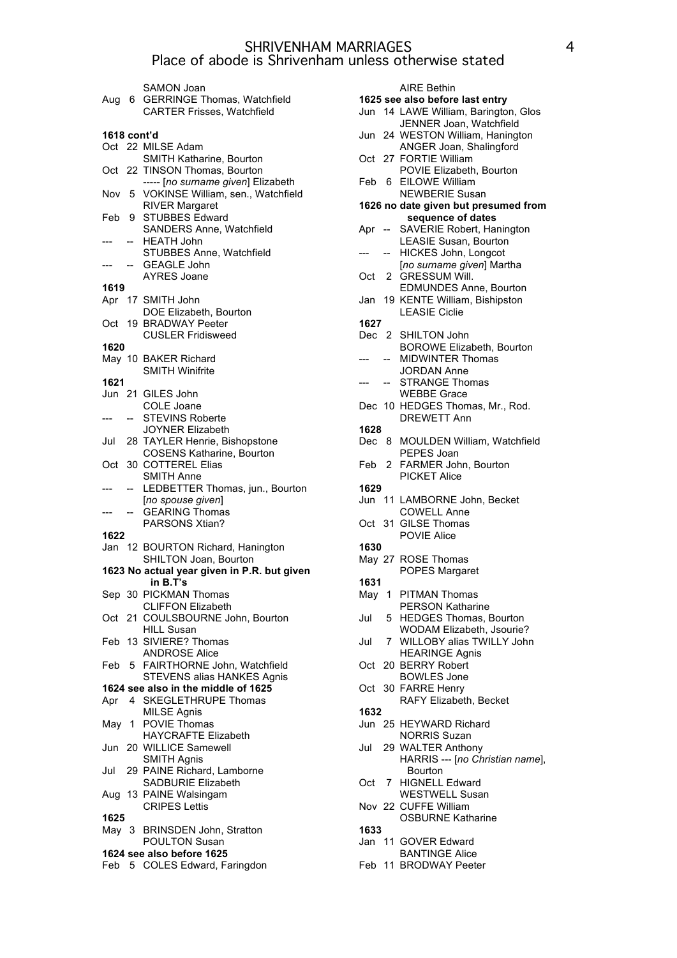|             |                | SAMON Joan<br>Aug 6 GERRINGE Thomas, Watchfield<br><b>CARTER Frisses, Watchfield</b> |
|-------------|----------------|--------------------------------------------------------------------------------------|
| 1618 cont'd |                |                                                                                      |
|             |                | Oct 22 MILSE Adam                                                                    |
| Oct         |                | SMITH Katharine, Bourton<br>22 TINSON Thomas, Bourton                                |
| Nov         | 5              | ----- [no surname given] Elizabeth<br>VOKINSE William, sen., Watchfield              |
| Feb         |                | <b>RIVER Margaret</b><br>9 STUBBES Edward                                            |
|             |                | SANDERS Anne, Watchfield<br>-- HEATH John<br>STUBBES Anne, Watchfield                |
|             |                | <b>GEAGLE John</b><br><b>AYRES Joane</b>                                             |
| 1619        |                |                                                                                      |
|             |                | Apr 17 SMITH John                                                                    |
|             |                | DOE Elizabeth, Bourton                                                               |
|             |                | Oct 19 BRADWAY Peeter<br><b>CUSLER Fridisweed</b>                                    |
| 1620        |                |                                                                                      |
|             |                | May 10 BAKER Richard<br><b>SMITH Winifrite</b>                                       |
| 1621        |                |                                                                                      |
|             |                | Jun 21 GILES John<br><b>COLE Joane</b>                                               |
|             | $--$           | <b>STEVINS Roberte</b>                                                               |
|             |                | <b>JOYNER Elizabeth</b>                                                              |
| Jul         |                | 28 TAYLER Henrie, Bishopstone                                                        |
|             |                | <b>COSENS Katharine, Bourton</b>                                                     |
| Oct         |                | 30 COTTEREL Elias                                                                    |
|             |                | <b>SMITH Anne</b>                                                                    |
|             | $\overline{a}$ |                                                                                      |
|             |                | LEDBETTER Thomas, jun., Bourton<br>[no spouse given]                                 |
|             | $-$            | <b>GEARING Thomas</b>                                                                |
|             |                | PARSONS Xtian?                                                                       |
| 1622        |                |                                                                                      |
|             |                | Jan 12 BOURTON Richard, Hanington<br>SHILTON Joan, Bourton                           |
|             |                | 1623 No actual year given in P.R. but given                                          |
|             |                | in B.T's                                                                             |
|             |                | Sep 30 PICKMAN Thomas                                                                |
| Oct         |                | <b>CLIFFON Elizabeth</b><br>21 COULSBOURNE John, Bourton                             |
|             |                | <b>HILL Susan</b>                                                                    |
| Feb         |                | 13 SIVIERE? Thomas                                                                   |
| Feb         |                | <b>ANDROSE Alice</b><br>5 FAIRTHORNE John, Watchfield                                |
|             |                | STEVENS alias HANKES Agnis                                                           |
|             |                | 1624 see also in the middle of 1625                                                  |
| Apr         |                | 4 SKEGLETHRUPE Thomas                                                                |
| May         |                | <b>MILSE Agnis</b><br>1 POVIE Thomas                                                 |
|             |                | <b>HAYCRAFTE Elizabeth</b>                                                           |
| Jun         |                | 20 WILLICE Samewell<br><b>SMITH Agnis</b>                                            |
| Jul         |                | 29 PAINE Richard, Lamborne                                                           |
|             |                | <b>SADBURIE Elizabeth</b>                                                            |
|             |                | Aug 13 PAINE Walsingam<br><b>CRIPES Lettis</b>                                       |
| 1625        |                |                                                                                      |
| May 3       |                | <b>BRINSDEN John, Stratton</b>                                                       |
|             |                | <b>POULTON Susan</b>                                                                 |
|             |                | 1624 see also before 1625<br>Feb 5 COLES Edward, Faringdon                           |

|             | <b>AIRE Bethin</b>                                                      |
|-------------|-------------------------------------------------------------------------|
|             | 1625 see also before last entry<br>Jun 14 LAWE William, Barington, Glos |
|             | JENNER Joan, Watchfield                                                 |
| Jun         | 24 WESTON William, Hanington                                            |
|             | ANGER Joan, Shalingford                                                 |
| Oct         | 27 FORTIE William                                                       |
|             | POVIE Elizabeth, Bourton                                                |
| Feb<br>6    | <b>EILOWE William</b>                                                   |
|             | <b>NEWBERIE Susan</b>                                                   |
|             | 1626 no date given but presumed from                                    |
|             | sequence of dates<br>SAVERIE Robert, Hanington                          |
| Apr<br>$--$ | <b>LEASIE Susan, Bourton</b>                                            |
|             | <b>HICKES John, Longcot</b>                                             |
|             | [no surname given] Martha                                               |
| Oct<br>2    | <b>GRESSUM Will.</b>                                                    |
|             | <b>EDMUNDES Anne, Bourton</b>                                           |
| Jan         | 19 KENTE William, Bishipston                                            |
|             | <b>LEASIE Ciclie</b>                                                    |
| 1627        |                                                                         |
|             | Dec 2 SHILTON John<br><b>BOROWE Elizabeth, Bourton</b>                  |
|             | <b>MIDWINTER Thomas</b>                                                 |
|             | <b>JORDAN Anne</b>                                                      |
|             | <b>STRANGE Thomas</b>                                                   |
|             | <b>WEBBE Grace</b>                                                      |
|             | Dec 10 HEDGES Thomas, Mr., Rod.                                         |
|             | <b>DREWETT Ann</b>                                                      |
| 1628        |                                                                         |
| Dec<br>8.   | MOULDEN William, Watchfield                                             |
|             | PEPES Joan                                                              |
| Feb<br>2    | FARMER John, Bourton                                                    |
|             |                                                                         |
|             | <b>PICKET Alice</b>                                                     |
| 1629        |                                                                         |
| Jun         | 11 LAMBORNE John, Becket<br><b>COWELL Anne</b>                          |
| Oct         | 31 GILSE Thomas                                                         |
|             | POVIE Alice                                                             |
| 1630        |                                                                         |
|             | May 27 ROSE Thomas                                                      |
|             | <b>POPES Margaret</b>                                                   |
| 1631        |                                                                         |
| May         | 1 PITMAN Thomas                                                         |
| Jul         | <b>PERSON Katharine</b><br>5 HEDGES Thomas, Bourton                     |
|             | WODAM Elizabeth, Jsourie?                                               |
| Jul<br>7    | WILLOBY alias TWILLY John                                               |
|             | <b>HEARINGE Agnis</b>                                                   |
| Oct         | 20 BERRY Robert                                                         |
|             | <b>BOWLES Jone</b>                                                      |
| Oct         | 30 FARRE Henry                                                          |
|             | RAFY Elizabeth, Becket                                                  |
| 1632        |                                                                         |
| Jun         | 25 HEYWARD Richard<br><b>NORRIS Suzan</b>                               |
| Jul         | 29 WALTER Anthony                                                       |
|             | HARRIS --- [no Christian name],                                         |
|             | Bourton                                                                 |
| Oct         | 7 HIGNELL Edward                                                        |
|             | <b>WESTWELL Susan</b>                                                   |
|             | Nov 22 CUFFE William                                                    |
|             | <b>OSBURNE Katharine</b>                                                |
| 1633        |                                                                         |
|             | Jan 11 GOVER Edward<br><b>BANTINGE Alice</b>                            |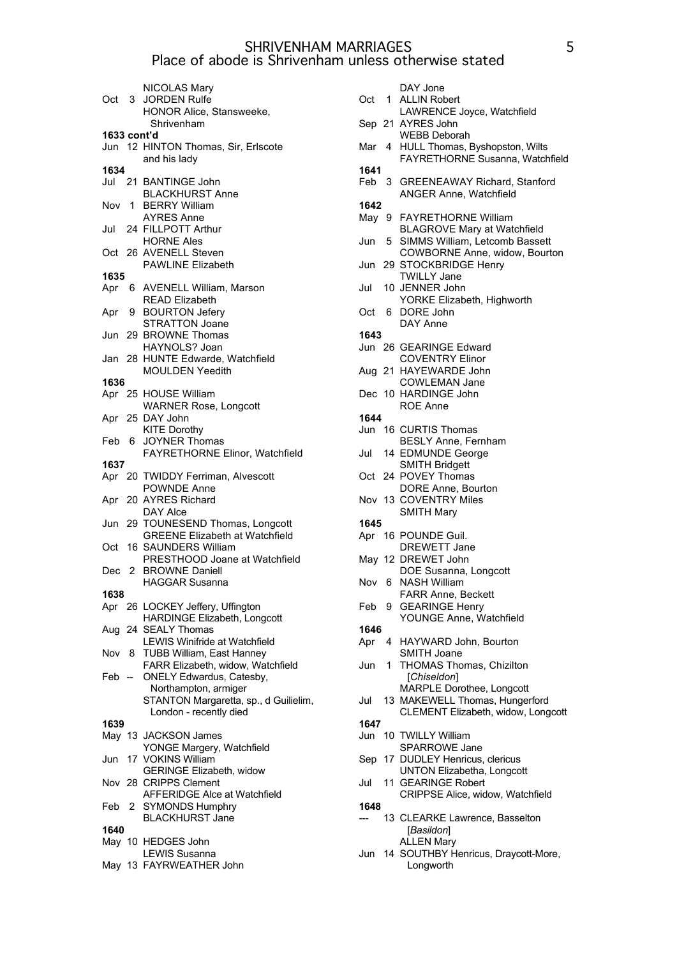| Oct 3       |              | NICOLAS Mary<br><b>JORDEN Rulfe</b><br>HONOR Alice, Stansweeke,   |
|-------------|--------------|-------------------------------------------------------------------|
|             |              | Shrivenham                                                        |
| 1633 cont'd |              |                                                                   |
|             |              | Jun 12 HINTON Thomas, Sir, Erlscote                               |
|             |              | and his lady                                                      |
| 1634        |              |                                                                   |
|             |              | Jul 21 BANTINGE John                                              |
|             |              | <b>BLACKHURST Anne</b>                                            |
|             |              | Nov 1 BERRY William                                               |
|             |              | <b>AYRES Anne</b>                                                 |
| Jul         |              | 24 FILLPOTT Arthur<br><b>HORNE Ales</b>                           |
| Oct         |              |                                                                   |
|             |              | 26 AVENELL Steven<br><b>PAWLINE Elizabeth</b>                     |
| 1635        |              |                                                                   |
| Apr         |              | 6 AVENELL William, Marson                                         |
|             |              | <b>READ Elizabeth</b>                                             |
| Apr         |              | 9 BOURTON Jefery                                                  |
|             |              | <b>STRATTON Joane</b>                                             |
|             |              | Jun 29 BROWNE Thomas                                              |
|             |              | HAYNOLS? Joan                                                     |
|             |              | Jan 28 HUNTE Edwarde, Watchfield                                  |
|             |              | <b>MOULDEN Yeedith</b>                                            |
| 1636        |              |                                                                   |
|             |              | Apr 25 HOUSE William                                              |
|             |              | <b>WARNER Rose, Longcott</b>                                      |
|             |              | Apr 25 DAY John                                                   |
|             |              | <b>KITE Dorothy</b>                                               |
| Feb         | 6.           | <b>JOYNER Thomas</b>                                              |
| 1637        |              | FAYRETHORNE Elinor, Watchfield                                    |
| Apr         |              | 20 TWIDDY Ferriman, Alvescott                                     |
|             |              | <b>POWNDE Anne</b>                                                |
| Apr         |              | 20 AYRES Richard                                                  |
|             |              | DAY Alce                                                          |
| Jun         |              | 29 TOUNESEND Thomas, Longcott                                     |
|             |              | <b>GREENE Elizabeth at Watchfield</b>                             |
| Oct         |              | 16 SAUNDERS William                                               |
|             |              | PRESTHOOD Joane at Watchfield                                     |
| Dec         | $\mathbf{2}$ | <b>BROWNE Daniell</b>                                             |
|             |              | <b>HAGGAR Susanna</b>                                             |
| 1638        |              |                                                                   |
| Apr         |              | 26 LOCKEY Jeffery, Uffington                                      |
|             |              | <b>HARDINGE Elizabeth, Longcott</b>                               |
|             |              | Aug 24 SEALY Thomas                                               |
| Nov         | 8            | <b>LEWIS Winifride at Watchfield</b><br>TUBB William, East Hanney |
|             |              | FARR Elizabeth, widow, Watchfield                                 |
| Feb —       |              | ONELY Edwardus, Catesby,                                          |
|             |              | Northampton, armiger                                              |
|             |              | STANTON Margaretta, sp., d Guilielim,                             |
|             |              | London - recently died                                            |
| 1639        |              |                                                                   |
|             |              | May 13 JACKSON James                                              |
|             |              | YONGE Margery, Watchfield                                         |
| Jun         |              | 17 VOKINS William                                                 |
|             |              | GERINGE Elizabeth, widow                                          |
|             |              | Nov 28 CRIPPS Clement                                             |
|             |              | AFFERIDGE Alce at Watchfield                                      |
| Feb         | 2            | <b>SYMONDS Humphry</b>                                            |
| 1640        |              | <b>BLACKHURST Jane</b>                                            |
|             |              | May 10 HEDGES John                                                |
|             |              | <b>LEWIS Susanna</b>                                              |
|             |              | May 13 FAYRWEATHER John                                           |
|             |              |                                                                   |

|       |             | DAY Jone<br>Oct 1 ALLIN Robert               |
|-------|-------------|----------------------------------------------|
|       |             | LAWRENCE Joyce, Watchfield                   |
|       |             | Sep 21 AYRES John                            |
|       |             | <b>WEBB Deborah</b>                          |
| Mar   |             | 4 HULL Thomas, Byshopston, Wilts             |
|       |             | FAYRETHORNE Susanna, Watchfield              |
| 1641  |             |                                              |
|       |             | Feb 3 GREENEAWAY Richard, Stanford           |
|       |             | <b>ANGER Anne, Watchfield</b>                |
| 1642  |             |                                              |
|       |             | May 9 FAYRETHORNE William                    |
|       |             | <b>BLAGROVE Mary at Watchfield</b>           |
| Jun   |             | 5 SIMMS William, Letcomb Bassett             |
|       |             | COWBORNE Anne, widow, Bourton                |
| Jun   |             | 29 STOCKBRIDGE Henry                         |
| Jul   |             | <b>TWILLY Jane</b>                           |
|       |             | 10 JENNER John<br>YORKE Elizabeth, Highworth |
| Oct 6 |             | DORE John                                    |
|       |             | DAY Anne                                     |
| 1643  |             |                                              |
| Jun   |             | 26 GEARINGE Edward                           |
|       |             | <b>COVENTRY Elinor</b>                       |
| Aug   |             | 21 HAYEWARDE John                            |
|       |             | <b>COWLEMAN Jane</b>                         |
|       |             | Dec 10 HARDINGE John                         |
|       |             | <b>ROE Anne</b>                              |
| 1644  |             |                                              |
|       |             | Jun 16 CURTIS Thomas                         |
|       |             | <b>BESLY Anne, Fernham</b>                   |
| Jul   |             | 14 EDMUNDE George                            |
|       |             | <b>SMITH Bridgett</b>                        |
| Oct   |             | 24 POVEY Thomas                              |
|       |             | DORE Anne, Bourton<br>Nov 13 COVENTRY Miles  |
|       |             | <b>SMITH Mary</b>                            |
| 1645  |             |                                              |
|       |             | Apr 16 POUNDE Guil.                          |
|       |             | DREWETT Jane                                 |
|       |             | May 12 DREWET John                           |
|       |             | DOE Susanna, Longcott                        |
| Nov   | 6           | <b>NASH William</b>                          |
|       |             | <b>FARR Anne, Beckett</b>                    |
| Feb   |             | 9 GEARINGE Henry                             |
|       |             | YOUNGE Anne, Watchfield                      |
| 1646  |             |                                              |
| Apr   | 4           | HAYWARD John, Bourton<br>SMITH Joane         |
| Jun   | $\mathbf 1$ | THOMAS Thomas, Chizilton                     |
|       |             | [Chiseldon]                                  |
|       |             | MARPLE Dorothee, Longcott                    |
| Jul   |             | 13 MAKEWELL Thomas, Hungerford               |
|       |             | CLEMENT Elizabeth, widow, Longcott           |
| 1647  |             |                                              |
| Jun   |             | 10 TWILLY William                            |
|       |             | <b>SPARROWE Jane</b>                         |
| Sep   |             | 17 DUDLEY Henricus, clericus                 |
|       |             | <b>UNTON Elizabetha, Longcott</b>            |
| Jul   |             | 11 GEARINGE Robert                           |
|       |             | CRIPPSE Alice, widow, Watchfield             |
| 1648  |             |                                              |
|       |             | 13 CLEARKE Lawrence, Basselton<br>[Basildon] |
|       |             | <b>ALLEN Mary</b>                            |
| Jun   |             | 14 SOUTHBY Henricus, Draycott-More,          |
|       |             |                                              |
|       |             | Longworth                                    |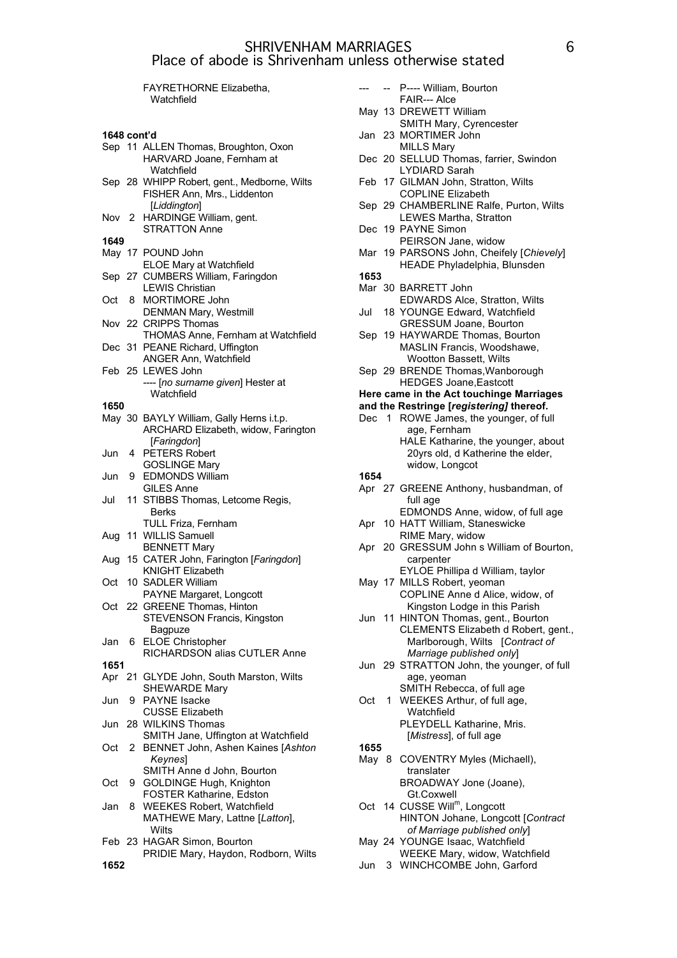|             |    | <b>FAYRETHORNE Elizabetha,</b>                                                                 |            |
|-------------|----|------------------------------------------------------------------------------------------------|------------|
|             |    | Watchfield                                                                                     | Ma         |
| 1648 cont'd |    |                                                                                                | Jan        |
|             |    | Sep 11 ALLEN Thomas, Broughton, Oxon<br>HARVARD Joane, Fernham at                              | De         |
|             |    | Watchfield                                                                                     | Fet        |
|             |    | Sep 28 WHIPP Robert, gent., Medborne, Wilts<br>FISHER Ann, Mrs., Liddenton                     |            |
|             |    | [Liddington]<br>Nov 2 HARDINGE William, gent.                                                  | Sep        |
| 1649        |    | <b>STRATTON Anne</b>                                                                           | De         |
|             |    | May 17 POUND John<br>ELOE Mary at Watchfield                                                   | Ma         |
|             |    | Sep 27 CUMBERS William, Faringdon<br><b>LEWIS Christian</b>                                    | 165<br>Ma  |
| Oct         |    | 8 MORTIMORE John<br><b>DENMAN Mary, Westmill</b>                                               | Jul        |
|             |    | Nov 22 CRIPPS Thomas<br><b>THOMAS Anne, Fernham at Watchfield</b>                              | Sep        |
|             |    | Dec 31 PEANE Richard, Uffington<br><b>ANGER Ann, Watchfield</b>                                |            |
|             |    | Feb 25 LEWES John                                                                              | Sep        |
|             |    | ---- [no surname given] Hester at<br>Watchfield                                                | Her        |
| 1650        |    |                                                                                                | and        |
|             |    | May 30 BAYLY William, Gally Herns i.t.p.<br>ARCHARD Elizabeth, widow, Farington<br>[Faringdon] | De         |
|             |    | Jun 4 PETERS Robert<br><b>GOSLINGE Mary</b>                                                    |            |
| Jun         |    | 9 EDMONDS William<br><b>GILES Anne</b>                                                         | 165<br>Apr |
| Jul         | 11 | STIBBS Thomas, Letcome Regis,<br>Berks                                                         |            |
|             |    | TULL Friza, Fernham                                                                            | Apr        |
| Aug         |    | 11 WILLIS Samuell<br><b>BENNETT Mary</b>                                                       | Apr        |
| Aug         |    | 15 CATER John, Farington [Faringdon]<br><b>KNIGHT Elizabeth</b>                                |            |
| Oct         |    | 10 SADLER William<br>PAYNE Margaret, Longcott                                                  | Ma         |
|             |    | Oct 22 GREENE Thomas, Hinton<br>STEVENSON Francis, Kingston                                    | Jur        |
| Jan         | 6  | Bagpuze<br><b>ELOE Christopher</b>                                                             |            |
|             |    | RICHARDSON alias CUTLER Anne                                                                   |            |
| 1651        |    | Apr 21 GLYDE John, South Marston, Wilts                                                        | Jun        |
| Jun         | 9  | <b>SHEWARDE Mary</b><br>PAYNE Isacke                                                           | Oct        |
| Jun         |    | <b>CUSSE Elizabeth</b><br>28 WILKINS Thomas                                                    |            |
| Oct         | 2  | SMITH Jane, Uffington at Watchfield<br>BENNET John, Ashen Kaines [Ashton                       | 165        |
|             |    | <b>Keynes</b><br>SMITH Anne d John, Bourton                                                    | May        |
| Oct         | 9  | GOLDINGE Hugh, Knighton<br>FOSTER Katharine, Edston                                            |            |
| Jan         | 8  | <b>WEEKES Robert, Watchfield</b><br>MATHEWE Mary, Lattne [Latton],                             | Oct        |
|             |    | Wilts<br>Feb 23 HAGAR Simon, Bourton                                                           | Ma         |
| 1652        |    | PRIDIE Mary, Haydon, Rodborn, Wilts                                                            | Jun        |

|      | ш. | P---- William, Bourton<br>FAIR--- Alce                           |
|------|----|------------------------------------------------------------------|
|      |    | May 13 DREWETT William                                           |
|      |    | SMITH Mary, Cyrencester                                          |
| Jan  |    | 23 MORTIMER John                                                 |
|      |    | <b>MILLS Mary</b>                                                |
| Dec  |    | 20 SELLUD Thomas, farrier, Swindon                               |
|      |    |                                                                  |
|      |    | LYDIARD Sarah                                                    |
| Feb  |    | 17 GILMAN John, Stratton, Wilts                                  |
|      |    | <b>COPLINE Elizabeth</b>                                         |
| Sep  |    | 29 CHAMBERLINE Ralfe, Purton, Wilts                              |
|      |    | LEWES Martha, Stratton                                           |
| Dec  |    | 19 PAYNE Simon                                                   |
|      |    | PEIRSON Jane, widow                                              |
|      |    |                                                                  |
| Mar  |    | 19 PARSONS John, Cheifely [Chievely]                             |
|      |    | HEADE Phyladelphia, Blunsden                                     |
| 1653 |    |                                                                  |
|      |    | Mar 30 BARRETT John                                              |
|      |    | EDWARDS Alce, Stratton, Wilts                                    |
| Jul  |    | 18 YOUNGE Edward, Watchfield                                     |
|      |    |                                                                  |
|      |    | GRESSUM Joane, Bourton                                           |
| Sep  |    | 19 HAYWARDE Thomas, Bourton                                      |
|      |    | MASLIN Francis, Woodshawe,                                       |
|      |    | Wootton Bassett, Wilts                                           |
|      |    | Sep 29 BRENDE Thomas, Wanborough                                 |
|      |    | <b>HEDGES Joane, Eastcott</b>                                    |
|      |    | Here came in the Act touchinge Marriages                         |
|      |    |                                                                  |
|      |    | and the Restringe [registering] thereof.                         |
|      |    | Dec 1 ROWE James, the younger, of full                           |
|      |    | age, Fernham                                                     |
|      |    | HALE Katharine, the younger, about                               |
|      |    | 20yrs old, d Katherine the elder,                                |
|      |    | widow, Longcot                                                   |
|      |    |                                                                  |
|      |    |                                                                  |
| 1654 |    |                                                                  |
|      |    | Apr 27 GREENE Anthony, husbandman, of                            |
|      |    | full age                                                         |
|      |    | EDMONDS Anne, widow, of full age                                 |
| Apr  |    | 10 HATT William, Staneswicke                                     |
|      |    |                                                                  |
|      |    | RIME Mary, widow                                                 |
| Apr  |    | 20 GRESSUM John s William of Bourton,                            |
|      |    | carpenter                                                        |
|      |    | EYLOE Phillipa d William, taylor                                 |
|      |    | May 17 MILLS Robert, yeoman                                      |
|      |    | COPLINE Anne d Alice, widow, of                                  |
|      |    |                                                                  |
|      | 11 | Kingston Lodge in this Parish                                    |
| Jun  |    | HINTON Thomas, gent., Bourton                                    |
|      |    | CLEMENTS Elizabeth d Robert, gent.,                              |
|      |    | Marlborough, Wilts [Contract of                                  |
|      |    | Marriage published only]                                         |
|      |    | Jun 29 STRATTON John, the younger, of full                       |
|      |    | age, yeoman                                                      |
|      |    | SMITH Rebecca, of full age                                       |
|      | 1. |                                                                  |
| Oct  |    | WEEKES Arthur, of full age,                                      |
|      |    | Watchfield                                                       |
|      |    | PLEYDELL Katharine, Mris.                                        |
|      |    | [Mistress], of full age                                          |
| 1655 |    |                                                                  |
|      |    | May 8 COVENTRY Myles (Michaell),                                 |
|      |    | translater                                                       |
|      |    |                                                                  |
|      |    | BROADWAY Jone (Joane),                                           |
|      |    | Gt.Coxwell                                                       |
| Oct  |    | 14 CUSSE Will <sup>m</sup> , Longcott                            |
|      |    | HINTON Johane, Longcott [Contract                                |
|      |    | of Marriage published only]                                      |
|      |    | May 24 YOUNGE Isaac, Watchfield<br>WEEKE Mary, widow, Watchfield |

Jun 3 WINCHCOMBE John, Garford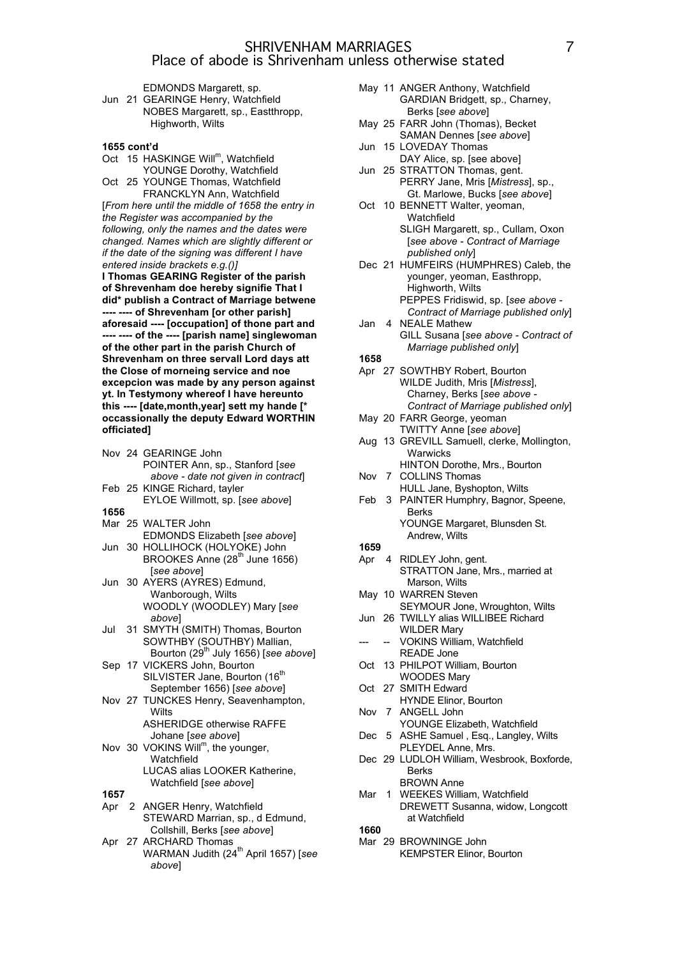EDMONDS Margarett, sp. Jun 21 GEARINGE Henry, Watchfield NOBES Margarett, sp., Eastthropp, Highworth, Wilts

#### **1655 cont'd**

Oct 15 HASKINGE Will<sup>m</sup>, Watchfield YOUNGE Dorothy, Watchfield

Oct 25 YOUNGE Thomas, Watchfield FRANCKLYN Ann, Watchfield [*From here until the middle of 1658 the entry in the Register was accompanied by the following, only the names and the dates were changed. Names which are slightly different or if the date of the signing was different I have entered inside brackets e.g.()]* **I Thomas GEARING Register of the parish of Shrevenham doe hereby signifie That I did\* publish a Contract of Marriage betwene ---- ---- of Shrevenham [or other parish] aforesaid ---- [occupation] of thone part and ---- ---- of the ---- [parish name] singlewoman of the other part in the parish Church of Shrevenham on three servall Lord days att the Close of morneing service and noe excepcion was made by any person against yt. In Testymony whereof I have hereunto this ---- [date,month,year] sett my hande [\* occassionally the deputy Edward WORTHIN**

|  | Nov 24 GEARINGE John<br>POINTER Ann, sp., Stanford [see] |
|--|----------------------------------------------------------|
|  | above - date not given in contract                       |
|  | Feb 25 KINGE Richard, tayler                             |
|  | EYLOE Willmott, sp. [see above]                          |

**1656**

**officiated]**

- Mar 25 WALTER John EDMONDS Elizabeth [*see above*]
- Jun 30 HOLLIHOCK (HOLYOKE) John BROOKES Anne (28<sup>th</sup> June 1656) [*see above*]
- Jun 30 AYERS (AYRES) Edmund, Wanborough, Wilts WOODLY (WOODLEY) Mary [*see above*]
- Jul 31 SMYTH (SMITH) Thomas, Bourton SOWTHBY (SOUTHBY) Mallian, Bourton (29th July 1656) [*see above*]
- Sep 17 VICKERS John, Bourton SILVISTER Jane, Bourton (16<sup>th</sup> September 1656) [*see above*]
- Nov 27 TUNCKES Henry, Seavenhampton, **Wilts** 
	- ASHERIDGE otherwise RAFFE Johane [*see above*]
- Nov 30 VOKINS Will<sup>m</sup>, the younger, **Watchfield** LUCAS alias LOOKER Katherine, Watchfield [*see above*]

#### **1657**

- Apr 2 ANGER Henry, Watchfield STEWARD Marrian, sp., d Edmund, Collshill, Berks [*see above*]
- Apr 27 ARCHARD Thomas WARMAN Judith (24<sup>th</sup> April 1657) [see *above*]
- May 11 ANGER Anthony, Watchfield GARDIAN Bridgett, sp., Charney, Berks [*see above*]
- May 25 FARR John (Thomas), Becket SAMAN Dennes [*see above*]
- Jun 15 LOVEDAY Thomas DAY Alice, sp. [see above]
- Jun 25 STRATTON Thomas, gent. PERRY Jane, Mris [*Mistress*], sp., Gt. Marlowe, Bucks [*see above*]
- Oct 10 BENNETT Walter, yeoman, Watchfield SLIGH Margarett, sp., Cullam, Oxon [*see above - Contract of Marriage published only*]
- Dec 21 HUMFEIRS (HUMPHRES) Caleb, the younger, yeoman, Easthropp, Highworth, Wilts PEPPES Fridiswid, sp. [*see above - Contract of Marriage published only*]
- Jan 4 NEALE Mathew GILL Susana [*see above - Contract of Marriage published only*]

**1658**

- Apr 27 SOWTHBY Robert, Bourton WILDE Judith, Mris [*Mistress*], Charney, Berks [*see above - Contract of Marriage published only*]
- May 20 FARR George, yeoman TWITTY Anne [*see above*]
- Aug 13 GREVILL Samuell, clerke, Mollington, **Warwicks** HINTON Dorothe, Mrs., Bourton
- Nov 7 COLLINS Thomas
- HULL Jane, Byshopton, Wilts
- Feb 3 PAINTER Humphry, Bagnor, Speene, Berks YOUNGE Margaret, Blunsden St. Andrew, Wilts
- **1659**
- Apr 4 RIDLEY John, gent.
- STRATTON Jane, Mrs., married at Marson, Wilts
- May 10 WARREN Steven SEYMOUR Jone, Wroughton, Wilts
- Jun 26 TWILLY alias WILLIBEE Richard WILDER Mary
- VOKINS William, Watchfield READE Jone
- Oct 13 PHILPOT William, Bourton WOODES Mary
- Oct 27 SMITH Edward
- HYNDE Elinor, Bourton Nov 7 ANGELL John
- YOUNGE Elizabeth, Watchfield
- Dec 5 ASHE Samuel , Esq., Langley, Wilts PLEYDEL Anne, Mrs.
- Dec 29 LUDLOH William, Wesbrook, Boxforde, Berks BROWN Anne
- Mar 1 WEEKES William, Watchfield
	- DREWETT Susanna, widow, Longcott at Watchfield

**1660**

Mar 29 BROWNINGE John KEMPSTER Elinor, Bourton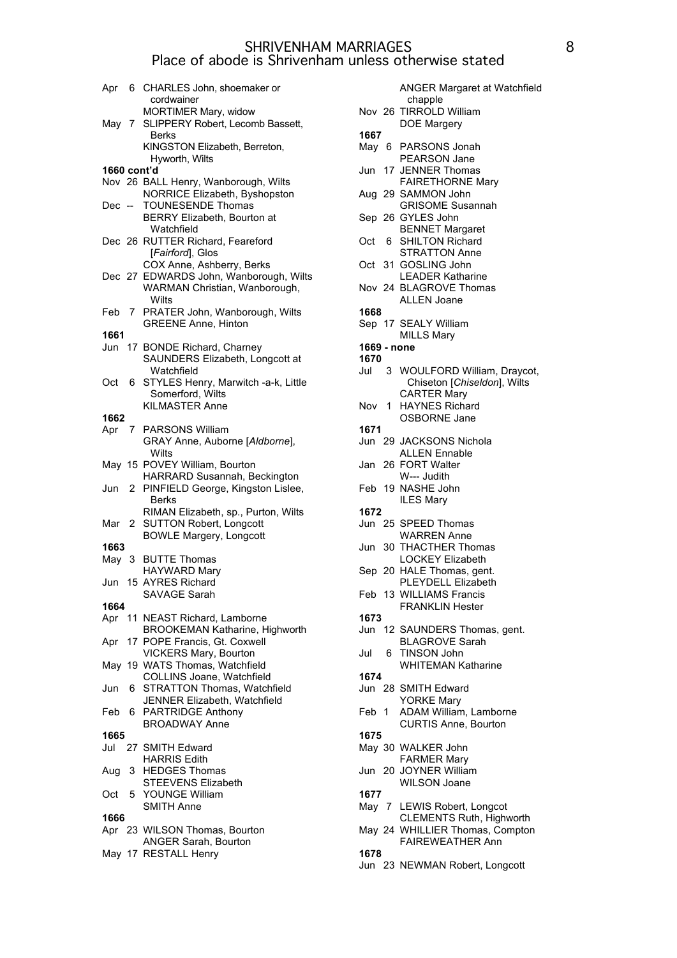| Apr         | - 6                  | CHARLES John, shoemaker or                                          |
|-------------|----------------------|---------------------------------------------------------------------|
|             |                      | cordwainer                                                          |
|             |                      | MORTIMER Mary, widow                                                |
| Mav 7       |                      | SLIPPERY Robert, Lecomb Bassett,                                    |
|             |                      | Berks<br>KINGSTON Elizabeth, Berreton,                              |
|             |                      | Hyworth, Wilts                                                      |
| 1660 cont'd |                      |                                                                     |
|             |                      | Nov 26 BALL Henry, Wanborough, Wilts                                |
|             |                      | NORRICE Elizabeth, Byshopston                                       |
| Dec --      |                      | <b>TOUNESENDE Thomas</b>                                            |
|             |                      | BERRY Elizabeth, Bourton at                                         |
|             |                      | Watchfield                                                          |
|             |                      | Dec 26 RUTTER Richard, Feareford                                    |
|             |                      | [Fairford], Glos                                                    |
|             |                      | COX Anne, Ashberry, Berks<br>Dec 27 EDWARDS John, Wanborough, Wilts |
|             |                      | WARMAN Christian, Wanborough,                                       |
|             |                      | Wilts                                                               |
| Feb 7       |                      | PRATER John, Wanborough, Wilts                                      |
|             |                      | <b>GREENE Anne, Hinton</b>                                          |
| 1661        |                      |                                                                     |
|             |                      | Jun 17 BONDE Richard, Charney                                       |
|             |                      | SAUNDERS Elizabeth, Longcott at                                     |
|             |                      | Watchfield                                                          |
| Oct         | 6                    | STYLES Henry, Marwitch -a-k, Little                                 |
|             |                      | Somerford, Wilts                                                    |
|             |                      | <b>KILMASTER Anne</b>                                               |
| 1662        | $7^{\circ}$          | <b>PARSONS William</b>                                              |
| Apr         |                      | GRAY Anne, Auborne [Aldborne],                                      |
|             |                      | Wilts                                                               |
|             |                      | May 15 POVEY William, Bourton                                       |
|             |                      | HARRARD Susannah, Beckington                                        |
| Jun         | $\mathbf{2}^{\circ}$ | PINFIELD George, Kingston Lislee,                                   |
|             |                      | Berks                                                               |
|             |                      | RIMAN Elizabeth, sp., Purton, Wilts                                 |
| Mar 2       |                      | <b>SUTTON Robert, Longcott</b>                                      |
|             |                      | <b>BOWLE Margery, Longcott</b>                                      |
| 1663        |                      | <b>BUTTE Thomas</b>                                                 |
| May 3       |                      | HAYWARD Mary                                                        |
|             |                      | Jun 15 AYRES Richard                                                |
|             |                      | SAVAGE Sarah                                                        |
| 1664        |                      |                                                                     |
|             |                      | Apr 11 NEAST Richard, Lamborne                                      |
|             |                      | <b>BROOKEMAN Katharine, Highworth</b>                               |
| Apr         |                      | 17 POPE Francis, Gt. Coxwell                                        |
|             |                      | <b>VICKERS Mary, Bourton</b>                                        |
|             |                      | May 19 WATS Thomas, Watchfield                                      |
|             |                      | COLLINS Joane, Watchfield<br><b>STRATTON Thomas, Watchfield</b>     |
| Jun         | 6                    | JENNER Elizabeth, Watchfield                                        |
| Feb         | 6.                   | PARTRIDGE Anthony                                                   |
|             |                      | <b>BROADWAY Anne</b>                                                |
| 1665        |                      |                                                                     |
| Jul         |                      | 27 SMITH Edward                                                     |
|             |                      | <b>HARRIS Edith</b>                                                 |
| Aug         | 3                    | <b>HEDGES Thomas</b>                                                |
|             |                      | STEEVENS Elizabeth                                                  |
| Oct         | 5                    | YOUNGE William                                                      |
|             |                      | <b>SMITH Anne</b>                                                   |
| 1666        |                      | Apr 23 WILSON Thomas, Bourton                                       |
|             |                      | <b>ANGER Sarah, Bourton</b>                                         |
|             |                      | May 17 RESTALL Henry                                                |
|             |                      |                                                                     |

|             |    | <b>ANGER Margaret at Watchfield</b>              |
|-------------|----|--------------------------------------------------|
|             |    | chapple<br>Nov 26 TIRROLD William<br>DOE Margery |
| 1667        |    |                                                  |
|             |    | May 6 PARSONS Jonah                              |
|             |    | <b>PEARSON Jane</b>                              |
| Jun         |    | 17 JENNER Thomas                                 |
|             |    | <b>FAIRETHORNE Mary</b>                          |
|             |    | Aug 29 SAMMON John                               |
|             |    | <b>GRISOME Susannah</b>                          |
|             |    | Sep 26 GYLES John                                |
|             |    | <b>BENNET Margaret</b>                           |
| Oct         |    | 6 SHILTON Richard                                |
|             |    | <b>STRATTON Anne</b>                             |
|             |    | Oct 31 GOSLING John                              |
|             |    | <b>LEADER Katharine</b>                          |
|             |    | Nov 24 BLAGROVE Thomas                           |
| 1668        |    | <b>ALLEN Joane</b>                               |
|             |    | Sep 17 SEALY William                             |
|             |    | <b>MILLS Mary</b>                                |
| 1669 - none |    |                                                  |
| 1670        |    |                                                  |
| Jul         |    | 3 WOULFORD William, Draycot,                     |
|             |    | Chiseton [Chiseldon], Wilts                      |
|             |    | <b>CARTER Mary</b>                               |
| Nov 1       |    | <b>HAYNES Richard</b>                            |
|             |    | OSBORNE Jane                                     |
| 1671        |    |                                                  |
|             |    | Jun 29 JACKSONS Nichola                          |
|             |    | <b>ALLEN Ennable</b>                             |
| Jan         |    | 26 FORT Walter                                   |
|             |    | W--- Judith                                      |
|             |    | Feb 19 NASHE John                                |
|             |    | <b>ILES Mary</b>                                 |
| 1672        |    |                                                  |
|             |    | Jun 25 SPEED Thomas                              |
|             |    | <b>WARREN Anne</b>                               |
| Jun         |    | 30 THACTHER Thomas<br>LOCKEY Elizabeth           |
|             |    | Sep 20 HALE Thomas, gent.                        |
|             |    | PLEYDELL Elizabeth                               |
|             |    | Feb 13 WILLIAMS Francis                          |
|             |    | <b>FRANKLIN Hester</b>                           |
| 1673        |    |                                                  |
|             |    | Jun 12 SAUNDERS Thomas, gent.                    |
|             |    | <b>BLAGROVE Sarah</b>                            |
| Jul         | 6. | TINSON John                                      |
|             |    | <b>WHITEMAN Katharine</b>                        |
| 1674        |    |                                                  |
|             |    | Jun 28 SMITH Edward                              |
|             |    | <b>YORKE Mary</b>                                |
| Feb 1       |    | ADAM William, Lamborne                           |
|             |    | <b>CURTIS Anne, Bourton</b>                      |
| 1675        |    |                                                  |
|             |    | May 30 WALKER John                               |
|             |    | <b>FARMER Mary</b>                               |
|             |    | Jun 20 JOYNER William                            |
| 1677        |    | <b>WILSON Joane</b>                              |
|             |    | May 7 LEWIS Robert, Longcot                      |
|             |    | <b>CLEMENTS Ruth, Highworth</b>                  |
|             |    | May 24 WHILLIER Thomas, Compton                  |
|             |    | <b>FAIREWEATHER Ann</b>                          |
| 1678        |    |                                                  |
| Jun         |    | 23 NEWMAN Robert, Longcott                       |
|             |    |                                                  |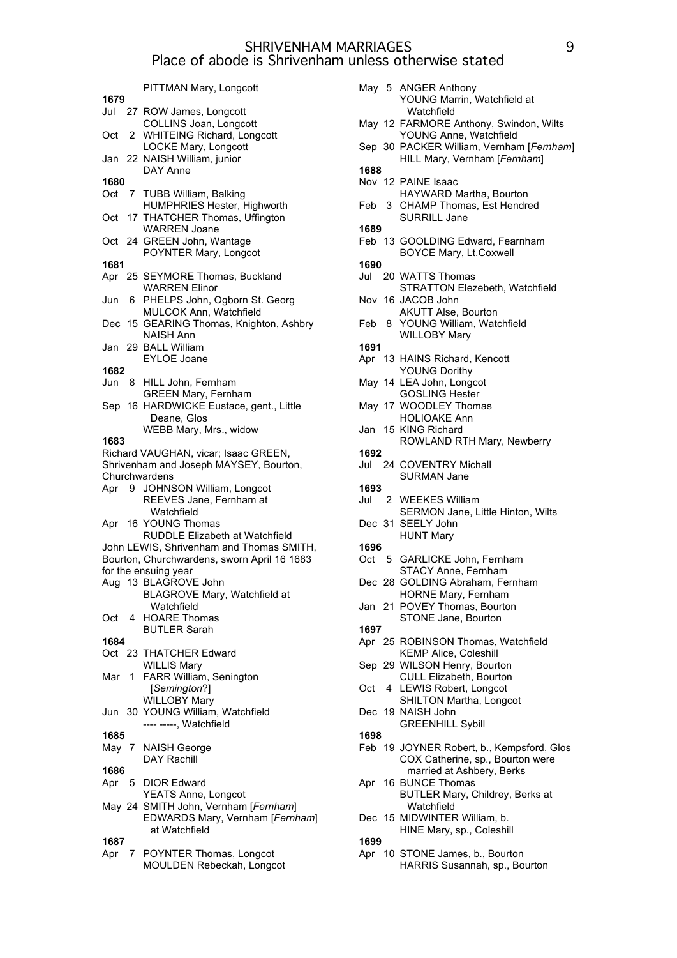|       |                | PITTMAN Mary, Longcott                                    |
|-------|----------------|-----------------------------------------------------------|
| 1679  |                |                                                           |
|       |                | Jul 27 ROW James, Longcott                                |
|       |                | COLLINS Joan, Longcott                                    |
| Oct   | 2              | <b>WHITEING Richard, Longcott</b><br>LOCKE Mary, Longcott |
| Jan   | 22             | NAISH William, junior                                     |
|       |                | DAY Anne                                                  |
| 1680  |                |                                                           |
| Oct   | $\overline{7}$ | TUBB William, Balking<br>HUMPHRIES Hester, Highworth      |
| Oct   |                | 17 THATCHER Thomas, Uffington                             |
|       |                | <b>WARREN Joane</b>                                       |
| Oct   |                | 24 GREEN John, Wantage                                    |
|       |                | POYNTER Mary, Longcot                                     |
| 1681  |                |                                                           |
|       |                | Apr 25 SEYMORE Thomas, Buckland                           |
| Jun   | 6.             | <b>WARREN Elinor</b><br>PHELPS John, Ogborn St. Georg     |
|       |                | MULCOK Ann, Watchfield                                    |
| Dec   |                | 15 GEARING Thomas, Knighton, Ashbry                       |
|       |                | NAISH Ann                                                 |
| Jan   |                | 29 BALL William                                           |
|       |                | <b>EYLOE Joane</b>                                        |
| 1682  |                |                                                           |
| Jun   | 8              | HILL John, Fernham<br><b>GREEN Mary, Fernham</b>          |
|       |                | Sep 16 HARDWICKE Eustace, gent., Little                   |
|       |                | Deane, Glos                                               |
|       |                | WEBB Mary, Mrs., widow                                    |
| 1683  |                |                                                           |
|       |                | Richard VAUGHAN, vicar; Isaac GREEN,                      |
|       |                | Shrivenham and Joseph MAYSEY, Bourton,                    |
| Apr 9 |                | Churchwardens<br>JOHNSON William, Longcot                 |
|       |                | REEVES Jane, Fernham at                                   |
|       |                | Watchfield                                                |
| Apr   |                | 16 YOUNG Thomas                                           |
|       |                | <b>RUDDLE Elizabeth at Watchfield</b>                     |
|       |                | John LEWIS, Shrivenham and Thomas SMITH,                  |
|       |                | Bourton, Churchwardens, sworn April 16 1683               |
|       |                | for the ensuing year<br>Aug 13 BLAGROVE John              |
|       |                | BLAGROVE Mary, Watchfield at                              |
|       |                | Watchfield                                                |
| Oct   | $\overline{4}$ | <b>HOARE Thomas</b>                                       |
|       |                | <b>BUTLER Sarah</b>                                       |
| 1684  |                |                                                           |
|       |                | Oct 23 THATCHER Edward<br><b>WILLIS Mary</b>              |
| Mar   | 1.             | FARR William, Senington                                   |
|       |                | [Semington?]                                              |
|       |                | <b>WILLOBY Mary</b>                                       |
|       |                | Jun 30 YOUNG William, Watchfield                          |
|       |                | ---- -----, Watchfield                                    |
| 1685  |                |                                                           |
| May 7 |                | <b>NAISH George</b><br><b>DAY Rachill</b>                 |
| 1686  |                |                                                           |
| Apr   | 5 <sub>5</sub> | <b>DIOR Edward</b>                                        |
|       |                | YEATS Anne, Longcot                                       |
|       |                | May 24 SMITH John, Vernham [Fernham]                      |
|       |                | EDWARDS Mary, Vernham [Fernham]<br>at Watchfield          |
| 1687  |                |                                                           |
| Apr   |                | 7 POYNTER Thomas, Longcot                                 |
|       |                | MOULDEN Rebeckah, Longcot                                 |

|      |   | May 5 ANGER Anthony<br>YOUNG Marrin, Watchfield at<br>Watchfield         |
|------|---|--------------------------------------------------------------------------|
|      |   | May 12 FARMORE Anthony, Swindon, Wilts<br>YOUNG Anne, Watchfield         |
|      |   | Sep 30 PACKER William, Vernham [Fernham]<br>HILL Mary, Vernham [Fernham] |
| 1688 |   |                                                                          |
|      |   | Nov 12 PAINE Isaac<br>HAYWARD Martha, Bourton                            |
| Feb  | 3 | <b>CHAMP Thomas, Est Hendred</b><br>SURRILL Jane                         |
| 1689 |   |                                                                          |
|      |   | Feb 13 GOOLDING Edward, Fearnham<br><b>BOYCE Mary, Lt.Coxwell</b>        |
| 1690 |   |                                                                          |
|      |   | Jul 20 WATTS Thomas                                                      |
|      |   | STRATTON Elezebeth, Watchfield<br>Nov 16 JACOB John                      |
| Feb  |   | <b>AKUTT Alse, Bourton</b><br>8 YOUNG William, Watchfield                |
| 1691 |   | <b>WILLOBY Mary</b>                                                      |
|      |   | Apr 13 HAINS Richard, Kencott                                            |
|      |   | <b>YOUNG Dorithy</b>                                                     |
|      |   | May 14 LEA John, Longcot                                                 |
|      |   | <b>GOSLING Hester</b>                                                    |
|      |   | May 17 WOODLEY Thomas                                                    |
|      |   | <b>HOLIOAKE Ann</b><br>Jan 15 KING Richard                               |
|      |   | ROWLAND RTH Mary, Newberry                                               |
| 1692 |   |                                                                          |
|      |   | Jul 24 COVENTRY Michall                                                  |
|      |   | SURMAN Jane                                                              |
| 1693 |   |                                                                          |
| Jul  |   | 2 WEEKES William                                                         |
|      |   |                                                                          |
|      |   | <b>SERMON Jane, Little Hinton, Wilts</b>                                 |
|      |   | Dec 31 SEELY John                                                        |
|      |   | <b>HUNT Mary</b>                                                         |
| 1696 |   |                                                                          |
|      |   | Oct 5 GARLICKE John, Fernham                                             |
|      |   | STACY Anne, Fernham<br>Dec 28 GOLDING Abraham, Fernham                   |
|      |   | HORNE Mary, Fernham                                                      |
|      |   | Jan 21 POVEY Thomas, Bourton                                             |
|      |   | STONE Jane, Bourton                                                      |
| 1697 |   |                                                                          |
|      |   | Apr 25 ROBINSON Thomas, Watchfield                                       |
|      |   | <b>KEMP Alice, Coleshill</b>                                             |
|      |   | Sep 29 WILSON Henry, Bourton<br>CULL Elizabeth, Bourton                  |
| Oct  | 4 | LEWIS Robert, Longcot                                                    |
|      |   | SHILTON Martha, Longcot                                                  |
| Dec  |   | 19 NAISH John                                                            |
|      |   | <b>GREENHILL Sybill</b>                                                  |
| 1698 |   | Feb 19 JOYNER Robert, b., Kempsford, Glos                                |
|      |   | COX Catherine, sp., Bourton were                                         |
|      |   | married at Ashbery, Berks                                                |
| Apr  |   | 16 BUNCE Thomas                                                          |
|      |   | BUTLER Mary, Childrey, Berks at                                          |
|      |   | Watchfield<br>Dec 15 MIDWINTER William, b.                               |
|      |   | HINE Mary, sp., Coleshill                                                |
| 1699 |   |                                                                          |
| Apr  |   | 10 STONE James, b., Bourton<br>HARRIS Susannah, sp., Bourton             |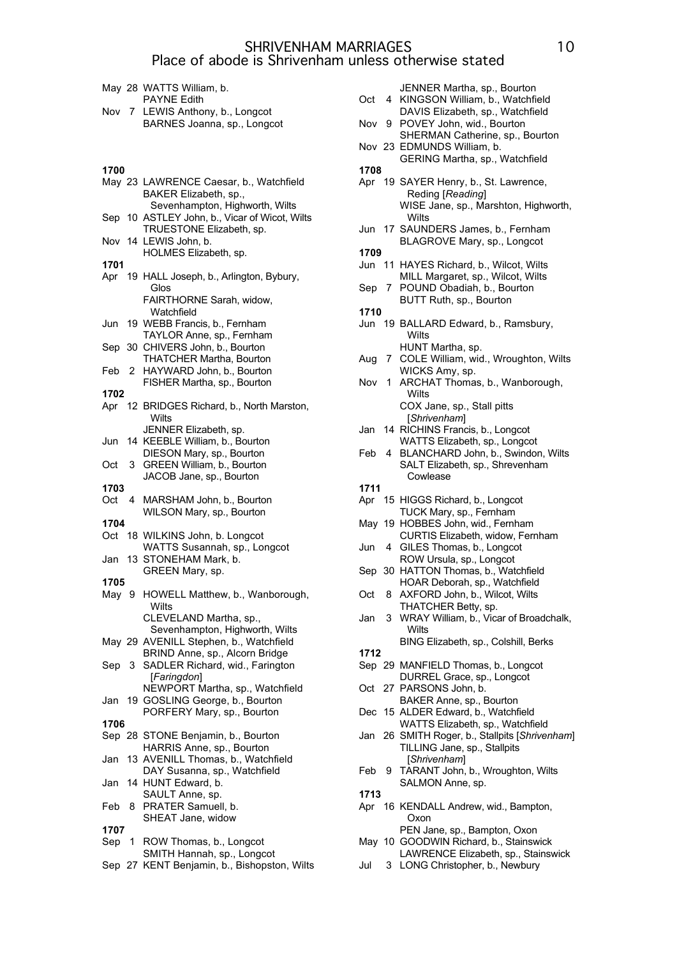|  | May 28 WATTS William, b.         |
|--|----------------------------------|
|  | <b>PAYNE Edith</b>               |
|  | Nov 7 LEWIS Anthony, b., Longcot |
|  | BARNES Joanna, sp., Longcot      |

| 1700 |                                                                 | 1708 |                                                         |
|------|-----------------------------------------------------------------|------|---------------------------------------------------------|
|      | May 23 LAWRENCE Caesar, b., Watchfield<br>BAKER Elizabeth, sp., |      | Apr 19 SAYER Henry, b., St. Lawrenc<br>Reding [Reading] |
|      | Sevenhampton, Highworth, Wilts                                  |      | WISE Jane, sp., Marshton, Hig                           |
|      | Sep 10 ASTLEY John, b., Vicar of Wicot, Wilts                   |      | Wilts                                                   |
|      | TRUESTONE Elizabeth, sp.                                        |      | Jun 17 SAUNDERS James, b., Fernha                       |
|      | Nov 14 LEWIS John, b.                                           |      | BLAGROVE Mary, sp., Longco                              |
|      | HOLMES Elizabeth, sp.                                           | 1709 |                                                         |
| 1701 |                                                                 |      | Jun 11 HAYES Richard, b., Wilcot, Wil                   |
| Apr  | 19 HALL Joseph, b., Arlington, Bybury,                          |      | MILL Margaret, sp., Wilcot, Wil                         |
|      | Glos                                                            |      | Sep 7 POUND Obadiah, b., Bourton                        |
|      | FAIRTHORNE Sarah, widow,                                        |      | BUTT Ruth, sp., Bourton                                 |
|      | Watchfield                                                      | 1710 |                                                         |
| Jun  | 19 WEBB Francis, b., Fernham                                    |      | Jun 19 BALLARD Edward, b., Ramsbu                       |
|      | TAYLOR Anne, sp., Fernham                                       |      | Wilts                                                   |
|      | Sep 30 CHIVERS John, b., Bourton                                |      | HUNT Martha, sp.                                        |
|      | <b>THATCHER Martha, Bourton</b>                                 |      | Aug 7 COLE William, wid., Wroughtor                     |
|      | Feb 2 HAYWARD John, b., Bourton                                 |      | WICKS Amy, sp.                                          |
|      | FISHER Martha, sp., Bourton                                     | Nov  | 1 ARCHAT Thomas, b., Wanbord                            |
| 1702 |                                                                 |      | Wilts                                                   |
| Apr  | 12 BRIDGES Richard, b., North Marston,                          |      | COX Jane, sp., Stall pitts                              |
|      | Wilts                                                           |      | [Shrivenham]                                            |
|      | JENNER Elizabeth, sp.                                           | Jan  | 14 RICHINS Francis, b., Longcot                         |
| Jun  | 14 KEEBLE William, b., Bourton                                  |      | WATTS Elizabeth, sp., Longcot                           |
|      | DIESON Mary, sp., Bourton                                       |      | Feb 4 BLANCHARD John, b., Swindor                       |
| Oct  | 3 GREEN William, b., Bourton                                    |      | SALT Elizabeth, sp., Shrevenha<br>Cowlease              |
| 1703 | JACOB Jane, sp., Bourton                                        | 1711 |                                                         |
| Oct  | 4 MARSHAM John, b., Bourton                                     |      | Apr 15 HIGGS Richard, b., Longcot                       |
|      | WILSON Mary, sp., Bourton                                       |      | TUCK Mary, sp., Fernham                                 |
| 1704 |                                                                 |      | May 19 HOBBES John, wid., Fernham                       |
|      | Oct 18 WILKINS John, b. Longcot                                 |      | CURTIS Elizabeth, widow, Fern                           |
|      | WATTS Susannah, sp., Longcot                                    | Jun  | 4 GILES Thomas, b., Longcot                             |
|      | Jan 13 STONEHAM Mark, b.                                        |      | ROW Ursula, sp., Longcot                                |
|      | GREEN Mary, sp.                                                 |      | Sep 30 HATTON Thomas, b., Watchfiel                     |
| 1705 |                                                                 |      | HOAR Deborah, sp., Watchfield                           |
|      | May 9 HOWELL Matthew, b., Wanborough,                           | Oct  | 8 AXFORD John, b., Wilcot, Wilts                        |
|      | Wilts                                                           |      | THATCHER Betty, sp.                                     |
|      | CLEVELAND Martha, sp.,                                          | Jan  | 3 WRAY William, b., Vicar of Broa                       |
|      | Sevenhampton, Highworth, Wilts                                  |      | Wilts                                                   |
|      | May 29 AVENILL Stephen, b., Watchfield                          |      | BING Elizabeth, sp., Colshill, Be                       |
|      | BRIND Anne, sp., Alcorn Bridge                                  | 1712 |                                                         |
|      | Sep 3 SADLER Richard, wid., Farington                           |      | Sep 29 MANFIELD Thomas, b., Longco                      |
|      | [Faringdon]                                                     |      | DURREL Grace, sp., Longcot                              |
|      | NEWPORT Martha, sp., Watchfield                                 |      | Oct 27 PARSONS John, b.                                 |
| Jan  | 19 GOSLING George, b., Bourton                                  |      | BAKER Anne, sp., Bourton                                |
|      | PORFERY Mary, sp., Bourton                                      |      | Dec 15 ALDER Edward, b., Watchfield                     |
| 1706 |                                                                 |      | WATTS Elizabeth, sp., Watchfie                          |
|      | Sep 28 STONE Benjamin, b., Bourton                              |      | Jan 26 SMITH Roger, b., Stallpits [Shriv                |
|      | HARRIS Anne, sp., Bourton                                       |      | TILLING Jane, sp., Stallpits                            |
| Jan  | 13 AVENILL Thomas, b., Watchfield                               |      | [Shrivenham]                                            |
|      | DAY Susanna, sp., Watchfield                                    | Feb  | 9 TARANT John, b., Wroughton, \                         |
| Jan  | 14 HUNT Edward, b.                                              | 1713 | SALMON Anne, sp.                                        |
| Feb  | SAULT Anne, sp.                                                 |      |                                                         |
|      | 8 PRATER Samuell, b.<br>SHEAT Jane, widow                       |      | Apr 16 KENDALL Andrew, wid., Bampt<br>Oxon              |
| 1707 |                                                                 |      | PEN Jane, sp., Bampton, Oxon                            |
| Sep  | 1 ROW Thomas, b., Longcot                                       |      | May 10 GOODWIN Richard, b., Stainsw                     |
|      | SMITH Hannah, sp., Longcot                                      |      | LAWRENCE Elizabeth, sp., Stai                           |
|      | Sep 27 KENT Benjamin, b., Bishopston, Wilts                     | Jul  | 3 LONG Christopher, b., Newbury                         |
|      |                                                                 |      |                                                         |

| Oct  | 4  | JENNER Martha, sp., Bourton<br>KINGSON William, b., Watchfield<br>DAVIS Elizabeth, sp., Watchfield         |
|------|----|------------------------------------------------------------------------------------------------------------|
| Nov  |    | 9 POVEY John, wid., Bourton<br>SHERMAN Catherine, sp., Bourton                                             |
|      |    | Nov 23 EDMUNDS William, b.<br>GERING Martha, sp., Watchfield                                               |
| 1708 |    |                                                                                                            |
|      |    |                                                                                                            |
|      |    | Apr 19 SAYER Henry, b., St. Lawrence,<br>Reding [Reading]<br>WISE Jane, sp., Marshton, Highworth,<br>Wilts |
|      |    | Jun 17 SAUNDERS James, b., Fernham<br>BLAGROVE Mary, sp., Longcot                                          |
| 1709 |    |                                                                                                            |
| Jun  | 11 | HAYES Richard, b., Wilcot, Wilts                                                                           |
| Sep  | 7  | MILL Margaret, sp., Wilcot, Wilts<br>POUND Obadiah, b., Bourton                                            |
|      |    | BUTT Ruth, sp., Bourton                                                                                    |
| 1710 |    |                                                                                                            |
| Jun  |    | 19 BALLARD Edward, b., Ramsbury,<br>Wilts                                                                  |
|      |    | HUNT Martha, sp.                                                                                           |
| Aug  | 7  | COLE William, wid., Wroughton, Wilts                                                                       |
|      |    | WICKS Amy, sp.                                                                                             |
| Nov  | 1. | ARCHAT Thomas, b., Wanborough,<br>Wilts                                                                    |
|      |    | COX Jane, sp., Stall pitts<br>[Shrivenham]                                                                 |
| Jan  |    | 14 RICHINS Francis, b., Longcot                                                                            |
|      |    | WATTS Elizabeth, sp., Longcot                                                                              |
|      |    |                                                                                                            |
| Feb  | 4  | BLANCHARD John, b., Swindon, Wilts<br>SALT Elizabeth, sp., Shrevenham                                      |
|      |    | Cowlease                                                                                                   |
| 1711 |    |                                                                                                            |
| Apr  |    | 15 HIGGS Richard, b., Longcot                                                                              |
|      |    | TUCK Mary, sp., Fernham                                                                                    |
| May  | 19 | HOBBES John, wid., Fernham                                                                                 |
|      |    | CURTIS Elizabeth, widow, Fernham                                                                           |
| Jun  | 4  | GILES Thomas, b., Longcot                                                                                  |
|      |    | ROW Ursula, sp., Longcot                                                                                   |
|      |    | Sep 30 HATTON Thomas, b., Watchfield                                                                       |
|      |    |                                                                                                            |
|      |    | HOAR Deborah, sp., Watchfield                                                                              |
| Oct  | 8  | AXFORD John, b., Wilcot, Wilts                                                                             |
|      |    | THATCHER Betty, sp.                                                                                        |
| Jan  | 3  | WRAY William, b., Vicar of Broadchalk,<br>Wilts                                                            |
|      |    | BING Elizabeth, sp., Colshill, Berks                                                                       |
| 1712 |    |                                                                                                            |
|      |    | Sep 29 MANFIELD Thomas, b., Longcot                                                                        |
|      |    | DURREL Grace, sp., Longcot                                                                                 |
| Oct  |    | 27 PARSONS John, b.                                                                                        |
|      |    |                                                                                                            |
|      |    | BAKER Anne, sp., Bourton<br>15 ALDER Edward, b., Watchfield                                                |
| Dec  |    |                                                                                                            |
|      |    | WATTS Elizabeth, sp., Watchfield                                                                           |
| Jan  |    | 26 SMITH Roger, b., Stallpits [Shrivenham]<br>TILLING Jane, sp., Stallpits                                 |
|      |    | [Shrivenham]                                                                                               |
| Feb  | 9  | TARANT John, b., Wroughton, Wilts                                                                          |
|      |    | SALMON Anne, sp.                                                                                           |
| 1713 |    |                                                                                                            |
| Apr  |    | 16 KENDALL Andrew, wid., Bampton,                                                                          |
|      |    | Oxon                                                                                                       |
|      |    | PEN Jane, sp., Bampton, Oxon                                                                               |
|      |    | May 10 GOODWIN Richard, b., Stainswick                                                                     |
|      |    |                                                                                                            |
|      |    | LAWRENCE Elizabeth, sp., Stainswick                                                                        |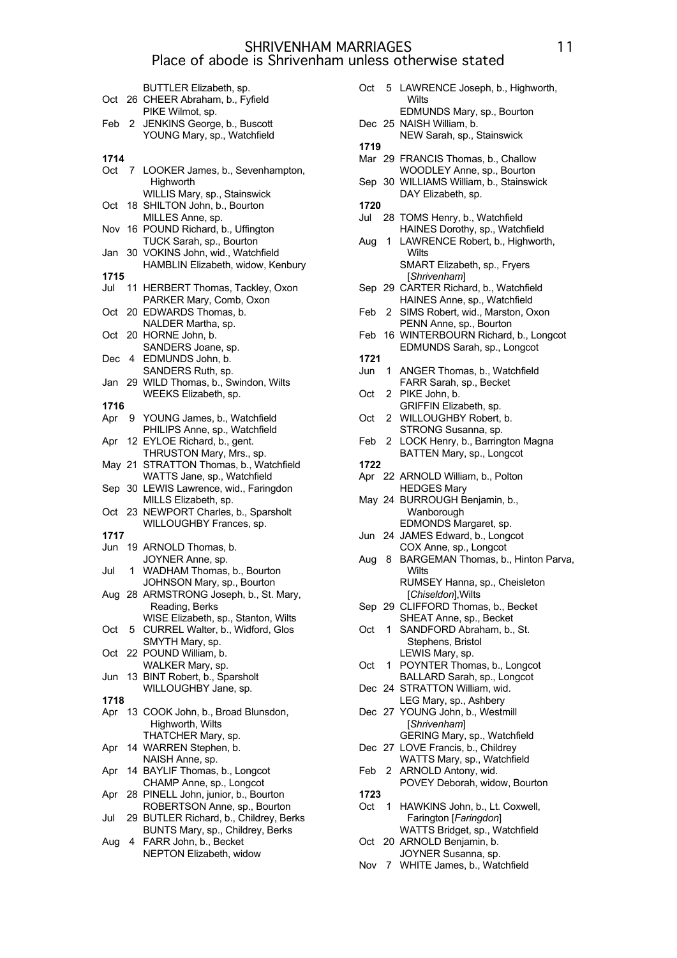|      |    | BUTTLER Elizabeth, sp.                                              |
|------|----|---------------------------------------------------------------------|
| Oct  | 26 | CHEER Abraham, b., Fyfield                                          |
|      |    | PIKE Wilmot, sp.                                                    |
| Feb  | 2  | JENKINS George, b., Buscott                                         |
|      |    | YOUNG Mary, sp., Watchfield                                         |
|      |    |                                                                     |
| 1714 |    |                                                                     |
| Oct  | 7  | LOOKER James, b., Sevenhampton,                                     |
|      |    | Highworth                                                           |
|      |    | WILLIS Mary, sp., Stainswick                                        |
| Oct  | 18 | SHILTON John, b., Bourton                                           |
| Nov  |    | MILLES Anne, sp.<br>16 POUND Richard, b., Uffington                 |
|      |    | TUCK Sarah, sp., Bourton                                            |
| Jan  |    | 30 VOKINS John, wid., Watchfield                                    |
|      |    | HAMBLIN Elizabeth, widow, Kenbury                                   |
| 1715 |    |                                                                     |
| Jul  | 11 | HERBERT Thomas, Tackley, Oxon                                       |
|      |    | PARKER Mary, Comb, Oxon                                             |
| Oct  |    | 20 EDWARDS Thomas, b.                                               |
|      |    | NALDER Martha, sp.                                                  |
| Oct  |    | 20 HORNE John, b.                                                   |
|      |    | SANDERS Joane, sp.                                                  |
| Dec  | 4  | EDMUNDS John, b.                                                    |
|      |    | SANDERS Ruth, sp.                                                   |
| Jan  |    | 29 WILD Thomas, b., Swindon, Wilts                                  |
|      |    | WEEKS Elizabeth, sp.                                                |
| 1716 |    |                                                                     |
| Apr  | 9. | YOUNG James, b., Watchfield                                         |
|      |    | PHILIPS Anne, sp., Watchfield                                       |
| Apr  | 12 | EYLOE Richard, b., gent.                                            |
|      |    | THRUSTON Mary, Mrs., sp.                                            |
| May  | 21 | STRATTON Thomas, b., Watchfield                                     |
|      |    | WATTS Jane, sp., Watchfield                                         |
| Sep  |    | 30 LEWIS Lawrence, wid., Faringdon                                  |
|      |    | MILLS Elizabeth, sp.                                                |
| Oct  |    | 23 NEWPORT Charles, b., Sparsholt                                   |
|      |    | WILLOUGHBY Frances, sp.                                             |
| 1717 |    |                                                                     |
| Jun  |    | 19 ARNOLD Thomas, b.<br>JOYNER Anne, sp.                            |
| Jul  | 1. | WADHAM Thomas, b., Bourton                                          |
|      |    | JOHNSON Mary, sp., Bourton                                          |
|      |    | Aug 28 ARMSTRONG Joseph, b., St. Mary,                              |
|      |    | Reading, Berks                                                      |
|      |    | WISE Elizabeth, sp., Stanton, Wilts                                 |
| Oct  | 5. | CURREL Walter, b., Widford, Glos                                    |
|      |    | SMYTH Mary, sp.                                                     |
| Oct  | 22 | POUND William, b.                                                   |
|      |    | WALKER Mary, sp.                                                    |
| Jun  | 13 | BINT Robert, b., Sparsholt                                          |
|      |    | WILLOUGHBY Jane, sp.                                                |
| 1718 |    |                                                                     |
| Apr  |    | 13 COOK John, b., Broad Blunsdon,                                   |
|      |    | Highworth, Wilts                                                    |
|      |    | THATCHER Mary, sp.                                                  |
| Apr  | 14 | WARREN Stephen, b.                                                  |
|      |    | NAISH Anne, sp.                                                     |
| Apr  |    | 14 BAYLIF Thomas, b., Longcot                                       |
|      |    | CHAMP Anne, sp., Longcot                                            |
| Apr  |    | 28 PINELL John, junior, b., Bourton<br>ROBERTSON Anne, sp., Bourton |
| Jul  |    | 29 BUTLER Richard, b., Childrey, Berks                              |
|      |    | BUNTS Mary, sp., Childrey, Berks                                    |
|      |    |                                                                     |

Aug 4 FARR John, b., Becket NEPTON Elizabeth, widow

| Oct  |                | 5 LAWRENCE Joseph, b., Highworth,<br>Wilts                    |
|------|----------------|---------------------------------------------------------------|
|      |                | EDMUNDS Mary, sp., Bourton                                    |
|      |                | Dec 25 NAISH William, b.<br>NEW Sarah, sp., Stainswick        |
| 1719 |                |                                                               |
|      |                | Mar 29 FRANCIS Thomas, b., Challow                            |
|      |                | WOODLEY Anne, sp., Bourton                                    |
|      |                | Sep 30 WILLIAMS William, b., Stainswick                       |
| 1720 |                | DAY Elizabeth, sp.                                            |
| Jul  |                | 28 TOMS Henry, b., Watchfield                                 |
|      |                | HAINES Dorothy, sp., Watchfield                               |
| Aug  | 1.             | LAWRENCE Robert, b., Highworth,                               |
|      |                | Wilts                                                         |
|      |                | SMART Elizabeth, sp., Fryers                                  |
|      |                | [Shrivenham]<br>Sep 29 CARTER Richard, b., Watchfield         |
|      |                | HAINES Anne, sp., Watchfield                                  |
| Feb  | 2              | SIMS Robert, wid., Marston, Oxon                              |
|      |                | PENN Anne, sp., Bourton                                       |
| Feb  | 16             | WINTERBOURN Richard, b., Longcot                              |
| 1721 |                | EDMUNDS Sarah, sp., Longcot                                   |
| Jun  | 1              | ANGER Thomas, b., Watchfield                                  |
|      |                | FARR Sarah, sp., Becket                                       |
| Oct  | 2              | PIKE John, b.                                                 |
|      |                | GRIFFIN Elizabeth, sp.                                        |
| Oct  | $\mathbf{2}$   | WILLOUGHBY Robert, b.                                         |
|      |                | STRONG Susanna, sp.                                           |
| Feb  | 2              | LOCK Henry, b., Barrington Magna<br>BATTEN Mary, sp., Longcot |
| 1722 |                |                                                               |
| Apr  |                | 22 ARNOLD William, b., Polton                                 |
|      |                | <b>HEDGES Mary</b>                                            |
|      |                | May 24 BURROUGH Benjamin, b.,                                 |
|      |                | Wanborough                                                    |
|      |                | EDMONDS Margaret, sp.<br>Jun 24 JAMES Edward, b., Longcot     |
|      |                | COX Anne, sp., Longcot                                        |
| Aug  | 8              | BARGEMAN Thomas, b., Hinton Parva,                            |
|      |                | Wilts                                                         |
|      |                | RUMSEY Hanna, sp., Cheisleton                                 |
|      |                | [ <i>Chiseldon</i> ], Wilts                                   |
| Sep  |                | 29 CLIFFORD Thomas, b., Becket<br>SHEAT Anne, sp., Becket     |
| Oct  | 1.             | SANDFORD Abraham, b., St.                                     |
|      |                | Stephens, Bristol                                             |
|      |                | LEWIS Mary, sp.                                               |
| Oct  | 1.             | POYNTER Thomas, b., Longcot                                   |
|      |                | BALLARD Sarah, sp., Longcot                                   |
| Dec  |                | 24 STRATTON William, wid.<br>LEG Mary, sp., Ashbery           |
|      |                | Dec 27 YOUNG John, b., Westmill                               |
|      |                | [Shrivenham]                                                  |
|      |                | GERING Mary, sp., Watchfield                                  |
|      |                | Dec 27 LOVE Francis, b., Childrey                             |
|      |                | WATTS Mary, sp., Watchfield                                   |
| Feb  | 2              | ARNOLD Antony, wid.<br>POVEY Deborah, widow, Bourton          |
| 1723 |                |                                                               |
| Oct  | 1.             | HAWKINS John, b., Lt. Coxwell,                                |
|      |                | Farington [Faringdon]                                         |
|      |                | WATTS Bridget, sp., Watchfield                                |
| Oct  |                | 20 ARNOLD Benjamin, b.                                        |
| Nov  | $\overline{7}$ | JOYNER Susanna, sp.<br>WHITE James, b., Watchfield            |
|      |                |                                                               |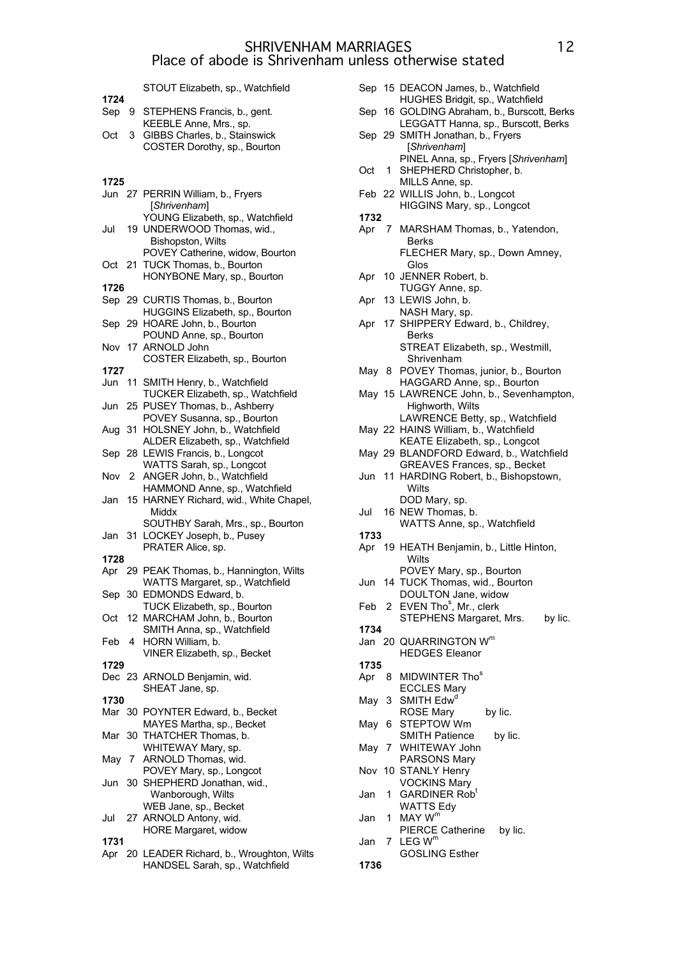STOUT Elizabeth, sp., Watchfield **1724** Sep 9 STEPHENS Francis, b., gent. KEEBLE Anne, Mrs., sp. Oct 3 GIBBS Charles, b., Stainswick COSTER Dorothy, sp., Bourton **1725** Jun 27 PERRIN William, b., Fryers [*Shrivenham*] YOUNG Elizabeth, sp., Watchfield Jul 19 UNDERWOOD Thomas, wid., Bishopston, Wilts POVEY Catherine, widow, Bourton Oct 21 TUCK Thomas, b., Bourton HONYBONE Mary, sp., Bourton **1726** Sep 29 CURTIS Thomas, b., Bourton HUGGINS Elizabeth, sp., Bourton Sep 29 HOARE John, b., Bourton POUND Anne, sp., Bourton Nov 17 ARNOLD John COSTER Elizabeth, sp., Bourton **1727** Jun 11 SMITH Henry, b., Watchfield TUCKER Elizabeth, sp., Watchfield Jun 25 PUSEY Thomas, b., Ashberry POVEY Susanna, sp., Bourton Aug 31 HOLSNEY John, b., Watchfield ALDER Elizabeth, sp., Watchfield Sep 28 LEWIS Francis, b., Longcot WATTS Sarah, sp., Longcot Nov 2 ANGER John, b., Watchfield HAMMOND Anne, sp., Watchfield Jan 15 HARNEY Richard, wid., White Chapel, Middx SOUTHBY Sarah, Mrs., sp., Bourton Jan 31 LOCKEY Joseph, b., Pusey PRATER Alice, sp. **1728** Apr 29 PEAK Thomas, b., Hannington, Wilts WATTS Margaret, sp., Watchfield Sep 30 EDMONDS Edward, b. TUCK Elizabeth, sp., Bourton Oct 12 MARCHAM John, b., Bourton SMITH Anna, sp., Watchfield Feb 4 HORN William, b. VINER Elizabeth, sp., Becket **1729** Dec 23 ARNOLD Benjamin, wid. SHEAT Jane, sp. **1730** Mar 30 POYNTER Edward, b., Becket MAYES Martha, sp., Becket Mar 30 THATCHER Thomas, b. WHITEWAY Mary, sp. May 7 ARNOLD Thomas, wid. POVEY Mary, sp., Longcot Jun 30 SHEPHERD Jonathan, wid., Wanborough, Wilts WEB Jane, sp., Becket Jul 27 ARNOLD Antony, wid. HORE Margaret, widow **1731** Apr 20 LEADER Richard, b., Wroughton, Wilts

HANDSEL Sarah, sp., Watchfield

Sep 15 DEACON James, b., Watchfield HUGHES Bridgit, sp., Watchfield Sep 16 GOLDING Abraham, b., Burscott, Berks LEGGATT Hanna, sp., Burscott, Berks Sep 29 SMITH Jonathan, b., Fryers [*Shrivenham*] PINEL Anna, sp., Fryers [*Shrivenham*] Oct 1 SHEPHERD Christopher, b. MILLS Anne, sp. Feb 22 WILLIS John, b., Longcot HIGGINS Mary, sp., Longcot **1732** Apr 7 MARSHAM Thomas, b., Yatendon, Berks FLECHER Mary, sp., Down Amney, Glos Apr 10 JENNER Robert, b. TUGGY Anne, sp. Apr 13 LEWIS John, b. NASH Mary, sp. Apr 17 SHIPPERY Edward, b., Childrey, Berks STREAT Elizabeth, sp., Westmill, Shrivenham May 8 POVEY Thomas, junior, b., Bourton HAGGARD Anne, sp., Bourton May 15 LAWRENCE John, b., Sevenhampton, Highworth, Wilts LAWRENCE Betty, sp., Watchfield May 22 HAINS William, b., Watchfield KEATE Elizabeth, sp., Longcot May 29 BLANDFORD Edward, b., Watchfield GREAVES Frances, sp., Becket Jun 11 HARDING Robert, b., Bishopstown, Wilts DOD Mary, sp. Jul 16 NEW Thomas, b. WATTS Anne, sp., Watchfield **1733** Apr 19 HEATH Benjamin, b., Little Hinton, **Wilts** POVEY Mary, sp., Bourton Jun 14 TUCK Thomas, wid., Bourton DOULTON Jane, widow Feb 2 EVEN Tho<sup>s</sup>, Mr., clerk STEPHENS Margaret, Mrs. by lic. **1734** Jan 20 QUARRINGTON W<sup>m</sup> HEDGES Eleanor **1735** Apr 8 MIDWINTER Thos ECCLES Mary May 3 SMITH Edw<sup>d</sup> ROSE Mary by lic. May 6 STEPTOW Wm SMITH Patience by lic. May 7 WHITEWAY John PARSONS Mary Nov 10 STANLY Henry VOCKINS Mary Jan 1 GARDINER Rob<sup>t</sup> WATTS Edy Jan  $1$  MAY  $W^r$ PIERCE Catherine by lic. Jan  $7$  LEG  $W^m$ GOSLING Esther **1736**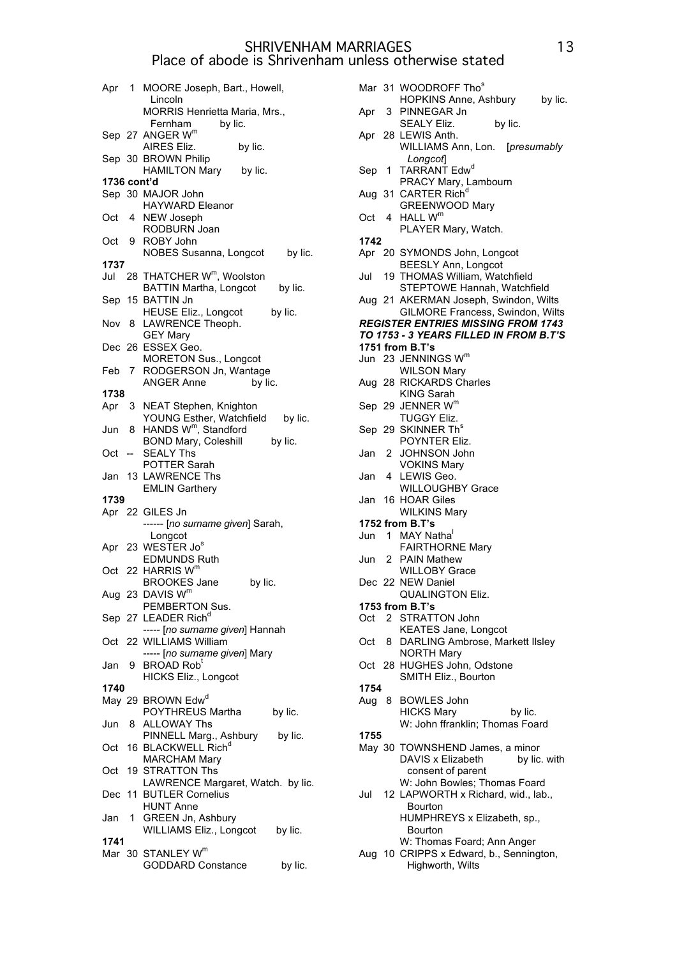|             |    | Apr 1 MOORE Joseph, Bart., Howell,<br>Lincoln     |
|-------------|----|---------------------------------------------------|
|             |    | MORRIS Henrietta Maria, Mrs.,                     |
|             |    | by lic.<br>Fernham<br>Sep 27 ANGER W <sup>m</sup> |
|             |    | AIRES Eliz.<br>by lic.<br>Sep 30 BROWN Philip     |
|             |    | HAMILTON Mary by lic.                             |
| 1736 cont'd |    | Sep 30 MAJOR John                                 |
|             |    | <b>HAYWARD Eleanor</b>                            |
| Oct         |    | 4 NEW Joseph<br>RODBURN Joan                      |
| Oct         |    | 9 ROBY John<br>NOBES Susanna, Longcot<br>by lic.  |
| 1737        |    |                                                   |
|             |    | Jul 28 THATCHER W <sup>m</sup> , Woolston         |
|             |    | <b>BATTIN Martha, Longcot</b><br>by lic.          |
|             |    | Sep 15 BATTIN Jn                                  |
|             |    | by lic.                                           |
| Nov         |    | HEUSE Eliz., Longcot<br>8 LAWRENCE Theoph.        |
|             |    | <b>GEY Mary</b>                                   |
|             |    | Dec 26 ESSEX Geo.                                 |
|             |    | <b>MORETON Sus., Longcot</b>                      |
|             |    | Feb 7 RODGERSON Jn, Wantage                       |
|             |    | <b>ANGER Anne</b><br>by lic.                      |
| 1738        |    |                                                   |
| Apr         |    | 3 NEAT Stephen, Knighton                          |
|             |    | YOUNG Esther, Watchfield<br>by lic.               |
| Jun         | 8  | HANDS W <sup>m</sup> , Standford                  |
|             |    | <b>BOND Mary, Coleshill</b><br>by lic.            |
| Oct         |    | <b>SEALY Ths</b>                                  |
|             |    | <b>POTTER Sarah</b>                               |
| Jan         |    | 13 LAWRENCE Ths                                   |
|             |    | <b>EMLIN Garthery</b>                             |
| 1739        |    |                                                   |
|             |    | Apr 22 GILES Jn                                   |
|             |    | ------ [no surname given] Sarah,                  |
|             |    | Longcot                                           |
|             |    | Apr 23 WESTER Jo <sup>s</sup>                     |
|             |    | <b>EDMUNDS Ruth</b>                               |
|             |    | Oct 22 HARRIS W <sup>m</sup>                      |
|             |    | <b>BROOKES Jane</b><br>by lic.                    |
|             |    | Aug 23 DAVIS W <sup>m</sup>                       |
|             |    | PEMBERTON Sus.                                    |
|             |    | Sep 27 LEADER Rich <sup>d</sup>                   |
|             |    | ----- [no surname given] Hannah                   |
| Oct         |    | 22 WILLIAMS William                               |
|             |    | ----- [no surname given] Mary                     |
| Jan         |    | 9 BROAD Rob <sup>t</sup>                          |
| 1740        |    | <b>HICKS Eliz., Longcot</b>                       |
|             |    |                                                   |
|             |    | May 29 BROWN Edw <sup>d</sup><br>POYTHREUS Martha |
|             | 8. | by lic.<br><b>ALLOWAY Ths</b>                     |
| Jun         |    | PINNELL Marg., Ashbury                            |
| Oct         |    | by lic.<br>16 BLACKWELL Rich <sup>d</sup>         |
|             |    | <b>MARCHAM Mary</b>                               |
| Oct         |    | 19 STRATTON Ths                                   |
|             |    | LAWRENCE Margaret, Watch. by lic.                 |
| Dec         |    | 11 BUTLER Cornelius                               |
|             |    | <b>HUNT Anne</b>                                  |
| Jan         |    | 1 GREEN Jn, Ashbury                               |
|             |    | WILLIAMS Eliz., Longcot<br>by lic.                |
| 1741        |    |                                                   |
|             |    | Mar 30 STANLEY Wm                                 |
|             |    | GODDARD Constance<br>by lic.                      |

Mar 31 WOODROFF Thos HOPKINS Anne, Ashbury by lic. Apr 3 PINNEGAR Jn SEALY Eliz. by lic. Apr 28 LEWIS Anth. WILLIAMS Ann, Lon. [*presumably Longcot*] Sep 1 TARRANT Edw<sup>d</sup> PRACY Mary, Lambourn Aug 31 CARTER Rich<sup>a</sup> GREENWOOD Mary Oct 4 HALL W<sup>m</sup> PLAYER Mary, Watch. **1742** Apr 20 SYMONDS John, Longcot BEESLY Ann, Longcot Jul 19 THOMAS William, Watchfield STEPTOWE Hannah, Watchfield Aug 21 AKERMAN Joseph, Swindon, Wilts GILMORE Francess, Swindon, Wilts *REGISTER ENTRIES MISSING FROM 1743 TO 1753 - 3 YEARS FILLED IN FROM B.T'S* **1751 from B.T's** Jun 23 JENNINGS Wm WILSON Mary Aug 28 RICKARDS Charles KING Sarah Sep 29 JENNER W<sup>m</sup> TUGGY Eliz. Sep 29 SKINNER Th<sup>s</sup> POYNTER Eliz. Jan 2 JOHNSON John VOKINS Mary Jan 4 LEWIS Geo. WILLOUGHBY Grace Jan 16 HOAR Giles WILKINS Mary **1752 from B.T's** Jun 1 MAY Natha FAIRTHORNE Mary Jun 2 PAIN Mathew WILLOBY Grace Dec 22 NEW Daniel QUALINGTON Eliz. **1753 from B.T's** Oct 2 STRATTON John KEATES Jane, Longcot Oct 8 DARLING Ambrose, Markett Ilsley NORTH Mary Oct 28 HUGHES John, Odstone SMITH Eliz., Bourton **1754** Aug 8 BOWLES John HICKS Mary by lic. W: John ffranklin; Thomas Foard **1755** May 30 TOWNSHEND James, a minor DAVIS x Elizabeth by lic. with consent of parent W: John Bowles; Thomas Foard Jul 12 LAPWORTH x Richard, wid., lab., Bourton HUMPHREYS x Elizabeth, sp., Bourton W: Thomas Foard; Ann Anger Aug 10 CRIPPS x Edward, b., Sennington, Highworth, Wilts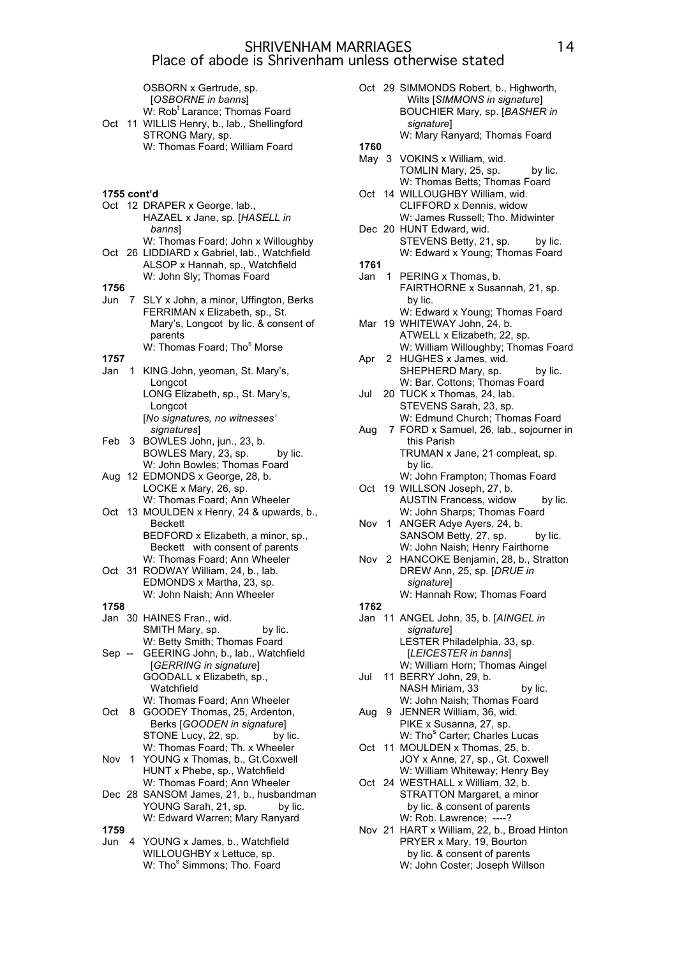OSBORN x Gertrude, sp. [*OSBORNE in banns*] W: Rob<sup>t</sup> Larance; Thomas Foard Oct 11 WILLIS Henry, b., lab., Shellingford STRONG Mary, sp. W: Thomas Foard; William Foard

- **1755 cont'd**
- Oct 12 DRAPER x George, lab., HAZAEL x Jane, sp. [*HASELL in banns*]
- W: Thomas Foard; John x Willoughby Oct 26 LIDDIARD x Gabriel, lab., Watchfield ALSOP x Hannah, sp., Watchfield W: John Sly; Thomas Foard
- **1756**

**1757**

- Jun 7 SLY x John, a minor, Uffington, Berks FERRIMAN x Elizabeth, sp., St. Mary's, Longcot by lic. & consent of parents
	- W: Thomas Foard; Tho<sup>s</sup> Morse
- Jan 1 KING John, yeoman, St. Mary's, Longcot LONG Elizabeth, sp., St. Mary's, Longcot
	- [*No signatures, no witnesses' signatures*]
- Feb 3 BOWLES John, jun., 23, b. BOWLES Mary, 23, sp. by lic. W: John Bowles; Thomas Foard
- Aug 12 EDMONDS x George, 28, b. LOCKE x Mary, 26, sp. W: Thomas Foard; Ann Wheeler
- Oct 13 MOULDEN x Henry, 24 & upwards, b., Beckett BEDFORD x Elizabeth, a minor, sp., Beckett with consent of parents
- W: Thomas Foard; Ann Wheeler Oct 31 RODWAY William, 24, b., lab. EDMONDS x Martha, 23, sp. W: John Naish; Ann Wheeler
- **1758**
- Jan 30 HAINES Fran., wid. SMITH Mary, sp. by lic. W: Betty Smith; Thomas Foard Sep -- GEERING John, b., lab., Watchfield
- [*GERRING in signature*] GOODALL x Elizabeth, sp., Watchfield W: Thomas Foard; Ann Wheeler
- Oct 8 GOODEY Thomas, 25, Ardenton, Berks [*GOODEN in signature*] STONE Lucy, 22, sp. by lic. W: Thomas Foard; Th. x Wheeler
- Nov 1 YOUNG x Thomas, b., Gt.Coxwell HUNT x Phebe, sp., Watchfield W: Thomas Foard; Ann Wheeler
- Dec 28 SANSOM James, 21, b., husbandman YOUNG Sarah, 21, sp. by lic. W: Edward Warren; Mary Ranyard **1759**
- Jun 4 YOUNG x James, b., Watchfield WILLOUGHBY x Lettuce, sp. W: Tho<sup>s</sup> Simmons; Tho. Foard
- Oct 29 SIMMONDS Robert, b., Highworth, Wilts [*SIMMONS in signature*] BOUCHIER Mary, sp. [*BASHER in signature*] W: Mary Ranyard; Thomas Foard
- **1760**
- May 3 VOKINS x William, wid. TOMLIN Mary, 25, sp. by lic. W: Thomas Betts; Thomas Foard
- Oct 14 WILLOUGHBY William, wid. CLIFFORD x Dennis, widow W: James Russell; Tho. Midwinter
- Dec 20 HUNT Edward, wid. STEVENS Betty, 21, sp. by lic. W: Edward x Young; Thomas Foard **1761**
- Jan 1 PERING x Thomas, b. FAIRTHORNE x Susannah, 21, sp. by lic. W: Edward x Young; Thomas Foard
- Mar 19 WHITEWAY John, 24, b. ATWELL x Elizabeth, 22, sp. W: William Willoughby; Thomas Foard
- Apr 2 HUGHES x James, wid. SHEPHERD Mary, sp. by lic. W: Bar. Cottons; Thomas Foard
- Jul 20 TUCK x Thomas, 24, lab. STEVENS Sarah, 23, sp. W: Edmund Church; Thomas Foard
- Aug 7 FORD x Samuel, 26, lab., sojourner in this Parish TRUMAN x Jane, 21 compleat, sp. by lic.
- W: John Frampton; Thomas Foard Oct 19 WILLSON Joseph, 27, b. AUSTIN Francess, widow by lic.
- W: John Sharps; Thomas Foard Nov 1 ANGER Adye Ayers, 24, b.
- SANSOM Betty, 27, sp. by lic. W: John Naish; Henry Fairthorne
- Nov 2 HANCOKE Benjamin, 28, b., Stratton DREW Ann, 25, sp. [*DRUE in signature*] W: Hannah Row; Thomas Foard
- **1762**
- Jan 11 ANGEL John, 35, b. [*AINGEL in signature*] LESTER Philadelphia, 33, sp. [*LEICESTER in banns*]
- W: William Horn; Thomas Aingel Jul 11 BERRY John, 29, b.
- NASH Miriam, 33 by lic. W: John Naish; Thomas Foard Aug 9 JENNER William, 36, wid.
- PIKE x Susanna, 27, sp. W: Tho<sup>s</sup> Carter; Charles Lucas
- Oct 11 MOULDEN x Thomas, 25, b. JOY x Anne, 27, sp., Gt. Coxwell W: William Whiteway; Henry Bey
- Oct 24 WESTHALL x William, 32, b. STRATTON Margaret, a minor by lic. & consent of parents W: Rob. Lawrence: ----?
- Nov 21 HART x William, 22, b., Broad Hinton PRYER x Mary, 19, Bourton by lic. & consent of parents W: John Coster; Joseph Willson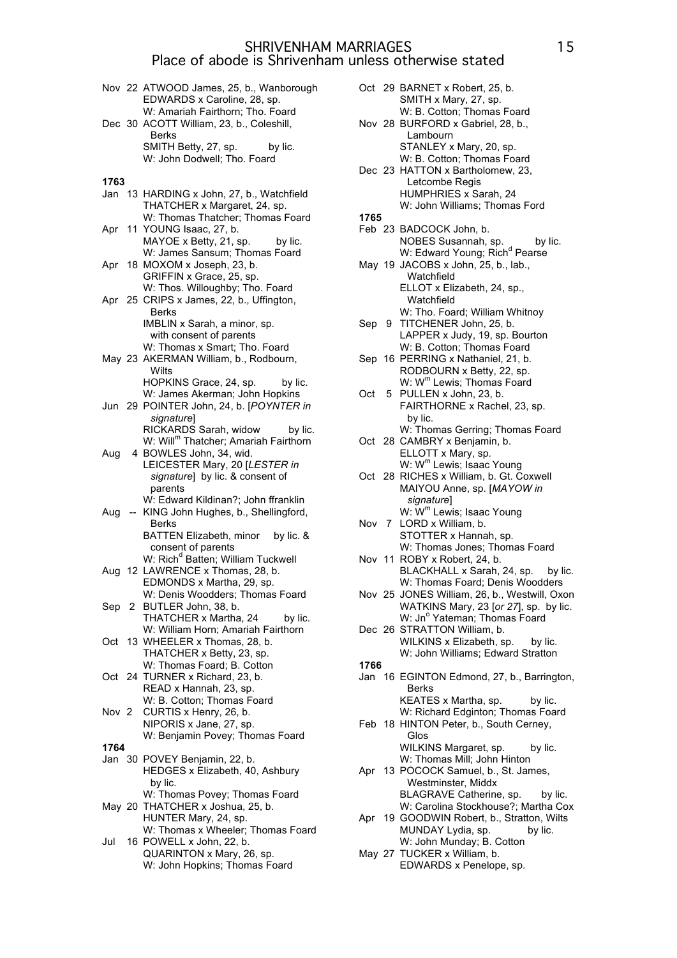- Nov 22 ATWOOD James, 25, b., Wanborough EDWARDS x Caroline, 28, sp. W: Amariah Fairthorn; Tho. Foard
- Dec 30 ACOTT William, 23, b., Coleshill, Berks SMITH Betty, 27, sp. by lic. W: John Dodwell; Tho. Foard

#### **1763**

- Jan 13 HARDING x John, 27, b., Watchfield THATCHER x Margaret, 24, sp. W: Thomas Thatcher; Thomas Foard
- Apr 11 YOUNG Isaac, 27, b. MAYOE x Betty, 21, sp. by lic. W: James Sansum; Thomas Foard
- Apr 18 MOXOM x Joseph, 23, b. GRIFFIN x Grace, 25, sp. W: Thos. Willoughby; Tho. Foard Apr 25 CRIPS x James, 22, b., Uffington, Berks IMBLIN x Sarah, a minor, sp. with consent of parents
- W: Thomas x Smart; Tho. Foard May 23 AKERMAN William, b., Rodbourn, **Wilts**
- HOPKINS Grace, 24, sp. by lic. W: James Akerman; John Hopkins
- Jun 29 POINTER John, 24, b. [*POYNTER in signature*] RICKARDS Sarah, widow by lic. W: Will<sup>m</sup> Thatcher; Amariah Fairthorn
- Aug 4 BOWLES John, 34, wid. LEICESTER Mary, 20 [*LESTER in signature*] by lic. & consent of parents W: Edward Kildinan?; John ffranklin
- Aug -- KING John Hughes, b., Shellingford, Berks BATTEN Elizabeth, minor by lic. & consent of parents W: Rich<sup>d</sup> Batten; William Tuckwell Aug 12 LAWRENCE x Thomas, 28, b. EDMONDS x Martha, 29, sp. W: Denis Woodders; Thomas Foard
- Sep 2 BUTLER John, 38, b. THATCHER x Martha, 24 by lic. W: William Horn; Amariah Fairthorn
- Oct 13 WHEELER x Thomas, 28, b. THATCHER x Betty, 23, sp. W: Thomas Foard; B. Cotton Oct 24 TURNER x Richard, 23, b.
- READ x Hannah, 23, sp. W: B. Cotton; Thomas Foard
- Nov 2 CURTIS x Henry, 26, b. NIPORIS x Jane, 27, sp. W: Benjamin Povey; Thomas Foard
- **1764**
- Jan 30 POVEY Benjamin, 22, b. HEDGES x Elizabeth, 40, Ashbury by lic. W: Thomas Povey; Thomas Foard May 20 THATCHER x Joshua, 25, b.
- HUNTER Mary, 24, sp. W: Thomas x Wheeler; Thomas Foard
- Jul 16 POWELL x John, 22, b. QUARINTON x Mary, 26, sp. W: John Hopkins; Thomas Foard
- Oct 29 BARNET x Robert, 25, b. SMITH x Mary, 27, sp. W: B. Cotton; Thomas Foard Nov 28 BURFORD x Gabriel, 28, b., Lambourn STANLEY x Mary, 20, sp. W: B. Cotton; Thomas Foard Dec 23 HATTON x Bartholomew, 23, Letcombe Regis HUMPHRIES x Sarah, 24 W: John Williams; Thomas Ford **1765** Feb 23 BADCOCK John, b. NOBES Susannah, sp. by lic. W: Edward Young; Rich<sup>d</sup> Pearse May 19 JACOBS x John, 25, b., lab., Watchfield ELLOT x Elizabeth, 24, sp., Watchfield W: Tho. Foard; William Whitnoy Sep 9 TITCHENER John, 25, b. LAPPER x Judy, 19, sp. Bourton W: B. Cotton; Thomas Foard Sep 16 PERRING x Nathaniel, 21, b. RODBOURN x Betty, 22, sp. W: W<sup>m</sup> Lewis; Thomas Foard Oct 5 PULLEN x John, 23, b. FAIRTHORNE x Rachel, 23, sp. by lic. W: Thomas Gerring; Thomas Foard Oct 28 CAMBRY x Benjamin, b. ELLOTT x Mary, sp. W: W<sup>m</sup> Lewis; Isaac Young Oct 28 RICHES x William, b. Gt. Coxwell MAIYOU Anne, sp. [*MAYOW in signature*] W: W<sup>m</sup> Lewis; Isaac Young Nov 7 LORD x William, b. STOTTER x Hannah, sp. W: Thomas Jones; Thomas Foard Nov 11 ROBY x Robert, 24, b. BLACKHALL x Sarah, 24, sp. by lic. W: Thomas Foard; Denis Woodders Nov 25 JONES William, 26, b., Westwill, Oxon WATKINS Mary, 23 [*or 27*], sp. by lic. W: Jn<sup>o</sup> Yateman; Thomas Foard Dec 26 STRATTON William, b. WILKINS x Elizabeth, sp. by lic. W: John Williams; Edward Stratton **1766** Jan 16 EGINTON Edmond, 27, b., Barrington, Berks KEATES x Martha, sp. by lic. W: Richard Edginton; Thomas Foard Feb 18 HINTON Peter, b., South Cerney, Glos WILKINS Margaret, sp. by lic. W: Thomas Mill; John Hinton Apr 13 POCOCK Samuel, b., St. James, Westminster, Middx BLAGRAVE Catherine, sp. by lic. W: Carolina Stockhouse?; Martha Cox Apr 19 GOODWIN Robert, b., Stratton, Wilts<br>MUNDAY Lydia, sp. by lic. MUNDAY Lydia, sp. W: John Munday; B. Cotton
- May 27 TUCKER x William, b. EDWARDS x Penelope, sp.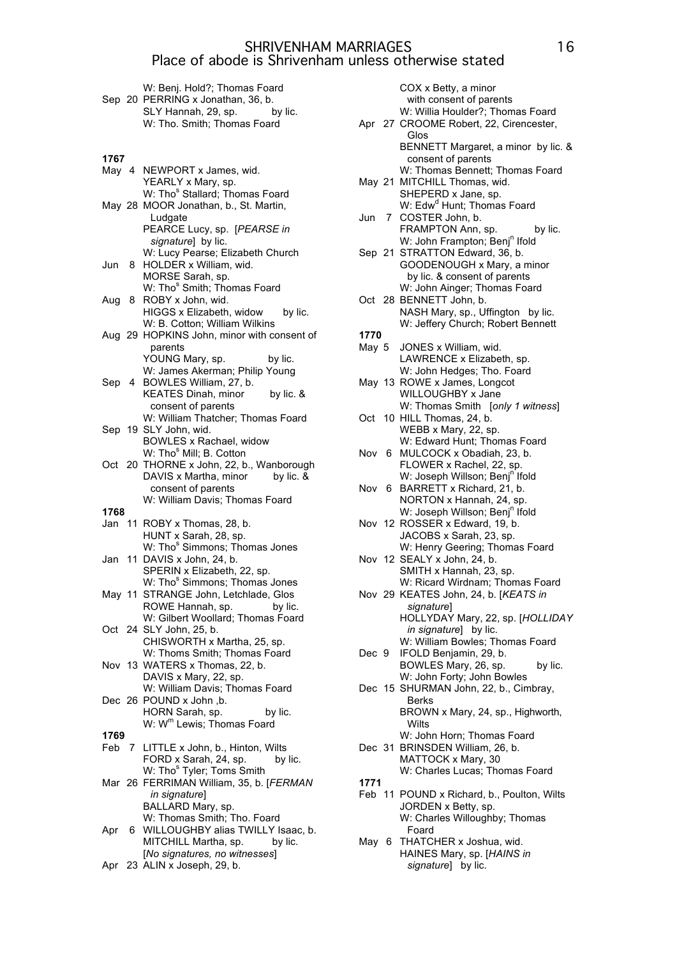|        |   | W: Benj. Hold?; Thomas Foard<br>Sep 20 PERRING x Jonathan, 36, b.<br>SLY Hannah, 29, sp.<br>by lic.<br>W: Tho. Smith; Thomas Foard |
|--------|---|------------------------------------------------------------------------------------------------------------------------------------|
| 1767   |   |                                                                                                                                    |
| May 4  |   | NEWPORT x James, wid.                                                                                                              |
|        |   |                                                                                                                                    |
|        |   | YEARLY x Mary, sp.<br>W: Tho <sup>s</sup> Stallard; Thomas Foard                                                                   |
|        |   | May 28 MOOR Jonathan, b., St. Martin,                                                                                              |
|        |   | Ludgate<br>PEARCE Lucy, sp. [PEARSE in                                                                                             |
|        |   | signature] by lic.                                                                                                                 |
|        |   | W: Lucy Pearse; Elizabeth Church                                                                                                   |
| Jun 8  |   | HOLDER x William, wid.                                                                                                             |
|        |   | MORSE Sarah, sp.                                                                                                                   |
| Aug    | 8 | W: Tho <sup>s</sup> Smith; Thomas Foard<br>ROBY x John, wid.                                                                       |
|        |   | HIGGS x Elizabeth, widow<br>by lic.                                                                                                |
|        |   | W: B. Cotton; William Wilkins                                                                                                      |
| Aug 29 |   | HOPKINS John, minor with consent of                                                                                                |
|        |   | parents<br>YOUNG Mary, sp.<br>by lic.                                                                                              |
|        |   | W: James Akerman; Philip Young                                                                                                     |
| Sep 4  |   | BOWLES William, 27, b.                                                                                                             |
|        |   | KEATES Dinah, minor by lic. &                                                                                                      |
|        |   | consent of parents<br>W: William Thatcher; Thomas Foard                                                                            |
|        |   | Sep 19 SLY John, wid.                                                                                                              |
|        |   | BOWLES x Rachael, widow                                                                                                            |
|        |   | W: Tho <sup>s</sup> Mill; B. Cotton                                                                                                |
|        |   | Oct 20 THORNE x John, 22, b., Wanborough<br>DAVIS x Martha, minor<br>by lic. &                                                     |
|        |   | consent of parents                                                                                                                 |
|        |   | W: William Davis; Thomas Foard                                                                                                     |
| 1768   |   |                                                                                                                                    |
|        |   | Jan 11 ROBY x Thomas, 28, b.<br>HUNT x Sarah, 28, sp.                                                                              |
|        |   | W: Tho <sup>s</sup> Simmons; Thomas Jones                                                                                          |
|        |   | Jan 11 DAVIS x John, 24, b.                                                                                                        |
|        |   |                                                                                                                                    |
|        |   | SPERIN x Elizabeth, 22, sp.                                                                                                        |
|        |   | W: Tho <sup>s</sup> Simmons; Thomas Jones                                                                                          |
|        |   | May 11 STRANGE John, Letchlade, Glos<br>ROWE Hannah, sp.<br>by lic.                                                                |
|        |   | W: Gilbert Woollard; Thomas Foard                                                                                                  |
|        |   | Oct 24 SLY John, 25, b.                                                                                                            |
|        |   | CHISWORTH x Martha, 25, sp.                                                                                                        |
|        |   | W: Thoms Smith; Thomas Foard<br>Nov 13 WATERS x Thomas, 22, b.                                                                     |
|        |   | DAVIS x Mary, 22, sp.                                                                                                              |
|        |   | W: William Davis; Thomas Foard                                                                                                     |
|        |   | Dec 26 POUND x John ,b.                                                                                                            |
|        |   | HORN Sarah, sp.<br>by lic.<br>W: W <sup>m</sup> Lewis; Thomas Foard                                                                |
| 1769   |   |                                                                                                                                    |
|        |   | Feb 7 LITTLE x John, b., Hinton, Wilts                                                                                             |
|        |   | FORD x Sarah, 24, sp.<br>by lic.                                                                                                   |
|        |   | W: Tho <sup>s</sup> Tyler; Toms Smith<br>Mar 26 FERRIMAN William, 35, b. [FERMAN                                                   |
|        |   | in signature]                                                                                                                      |
|        |   | BALLARD Mary, sp.                                                                                                                  |
| Apr    | 6 | W: Thomas Smith; Tho. Foard<br>WILLOUGHBY alias TWILLY Isaac, b.                                                                   |
|        |   | MITCHILL Martha, sp.<br>by lic.                                                                                                    |
|        |   | [No signatures, no witnesses]<br>Apr 23 ALIN x Joseph, 29, b.                                                                      |

|       | COX x Betty, a minor<br>with consent of parents<br>W: Willia Houlder?; Thomas Foard<br>Apr 27 CROOME Robert, 22, Cirencester,<br>Glos<br>BENNETT Margaret, a minor by lic. &<br>consent of parents |
|-------|----------------------------------------------------------------------------------------------------------------------------------------------------------------------------------------------------|
|       | W: Thomas Bennett; Thomas Foard<br>May 21 MITCHILL Thomas, wid.<br>SHEPERD x Jane, sp.                                                                                                             |
|       | W: Edw <sup>d</sup> Hunt; Thomas Foard<br>Jun 7 COSTER John, b.<br>FRAMPTON Ann, sp.<br>by lic.                                                                                                    |
|       | W: John Frampton; Benj <sup>n</sup> Ifold<br>Sep 21 STRATTON Edward, 36, b.<br>GOODENOUGH x Mary, a minor<br>by lic. & consent of parents                                                          |
|       | W: John Ainger; Thomas Foard<br>Oct 28 BENNETT John, b.<br>NASH Mary, sp., Uffington by lic.<br>W: Jeffery Church; Robert Bennett                                                                  |
| 1770  |                                                                                                                                                                                                    |
|       | JONES x William, wid.                                                                                                                                                                              |
| May 5 |                                                                                                                                                                                                    |
|       | LAWRENCE x Elizabeth, sp.                                                                                                                                                                          |
|       | W: John Hedges; Tho. Foard                                                                                                                                                                         |
|       | May 13 ROWE x James, Longcot                                                                                                                                                                       |
|       | WILLOUGHBY x Jane                                                                                                                                                                                  |
|       | W: Thomas Smith [only 1 witness]                                                                                                                                                                   |
|       | Oct 10 HILL Thomas, 24, b.                                                                                                                                                                         |
|       | WEBB x Mary, 22, sp.                                                                                                                                                                               |
|       | W: Edward Hunt; Thomas Foard                                                                                                                                                                       |
|       | Nov 6 MULCOCK x Obadiah, 23, b.                                                                                                                                                                    |
|       |                                                                                                                                                                                                    |
|       | FLOWER x Rachel, 22, sp.                                                                                                                                                                           |
|       | W: Joseph Willson; Benj <sup>n</sup> Ifold                                                                                                                                                         |
|       | Nov 6 BARRETT x Richard, 21, b.                                                                                                                                                                    |
|       | NORTON x Hannah, 24, sp.                                                                                                                                                                           |
|       | W: Joseph Willson; Benj <sup>n</sup> Ifold                                                                                                                                                         |
|       | Nov 12 ROSSER x Edward, 19, b.                                                                                                                                                                     |
|       | JACOBS x Sarah, 23, sp.                                                                                                                                                                            |
|       | W: Henry Geering; Thomas Foard                                                                                                                                                                     |
|       | Nov 12 SEALY x John, 24, b.                                                                                                                                                                        |
|       |                                                                                                                                                                                                    |
|       | SMITH x Hannah, 23, sp.                                                                                                                                                                            |
|       | W: Ricard Wirdnam; Thomas Foard                                                                                                                                                                    |
|       | Nov 29 KEATES John, 24, b. [KEATS in                                                                                                                                                               |
|       | signature]                                                                                                                                                                                         |
|       | HOLLYDAY Mary, 22, sp. [HOLLIDAY                                                                                                                                                                   |
|       | in signature] by lic.                                                                                                                                                                              |
|       | W: William Bowles; Thomas Foard                                                                                                                                                                    |
| Dec 9 | IFOLD Benjamin, 29, b.                                                                                                                                                                             |
|       | BOWLES Mary, 26, sp.<br>by lic.                                                                                                                                                                    |
|       | W: John Forty; John Bowles                                                                                                                                                                         |
|       | Dec 15 SHURMAN John, 22, b., Cimbray,                                                                                                                                                              |
|       |                                                                                                                                                                                                    |
|       | Berks                                                                                                                                                                                              |
|       | BROWN x Mary, 24, sp., Highworth,                                                                                                                                                                  |
|       | Wilts                                                                                                                                                                                              |
|       | W: John Horn; Thomas Foard                                                                                                                                                                         |
|       | Dec 31 BRINSDEN William, 26, b.                                                                                                                                                                    |
|       | MATTOCK x Mary, 30                                                                                                                                                                                 |
|       | W: Charles Lucas; Thomas Foard                                                                                                                                                                     |
| 1771  |                                                                                                                                                                                                    |
|       | Feb 11 POUND x Richard, b., Poulton, Wilts                                                                                                                                                         |
|       | JORDEN x Betty, sp.                                                                                                                                                                                |
|       | W: Charles Willoughby; Thomas                                                                                                                                                                      |
|       | Foard                                                                                                                                                                                              |
| May 6 | THATCHER x Joshua, wid.                                                                                                                                                                            |
|       |                                                                                                                                                                                                    |
|       | HAINES Mary, sp. [HAINS in                                                                                                                                                                         |
|       | signature] by lic.                                                                                                                                                                                 |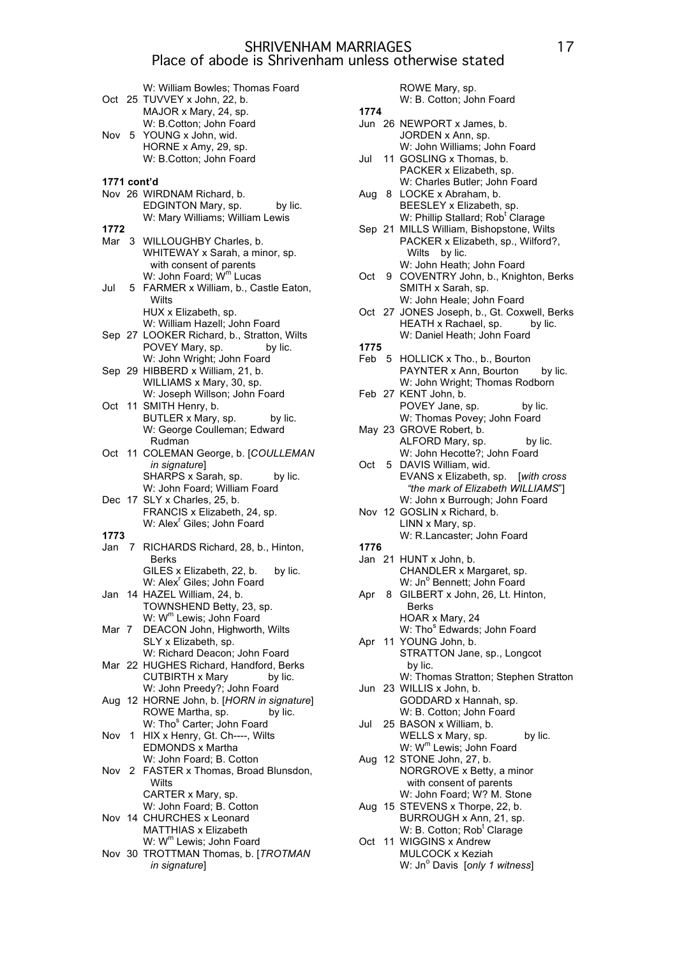|                  |    | W: William Bowles; Thomas Foard<br>Oct 25 TUVVEY x John, 22, b.<br>MAJOR x Mary, 24, sp.                  |
|------------------|----|-----------------------------------------------------------------------------------------------------------|
| Nov 5            |    | W: B.Cotton; John Foard<br>YOUNG x John, wid.                                                             |
|                  |    | HORNE x Amy, 29, sp.<br>W: B.Cotton; John Foard                                                           |
| 1771 cont'd      |    |                                                                                                           |
|                  |    | Nov 26 WIRDNAM Richard, b.<br>EDGINTON Mary, sp.<br>by lic.                                               |
| 1772             |    | W: Mary Williams; William Lewis                                                                           |
|                  |    | Mar 3 WILLOUGHBY Charles, b.                                                                              |
|                  |    | WHITEWAY x Sarah, a minor, sp.<br>with consent of parents                                                 |
|                  |    | W: John Foard; W <sup>m</sup> Lucas                                                                       |
| Jul              | 5  | FARMER x William, b., Castle Eaton,<br>Wilts                                                              |
|                  |    | HUX x Elizabeth, sp.                                                                                      |
|                  |    | W: William Hazell; John Foard<br>Sep 27 LOOKER Richard, b., Stratton, Wilts<br>POVEY Mary, sp.<br>by lic. |
|                  |    | W: John Wright; John Foard                                                                                |
|                  |    | Sep 29 HIBBERD x William, 21, b.                                                                          |
|                  |    | WILLIAMS x Mary, 30, sp.                                                                                  |
|                  |    | W: Joseph Willson; John Foard                                                                             |
| Oct              | 11 | SMITH Henry, b.                                                                                           |
|                  |    | BUTLER x Mary, sp.<br>by lic.                                                                             |
|                  |    | W: George Coulleman; Edward<br>Rudman                                                                     |
|                  |    | Oct 11 COLEMAN George, b. [COULLEMAN                                                                      |
|                  |    | in signature]                                                                                             |
|                  |    | SHARPS x Sarah, sp.<br>by lic.                                                                            |
|                  |    | W: John Foard; William Foard                                                                              |
|                  |    | Dec 17 SLY x Charles, 25, b.                                                                              |
|                  |    | FRANCIS x Elizabeth, 24, sp.                                                                              |
|                  |    | W: Alex <sup>r</sup> Giles; John Foard                                                                    |
| 1773             |    |                                                                                                           |
|                  |    | Jan 7 RICHARDS Richard, 28, b., Hinton,<br>Berks                                                          |
|                  |    | GILES x Elizabeth, 22, b.<br>by lic.                                                                      |
|                  |    | W: Alex <sup>r</sup> Giles; John Foard                                                                    |
|                  |    | Jan 14 HAZEL William, 24, b.                                                                              |
|                  |    | TOWNSHEND Betty, 23, sp.                                                                                  |
|                  |    | W: W <sup>m</sup> Lewis; John Foard                                                                       |
| Mar 7            |    | DEACON John, Highworth, Wilts                                                                             |
|                  |    | SLY x Elizabeth, sp.                                                                                      |
|                  |    | W: Richard Deacon; John Foard                                                                             |
|                  |    | Mar 22 HUGHES Richard, Handford, Berks<br><b>CUTBIRTH x Mary</b>                                          |
|                  |    | by lic.<br>W: John Preedy?; John Foard                                                                    |
|                  |    | Aug 12 HORNE John, b. [HORN in signature]                                                                 |
|                  |    | ROWE Martha, sp.<br>by lic.                                                                               |
|                  |    | W: Tho <sup>s</sup> Carter; John Foard                                                                    |
|                  |    | Nov 1 HIX x Henry, Gt. Ch----, Wilts                                                                      |
|                  |    | EDMONDS x Martha                                                                                          |
|                  |    | W: John Foard; B. Cotton                                                                                  |
| Nov <sub>2</sub> |    | FASTER x Thomas, Broad Blunsdon,                                                                          |
|                  |    | Wilts                                                                                                     |
|                  |    | CARTER x Mary, sp.                                                                                        |
|                  |    | W: John Foard; B. Cotton                                                                                  |
|                  |    | Nov 14 CHURCHES x Leonard<br>MATTHIAS x Elizabeth                                                         |
|                  |    | W: W <sup>m</sup> Lewis; John Foard                                                                       |
|                  |    | Nov 30 TROTTMAN Thomas, b. [TROTMAN                                                                       |
|                  |    | in signature]                                                                                             |
|                  |    |                                                                                                           |

ROWE Mary, sp. W: B. Cotton; John Foard **1774** Jun 26 NEWPORT x James, b. JORDEN x Ann, sp. W: John Williams; John Foard Jul 11 GOSLING x Thomas, b. PACKER x Elizabeth, sp. W: Charles Butler; John Foard Aug 8 LOCKE x Abraham, b. BEESLEY x Elizabeth, sp. W: Phillip Stallard; Rob<sup>t</sup> Clarage Sep 21 MILLS William, Bishopstone, Wilts PACKER x Elizabeth, sp., Wilford?, Wilts by lic. W: John Heath; John Foard Oct 9 COVENTRY John, b., Knighton, Berks SMITH x Sarah, sp. W: John Heale; John Foard Oct 27 JONES Joseph, b., Gt. Coxwell, Berks HEATH x Rachael, sp. by lic. W: Daniel Heath; John Foard **1775** Feb 5 HOLLICK x Tho., b., Bourton PAYNTER x Ann, Bourton by lic. W: John Wright; Thomas Rodborn Feb 27 KENT John, b. POVEY Jane, sp. by lic. W: Thomas Povey; John Foard May 23 GROVE Robert, b. ALFORD Mary, sp. by lic. W: John Hecotte?; John Foard Oct 5 DAVIS William, wid. EVANS x Elizabeth, sp. [*with cross "the mark of Elizabeth WILLIAMS*"] W: John x Burrough; John Foard Nov 12 GOSLIN x Richard, b. LINN x Mary, sp. W: R.Lancaster; John Foard **1776** Jan 21 HUNT x John, b. CHANDLER x Margaret, sp. W: Jn° Bennett; John Foard Apr 8 GILBERT x John, 26, Lt. Hinton, Berks HOAR x Mary, 24 W: Tho<sup>s</sup> Edwards; John Foard Apr 11 YOUNG John, b. STRATTON Jane, sp., Longcot by lic. W: Thomas Stratton; Stephen Stratton Jun 23 WILLIS x John, b. GODDARD x Hannah, sp. W: B. Cotton; John Foard Jul 25 BASON x William, b. WELLS x Mary, sp. by lic. W: W<sup>m</sup> Lewis; John Foard Aug 12 STONE John, 27, b. NORGROVE x Betty, a minor with consent of parents W: John Foard; W? M. Stone Aug 15 STEVENS x Thorpe, 22, b. BURROUGH x Ann, 21, sp. W: B. Cotton; Rob<sup>t</sup> Clarage

Oct 11 WIGGINS x Andrew MULCOCK x Keziah W: Jn<sup>o</sup> Davis [only 1 witness]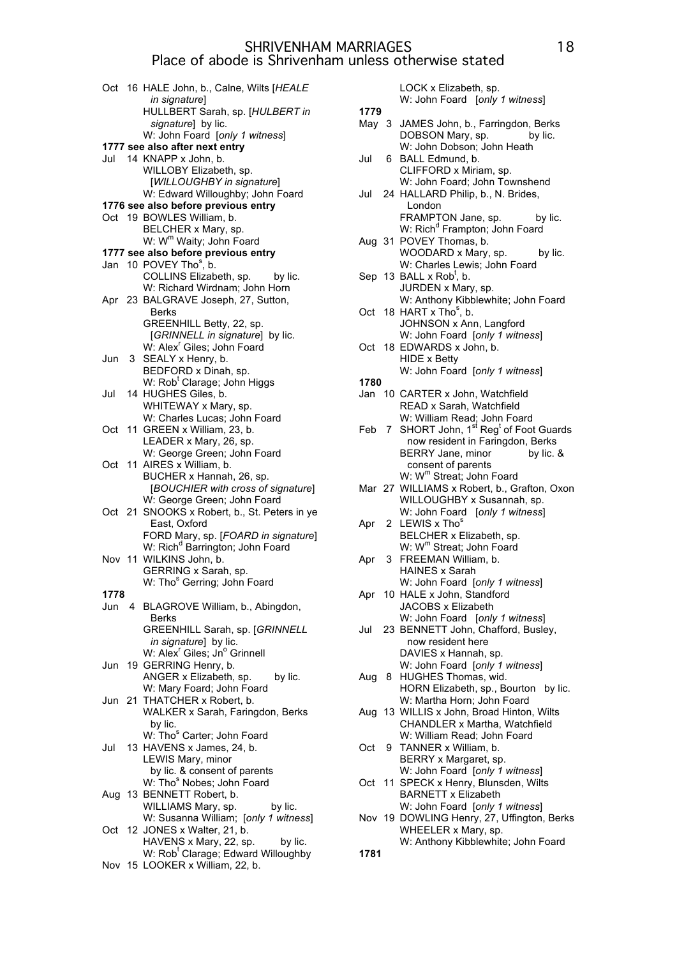Oct 16 HALE John, b., Calne, Wilts [*HEALE in signature*] HULLBERT Sarah, sp. [*HULBERT in signature*] by lic. W: John Foard [*only 1 witness*] **1777 see also after next entry** Jul 14 KNAPP x John, b. WILLOBY Elizabeth, sp. [*WILLOUGHBY in signature*] W: Edward Willoughby; John Foard **1776 see also before previous entry** Oct 19 BOWLES William, b. BELCHER x Mary, sp. W: W<sup>m</sup> Waity; John Foard **1777 see also before previous entry** Jan 10 POVEY Tho<sup>s</sup>, b. COLLINS Elizabeth, sp. by lic. W: Richard Wirdnam; John Horn Apr 23 BALGRAVE Joseph, 27, Sutton, Berks GREENHILL Betty, 22, sp. [*GRINNELL in signature*] by lic. W: Alex<sup>r</sup> Giles; John Foard Jun 3 SEALY x Henry, b. BEDFORD x Dinah, sp. W: Rob<sup>t</sup> Clarage; John Higgs Jul 14 HUGHES Giles, b. WHITEWAY x Mary, sp. W: Charles Lucas; John Foard Oct 11 GREEN x William, 23, b. LEADER x Mary, 26, sp. W: George Green; John Foard Oct 11 AIRES x William, b. BUCHER x Hannah, 26, sp. [*BOUCHIER with cross of signature*] W: George Green; John Foard Oct 21 SNOOKS x Robert, b., St. Peters in ye East, Oxford FORD Mary, sp. [*FOARD in signature*] W: Rich<sup>d</sup> Barrington; John Foard Nov 11 WILKINS John, b. GERRING x Sarah, sp. W: Tho<sup>s</sup> Gerring; John Foard **1778** Jun 4 BLAGROVE William, b., Abingdon, Berks GREENHILL Sarah, sp. [*GRINNELL in signature*] by lic. W: Alex<sup>r</sup> Giles; Jn<sup>o</sup> Grinnell Jun 19 GERRING Henry, b. ANGER x Elizabeth, sp. by lic. W: Mary Foard; John Foard Jun 21 THATCHER x Robert, b. WALKER x Sarah, Faringdon, Berks by lic. W: Tho<sup>s</sup> Carter; John Foard Jul 13 HAVENS x James, 24, b. LEWIS Mary, minor by lic. & consent of parents W: Tho<sup>s</sup> Nobes; John Foard Aug 13 BENNETT Robert, b. WILLIAMS Mary, sp. by lic. W: Susanna William; [*only 1 witness*] Oct 12 JONES x Walter, 21, b. HAVENS x Mary, 22, sp. by lic. W: Rob<sup>t</sup> Clarage; Edward Willoughby Nov 15 LOOKER x William, 22, b.

LOCK x Elizabeth, sp. W: John Foard [*only 1 witness*] **1779** May 3 JAMES John, b., Farringdon, Berks<br>DOBSON Mary, sp. bv lic. DOBSON Mary, sp. W: John Dobson; John Heath Jul 6 BALL Edmund, b. CLIFFORD x Miriam, sp. W: John Foard; John Townshend Jul 24 HALLARD Philip, b., N. Brides, London FRAMPTON Jane, sp. by lic. W: Rich<sup>d</sup> Frampton; John Foard Aug 31 POVEY Thomas, b. WOODARD x Mary, sp. by lic. W: Charles Lewis; John Foard Sep  $13$  BALL x Rob<sup>t</sup>, b. JURDEN x Mary, sp. W: Anthony Kibblewhite; John Foard Oct 18 HART  $x$  Tho<sup>s</sup>, b. JOHNSON x Ann, Langford W: John Foard [*only 1 witness*] Oct 18 EDWARDS x John, b. HIDE x Betty W: John Foard [*only 1 witness*] **1780** Jan 10 CARTER x John, Watchfield READ x Sarah, Watchfield W: William Read; John Foard Feb 7 SHORT John, 1<sup>st</sup> Reg<sup>t</sup> of Foot Guards now resident in Faringdon, Berks BERRY Jane, minor by lic. & consent of parents W: W<sup>m</sup> Streat; John Foard Mar 27 WILLIAMS x Robert, b., Grafton, Oxon WILLOUGHBY x Susannah, sp. W: John Foard [*only 1 witness*] Apr 2 LEWIS x Thos BELCHER x Elizabeth, sp. W: W<sup>m</sup> Streat; John Foard Apr 3 FREEMAN William, b. HAINES x Sarah W: John Foard [*only 1 witness*] Apr 10 HALE x John, Standford JACOBS x Elizabeth W: John Foard [*only 1 witness*] Jul 23 BENNETT John, Chafford, Busley, now resident here DAVIES x Hannah, sp. W: John Foard [*only 1 witness*] Aug 8 HUGHES Thomas, wid. HORN Elizabeth, sp., Bourton by lic. W: Martha Horn; John Foard Aug 13 WILLIS x John, Broad Hinton, Wilts CHANDLER x Martha, Watchfield W: William Read; John Foard Oct 9 TANNER x William, b. BERRY x Margaret, sp. W: John Foard [*only 1 witness*] Oct 11 SPECK x Henry, Blunsden, Wilts BARNETT x Elizabeth W: John Foard [*only 1 witness*] Nov 19 DOWLING Henry, 27, Uffington, Berks WHEELER x Mary, sp. W: Anthony Kibblewhite; John Foard **1781**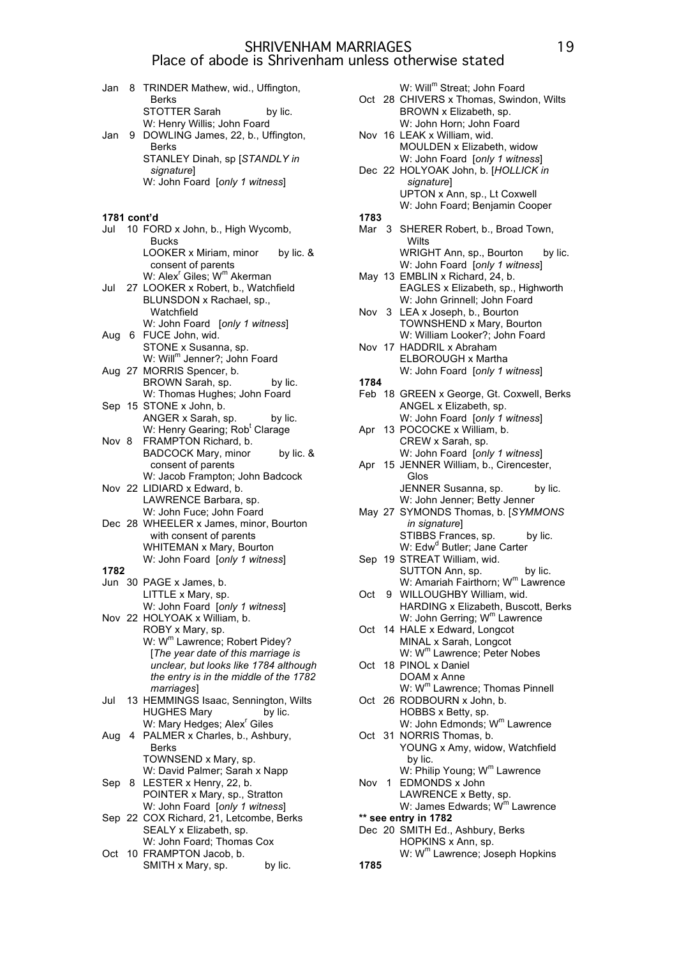| Jan         | 8. | TRINDER Mathew, wid., Uffington,<br><b>Berks</b>                                             |
|-------------|----|----------------------------------------------------------------------------------------------|
|             |    | STOTTER Sarah<br>by lic.                                                                     |
|             |    | W: Henry Willis; John Foard                                                                  |
| Jan         | 9  | DOWLING James, 22, b., Uffington,<br><b>Berks</b>                                            |
|             |    | STANLEY Dinah, sp [STANDLY in                                                                |
|             |    | signature]                                                                                   |
|             |    | W: John Foard [only 1 witness]                                                               |
|             |    |                                                                                              |
| 1781 cont'd |    |                                                                                              |
|             |    | Jul 10 FORD x John, b., High Wycomb,                                                         |
|             |    | <b>Bucks</b><br>LOOKER x Miriam, minor by lic. &                                             |
|             |    | consent of parents                                                                           |
|             |    | W: Alex <sup>r</sup> Giles; W <sup>m</sup> Akerman<br>Jul 27 LOOKER x Robert, b., Watchfield |
|             |    | BLUNSDON x Rachael, sp.,                                                                     |
|             |    | Watchfield                                                                                   |
|             |    | W: John Foard [only 1 witness]                                                               |
| Aug         |    | 6 FUCE John, wid.                                                                            |
|             |    | STONE x Susanna, sp.<br>W: Will <sup>m</sup> Jenner?; John Foard                             |
|             |    | Aug 27 MORRIS Spencer, b.                                                                    |
|             |    | BROWN Sarah, sp.<br>by lic.<br>W: Thomas Hughes; John Foard                                  |
|             |    | Sep 15 STONE x John, b.                                                                      |
|             |    | ANGER x Sarah, sp.<br>by lic.                                                                |
|             |    | W: Henry Gearing; Rob <sup>t</sup> Clarage<br>FRAMPTON Richard, b.                           |
| Nov 8       |    | <b>BADCOCK Mary, minor</b><br>by lic. &                                                      |
|             |    | consent of parents                                                                           |
|             |    | W: Jacob Frampton; John Badcock                                                              |
|             |    | Nov 22 LIDIARD x Edward, b.<br>LAWRENCE Barbara, sp.                                         |
|             |    | W: John Fuce; John Foard                                                                     |
|             |    | Dec 28 WHEELER x James, minor, Bourton                                                       |
|             |    | with consent of parents<br>WHITEMAN x Mary, Bourton                                          |
|             |    | W: John Foard [only 1 witness]                                                               |
| 1782        |    |                                                                                              |
|             |    | Jun 30 PAGE x James, b.                                                                      |
|             |    | LITTLE x Mary, sp.<br>W: John Foard [only 1 witness]                                         |
|             |    | Nov 22 HOLYOAK x William, b.                                                                 |
|             |    | ROBY x Mary, sp.                                                                             |
|             |    | W: W <sup>m</sup> Lawrence; Robert Pidey?<br>[The year date of this marriage is              |
|             |    | unclear, but looks like 1784 although                                                        |
|             |    | the entry is in the middle of the 1782                                                       |
|             |    | marriages]<br>13 HEMMINGS Isaac, Sennington, Wilts                                           |
| Jul         |    | <b>HUGHES Mary</b><br>by lic.                                                                |
|             |    | W: Mary Hedges; Alex <sup>r</sup> Giles                                                      |
| Aug         | 4  | PALMER x Charles, b., Ashbury,                                                               |
|             |    | Berks<br>TOWNSEND x Mary, sp.                                                                |
|             |    | W: David Palmer; Sarah x Napp                                                                |
| Sep         |    | 8 LESTER x Henry, 22, b.                                                                     |
|             |    | POINTER x Mary, sp., Stratton<br>W: John Foard [only 1 witness]                              |
|             |    | Sep 22 COX Richard, 21, Letcombe, Berks                                                      |
|             |    | SEALY x Elizabeth, sp.                                                                       |
|             |    | W: John Foard; Thomas Cox<br>Oct 10 FRAMPTON Jacob, b.                                       |
|             |    | by lic.<br>SMITH x Mary, sp.                                                                 |
|             |    |                                                                                              |

|       | W: Will <sup>m</sup> Streat; John Foard<br>Oct 28 CHIVERS x Thomas, Swindon, Wilts |
|-------|------------------------------------------------------------------------------------|
|       | BROWN x Elizabeth, sp.                                                             |
|       | W: John Horn; John Foard                                                           |
|       | Nov 16 LEAK x William, wid.                                                        |
|       | MOULDEN x Elizabeth, widow                                                         |
|       | W: John Foard [only 1 witness]<br>Dec 22 HOLYOAK John, b. [HOLLICK in              |
|       | signature]                                                                         |
|       | UPTON x Ann, sp., Lt Coxwell                                                       |
|       | W: John Foard; Benjamin Cooper                                                     |
| 1783  |                                                                                    |
|       | Mar 3 SHERER Robert, b., Broad Town,                                               |
|       | Wilts                                                                              |
|       | WRIGHT Ann, sp., Bourton by lic.<br>W: John Foard [only 1 witness]                 |
|       | May 13 EMBLIN x Richard, 24, b.                                                    |
|       | EAGLES x Elizabeth, sp., Highworth                                                 |
|       | W: John Grinnell; John Foard                                                       |
|       | Nov 3 LEA x Joseph, b., Bourton                                                    |
|       | TOWNSHEND x Mary, Bourton                                                          |
|       | W: William Looker?; John Foard<br>Nov 17 HADDRIL x Abraham                         |
|       | ELBOROUGH x Martha                                                                 |
|       | W: John Foard [only 1 witness]                                                     |
| 1784  |                                                                                    |
|       | Feb 18 GREEN x George, Gt. Coxwell, Berks                                          |
|       | ANGEL x Elizabeth, sp.<br>W: John Foard [only 1 witness]                           |
|       | Apr 13 POCOCKE x William, b.                                                       |
|       | CREW x Sarah, sp.                                                                  |
|       | W: John Foard [only 1 witness]                                                     |
|       | Apr 15 JENNER William, b., Cirencester,                                            |
|       |                                                                                    |
|       | Glos                                                                               |
|       | JENNER Susanna, sp.<br>by lic.                                                     |
|       | W: John Jenner; Betty Jenner                                                       |
|       | May 27 SYMONDS Thomas, b. [SYMMONS<br>in signature]                                |
|       | STIBBS Frances, sp.<br>by lic.                                                     |
|       | W: Edw <sup>d</sup> Butler; Jane Carter                                            |
|       | Sep 19 STREAT William, wid.                                                        |
|       | SUTTON Ann, sp.<br>by lic.                                                         |
| Oct   | W: Amariah Fairthorn; W <sup>m</sup> Lawrence                                      |
|       | 9 WILLOUGHBY William, wid.<br>HARDING x Elizabeth, Buscott, Berks                  |
|       | W: John Gerring; W <sup>m</sup> Lawrence                                           |
| Oct   | 14 HALE x Edward, Longcot                                                          |
|       | MINAL x Sarah, Longcot                                                             |
|       | W: W <sup>m</sup> Lawrence; Peter Nobes                                            |
| Oct   | 18 PINOL x Daniel<br>DOAM x Anne                                                   |
|       | W: W <sup>m</sup> Lawrence; Thomas Pinnell                                         |
|       | Oct 26 RODBOURN x John, b.                                                         |
|       | HOBBS x Betty, sp.                                                                 |
|       | W: John Edmonds; W <sup>m</sup> Lawrence                                           |
|       | Oct 31 NORRIS Thomas, b.                                                           |
|       | YOUNG x Amy, widow, Watchfield<br>by lic.                                          |
|       | W: Philip Young; W <sup>m</sup> Lawrence                                           |
| Nov 1 | EDMONDS x John                                                                     |
|       | LAWRENCE x Betty, sp.                                                              |
|       | W: James Edwards; W <sup>m</sup> Lawrence                                          |
|       | ** see entry in 1782<br>Dec 20 SMITH Ed., Ashbury, Berks                           |
|       | HOPKINS x Ann, sp.                                                                 |
| 1785  | W: W <sup>m</sup> Lawrence; Joseph Hopkins                                         |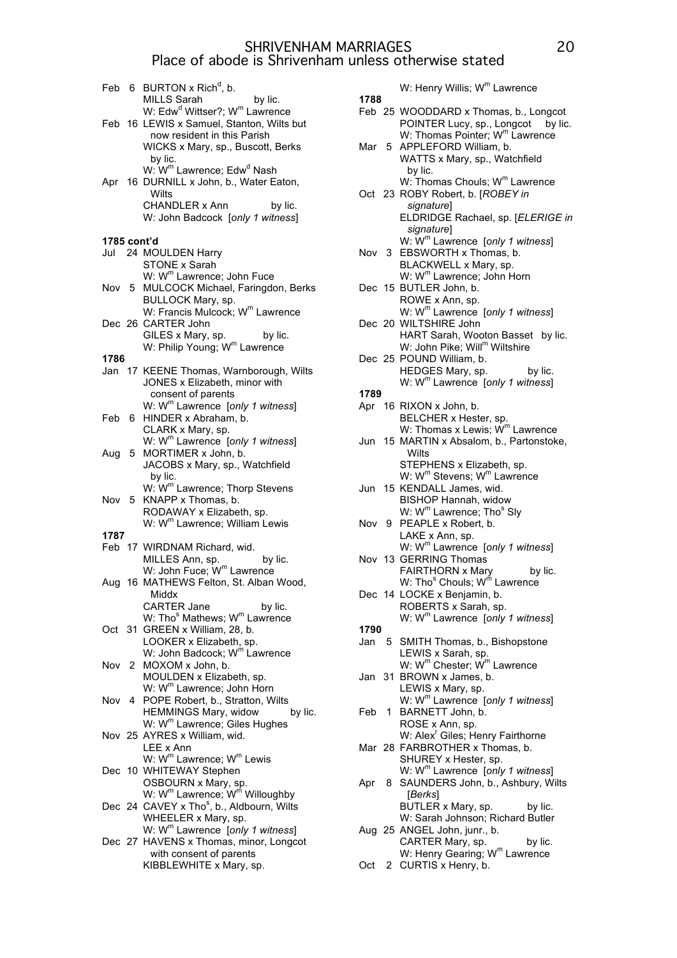|             |    | Feb 6 BURTON x Rich <sup>d</sup> , b.<br><b>MILLS Sarah</b><br>by lic.                                                                                                            |
|-------------|----|-----------------------------------------------------------------------------------------------------------------------------------------------------------------------------------|
|             |    | W: Edw <sup>d</sup> Wittser?; W <sup>m</sup> Lawrence<br>Feb 16 LEWIS x Samuel, Stanton, Wilts but<br>now resident in this Parish<br>WICKS x Mary, sp., Buscott, Berks<br>by lic. |
|             |    | W: W <sup>m</sup> Lawrence; Edw <sup>d</sup> Nash<br>Apr 16 DURNILL x John, b., Water Eaton,<br>Wilts                                                                             |
|             |    | CHANDLER x Ann<br>by lic.<br>W: John Badcock [only 1 witness]                                                                                                                     |
| 1785 cont'd |    |                                                                                                                                                                                   |
|             |    | Jul 24 MOULDEN Harry                                                                                                                                                              |
|             |    | STONE x Sarah<br>W: W <sup>m</sup> Lawrence; John Fuce                                                                                                                            |
| Nov 5       |    | MULCOCK Michael, Faringdon, Berks<br>BULLOCK Mary, sp.                                                                                                                            |
|             |    | W: Francis Mulcock; W <sup>m</sup> Lawrence<br>Dec 26 CARTER John                                                                                                                 |
| 1786        |    | GILES x Mary, sp.<br>by lic.<br>W: Philip Young; W <sup>m</sup> Lawrence                                                                                                          |
|             |    | Jan 17 KEENE Thomas, Warnborough, Wilts                                                                                                                                           |
|             |    | JONES x Elizabeth, minor with<br>consent of parents                                                                                                                               |
|             |    | W: W <sup>m</sup> Lawrence [only 1 witness]                                                                                                                                       |
| Feb 6       |    | HINDER x Abraham, b.                                                                                                                                                              |
|             |    | CLARK x Mary, sp.                                                                                                                                                                 |
|             |    | W: W <sup>m</sup> Lawrence [only 1 witness]                                                                                                                                       |
| Aug         | 5. | MORTIMER x John, b.                                                                                                                                                               |
|             |    | JACOBS x Mary, sp., Watchfield                                                                                                                                                    |
|             |    | by lic.                                                                                                                                                                           |
|             |    | W: W <sup>m</sup> Lawrence; Thorp Stevens                                                                                                                                         |
| Nov 5       |    | KNAPP x Thomas, b.<br>RODAWAY x Elizabeth, sp.                                                                                                                                    |
|             |    | W: W <sup>m</sup> Lawrence; William Lewis                                                                                                                                         |
| 1787        |    |                                                                                                                                                                                   |
|             |    | Feb 17 WIRDNAM Richard, wid.                                                                                                                                                      |
|             |    | MILLES Ann, sp.<br>by lic.                                                                                                                                                        |
|             |    | W: John Fuce; W <sup>m</sup> Lawrence                                                                                                                                             |
|             |    | Aug 16 MATHEWS Felton, St. Alban Wood,                                                                                                                                            |
|             |    | Middx                                                                                                                                                                             |
|             |    | <b>CARTER Jane</b><br>by lic.                                                                                                                                                     |
|             |    | W: Tho <sup>s</sup> Mathews; W <sup>m</sup> Lawrence                                                                                                                              |
| Oct 31      |    | GREEN x William, 28, b.                                                                                                                                                           |
|             |    | LOOKER x Elizabeth, sp.                                                                                                                                                           |
|             |    | W: John Badcock; W <sup>m</sup> Lawrence                                                                                                                                          |
| Nov 2       |    | MOXOM x John, b.                                                                                                                                                                  |
|             |    | MOULDEN x Elizabeth, sp.<br>W: W <sup>m</sup> Lawrence; John Horn                                                                                                                 |
|             |    | Nov 4 POPE Robert, b., Stratton, Wilts                                                                                                                                            |
|             |    | HEMMINGS Mary, widow<br>by lic.                                                                                                                                                   |
|             |    | W: W <sup>m</sup> Lawrence; Giles Hughes                                                                                                                                          |
|             |    | Nov 25 AYRES x William, wid.                                                                                                                                                      |
|             |    | LEE x Ann                                                                                                                                                                         |
|             |    | W: W <sup>m</sup> Lawrence; W <sup>m</sup> Lewis                                                                                                                                  |
|             |    | Dec 10 WHITEWAY Stephen                                                                                                                                                           |
|             |    | OSBOURN x Mary, sp.                                                                                                                                                               |
|             |    | W: $W^m$ Lawrence; $W^m$ Willoughby                                                                                                                                               |
|             |    | Dec 24 CAVEY x Tho <sup>s</sup> , b., Aldbourn, Wilts                                                                                                                             |
|             |    | WHEELER x Mary, sp.                                                                                                                                                               |
|             |    | W: W <sup>m</sup> Lawrence [only 1 witness]                                                                                                                                       |
|             |    | Dec 27 HAVENS x Thomas, minor, Longcot                                                                                                                                            |
|             |    | with consent of parents                                                                                                                                                           |
|             |    | KIBBLEWHITE x Mary, sp.                                                                                                                                                           |

W: Henry Willis; W<sup>m</sup> Lawrence **1788** Feb 25 WOODDARD x Thomas, b., Longcot POINTER Lucy, sp., Longcot by lic. W: Thomas Pointer; W<sup>m</sup> Lawrence Mar 5 APPLEFORD William, b. WATTS x Mary, sp., Watchfield by lic.  $W:$  Thomas Chouls:  $W<sup>m</sup>$  Lawrence Oct 23 ROBY Robert, b. [*ROBEY in signature*] ELDRIDGE Rachael, sp. [*ELERIGE in signature*] W: Wm Lawrence [*only 1 witness*] Nov 3 EBSWORTH x Thomas, b. BLACKWELL x Mary, sp.  $W: W^m$  Lawrence; John Horn Dec 15 BUTLER John, b. ROWE x Ann, sp. W: Wm Lawrence [*only 1 witness*] Dec 20 WILTSHIRE John HART Sarah, Wooton Basset by lic. W: John Pike; Will<sup>m</sup> Wiltshire Dec 25 POUND William, b. HEDGES Mary, sp. by lic. W: W<sup>m</sup> Lawrence [only 1 witness] **1789** Apr 16 RIXON x John, b. BELCHER x Hester, sp. W: Thomas x Lewis;  $\dot{W}^m$  Lawrence Jun 15 MARTIN x Absalom, b., Partonstoke, **Wilts** STEPHENS x Elizabeth, sp. W: W<sup>m</sup> Stevens; W<sup>m</sup> Lawrence Jun 15 KENDALL James, wid. BISHOP Hannah, widow W: W<sup>m</sup> Lawrence; Tho<sup>s</sup> Sly Nov 9 PEAPLE x Robert, b. LAKE x Ann, sp. W: Wm Lawrence [*only 1 witness*] Nov 13 GERRING Thomas FAIRTHORN x Mary by lic. W: Tho<sup>s</sup> Chouls; W<sup>m</sup> Lawrence Dec 14 LOCKE x Benjamin, b. ROBERTS x Sarah, sp. W: W<sup>m</sup> Lawrence [only 1 witness] **1790** Jan 5 SMITH Thomas, b., Bishopstone LEWIS x Sarah, sp. W: W<sup>m</sup> Chester; W<sup>m</sup> Lawrence Jan 31 BROWN x James, b. LEWIS x Mary, sp. W: Wm Lawrence [*only 1 witness*] Feb 1 BARNETT John, b. ROSE x Ann, sp. W: Alex<sup>r</sup> Giles; Henry Fairthorne Mar 28 FARBROTHER x Thomas, b. SHUREY x Hester, sp. W: W<sup>m</sup> Lawrence [only 1 witness] Apr 8 SAUNDERS John, b., Ashbury, Wilts [*Berks*] BUTLER x Mary, sp. by lic. W: Sarah Johnson; Richard Butler Aug 25 ANGEL John, junr., b. CARTER Mary, sp. by lic. W: Henry Gearing; W<sup>m</sup> Lawrence

Oct 2 CURTIS x Henry, b.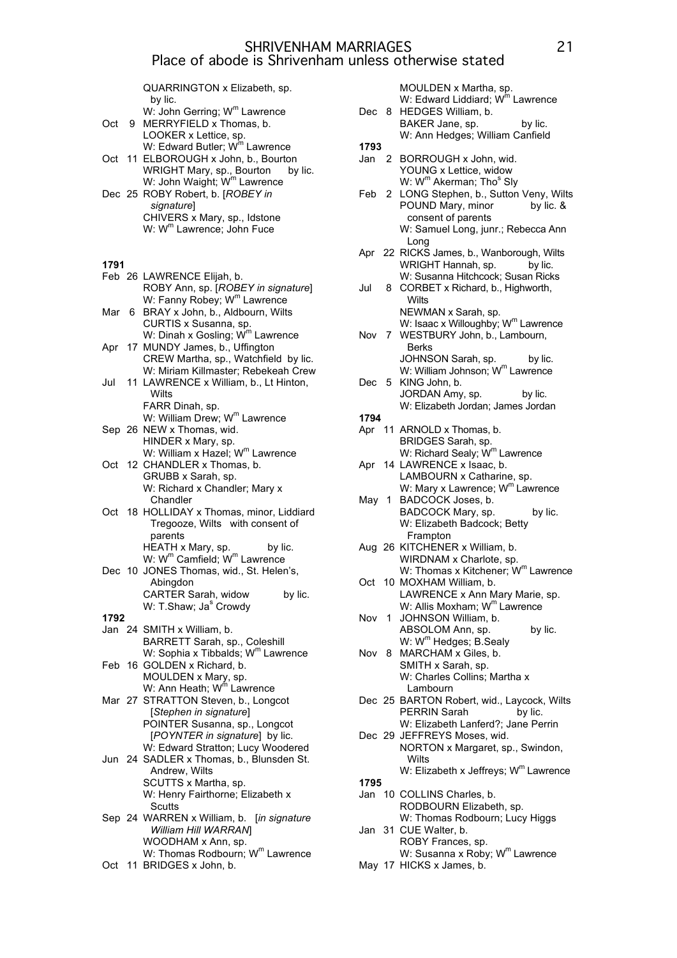QUARRINGTON x Elizabeth, sp. by lic.  $W:$  John Gerring:  $W^m$  Lawrence

| Oct    | 9 | W. JOHN OCHTING, W. Lawichco<br>MERRYFIELD x Thomas, b.<br>LOOKER x Lettice, sp.                                          |
|--------|---|---------------------------------------------------------------------------------------------------------------------------|
|        |   | W: Edward Butler; W <sup>m</sup> Lawrence<br>Oct 11 ELBOROUGH x John, b., Bourton<br>WRIGHT Mary, sp., Bourton<br>by lic. |
|        |   | W: John Waight; W <sup>m</sup> Lawrence<br>Dec 25 ROBY Robert, b. [ROBEY in<br>signature]                                 |
|        |   | CHIVERS x Mary, sp., Idstone<br>W: W <sup>m</sup> Lawrence; John Fuce                                                     |
| 1791   |   |                                                                                                                           |
|        |   | Feb 26 LAWRENCE Elijah, b.<br>ROBY Ann, sp. [ROBEY in signature]<br>W: Fanny Robey; W <sup>m</sup> Lawrence               |
| Mar    | 6 | BRAY x John, b., Aldbourn, Wilts<br>CURTIS x Susanna, sp.                                                                 |
| Apr    |   | W: Dinah x Gosling; W <sup>m</sup> Lawrence<br>17 MUNDY James, b., Uffington<br>CREW Martha, sp., Watchfield by lic.      |
| Jul    |   | W: Miriam Killmaster; Rebekeah Crew<br>11 LAWRENCE x William, b., Lt Hinton,<br>Wilts                                     |
|        |   | FARR Dinah, sp.<br>W: William Drew; W <sup>m</sup> Lawrence                                                               |
|        |   | Sep 26 NEW x Thomas, wid.<br>HINDER x Mary, sp.                                                                           |
| Oct    |   | W: William x Hazel; W <sup>m</sup> Lawrence<br>12 CHANDLER x Thomas, b.<br>GRUBB x Sarah, sp.                             |
|        |   | W: Richard x Chandler; Mary x<br>Chandler<br>Oct 18 HOLLIDAY x Thomas, minor, Liddiard                                    |
|        |   | Tregooze, Wilts with consent of<br>parents<br>HEATH x Mary, sp.<br>by lic.                                                |
| Dec 10 |   | W: W <sup>m</sup> Camfield; W <sup>m</sup> Lawrence<br>JONES Thomas, wid., St. Helen's,<br>Abingdon                       |
|        |   | CARTER Sarah, widow<br>by lic.<br>W: T.Shaw; Ja <sup>s</sup> Crowdy                                                       |
| 1792   |   |                                                                                                                           |
|        |   | Jan 24 SMITH x William, b.<br>BARRETT Sarah, sp., Coleshill<br>W: Sophia x Tibbalds; W <sup>m</sup> Lawrence              |
|        |   | Feb 16 GOLDEN x Richard, b.<br>MOULDEN x Mary, sp.                                                                        |
|        |   | W: Ann Heath; W <sup>m</sup> Lawrence<br>Mar 27 STRATTON Steven, b., Longcot<br>[Stephen in signature]                    |
|        |   | POINTER Susanna, sp., Longcot<br>[POYNTER in signature] by lic.<br>W: Edward Stratton; Lucy Woodered                      |
|        |   | Jun 24 SADLER x Thomas, b., Blunsden St.<br>Andrew, Wilts<br>SCUTTS x Martha, sp.                                         |
|        |   | W: Henry Fairthorne; Elizabeth x<br>Scutts                                                                                |
|        |   | Sep 24 WARREN x William, b. [in signature<br>William Hill WARRAN]<br>WOODHAM x Ann, sp.                                   |
|        |   | W: Thomas Rodbourn; W <sup>m</sup> Lawrence                                                                               |

Oct 11 BRIDGES x John, b.

MOULDEN x Martha, sp. W: Edward Liddiard; W<sup>m</sup> Lawrence Dec 8 HEDGES William, b. BAKER Jane, sp. by lic. W: Ann Hedges; William Canfield **1793** Jan 2 BORROUGH x John, wid. YOUNG x Lettice, widow W: W<sup>m</sup> Akerman; Tho<sup>s</sup> Sly Feb 2 LONG Stephen, b., Sutton Veny, Wilts POUND Mary, minor by lic. & consent of parents W: Samuel Long, junr.; Rebecca Ann Long Apr 22 RICKS James, b., Wanborough, Wilts WRIGHT Hannah, sp. by lic. W: Susanna Hitchcock; Susan Ricks Jul 8 CORBET x Richard, b., Highworth, **Wilts** NEWMAN x Sarah, sp. W: Isaac x Willoughby;  $W^m$  Lawrence Nov 7 WESTBURY John, b., Lambourn, Berks JOHNSON Sarah, sp. by lic. W: William Johnson; W<sup>m</sup> Lawrence Dec 5 KING John, b. JORDAN Amy, sp. by lic. W: Elizabeth Jordan; James Jordan **1794** Apr 11 ARNOLD x Thomas, b. BRIDGES Sarah, sp. W: Richard Sealy; W<sup>m</sup> Lawrence Apr 14 LAWRENCE x Isaac, b. LAMBOURN x Catharine, sp. W: Mary x Lawrence;  $W<sup>m</sup>$  Lawrence May 1 BADCOCK Joses, b. BADCOCK Mary, sp. by lic. W: Elizabeth Badcock; Betty Frampton Aug 26 KITCHENER x William, b. WIRDNAM x Charlote, sp. W: Thomas x Kitchener; W<sup>m</sup> Lawrence Oct 10 MOXHAM William, b. LAWRENCE x Ann Mary Marie, sp. W: Allis Moxham; W<sup>m</sup> Lawrence Nov 1 JOHNSON William, b. ABSOLOM Ann, sp. by lic. W: W<sup>m</sup> Hedges; B.Sealy Nov 8 MARCHAM x Giles, b. SMITH x Sarah, sp. W: Charles Collins; Martha x Lambourn Dec 25 BARTON Robert, wid., Laycock, Wilts PERRIN Sarah by lic. W: Elizabeth Lanferd?; Jane Perrin Dec 29 JEFFREYS Moses, wid. NORTON x Margaret, sp., Swindon, **Wilts** W: Elizabeth x Jeffreys; W<sup>m</sup> Lawrence **1795** Jan 10 COLLINS Charles, b. RODBOURN Elizabeth, sp. W: Thomas Rodbourn; Lucy Higgs

- Jan 31 CUE Walter, b. ROBY Frances, sp. W: Susanna x Roby;  $W^m$  Lawrence
- May 17 HICKS x James, b.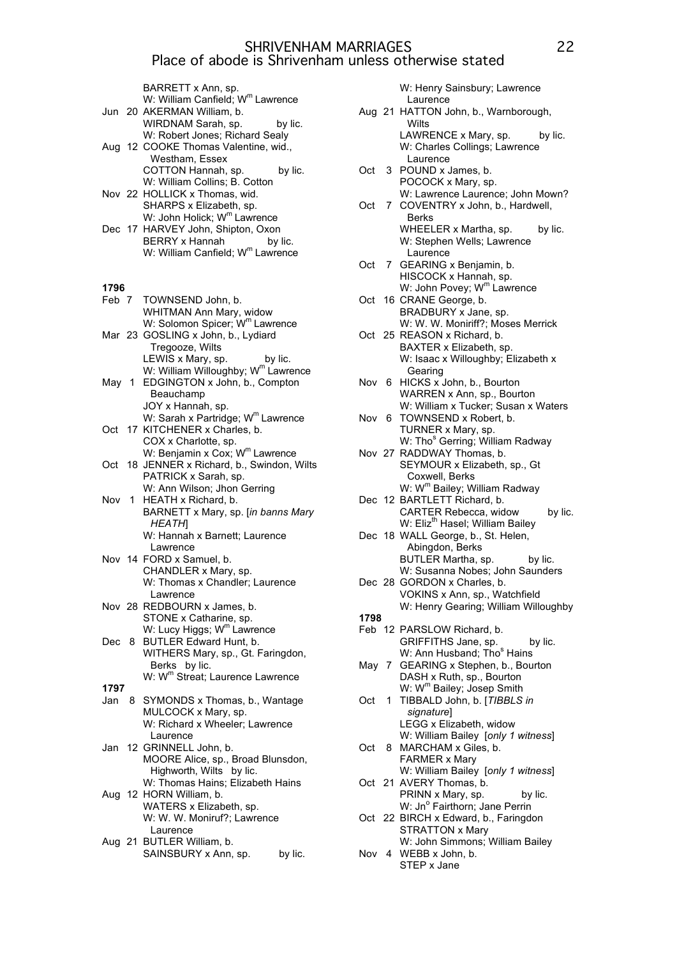|       | BARRETT x Ann, sp.                                                                        |
|-------|-------------------------------------------------------------------------------------------|
|       | W: William Canfield; W <sup>m</sup> Lawrence                                              |
|       | Jun 20 AKERMAN William, b.                                                                |
|       | WIRDNAM Sarah, sp.<br>by lic.                                                             |
|       | W: Robert Jones; Richard Sealy                                                            |
|       | Aug 12 COOKE Thomas Valentine, wid.,                                                      |
|       | Westham, Essex                                                                            |
|       | COTTON Hannah, sp.<br>by lic.                                                             |
|       | W: William Collins; B. Cotton                                                             |
|       | Nov 22 HOLLICK x Thomas, wid.                                                             |
|       | SHARPS x Elizabeth, sp.                                                                   |
|       | W: John Holick; W <sup>m</sup> Lawrence                                                   |
|       | Dec 17 HARVEY John, Shipton, Oxon<br><b>BERRY x Hannah</b>                                |
|       | by lic.<br>W: William Canfield; W <sup>m</sup> Lawrence                                   |
|       |                                                                                           |
|       |                                                                                           |
| 1796  |                                                                                           |
| Feb 7 | TOWNSEND John, b.                                                                         |
|       | WHITMAN Ann Mary, widow                                                                   |
|       | W: Solomon Spicer; W <sup>m</sup> Lawrence                                                |
|       | Mar 23 GOSLING x John, b., Lydiard                                                        |
|       | Tregooze, Wilts                                                                           |
|       | LEWIS x Mary, sp. by lic.                                                                 |
|       | W: William Willoughby; W <sup>m</sup> Lawrence                                            |
| May 1 | EDGINGTON x John, b., Compton                                                             |
|       | Beauchamp                                                                                 |
|       | JOY x Hannah, sp.<br>W: Sarah x Partridge; W <sup>m</sup> Lawrence                        |
|       | Oct 17 KITCHENER x Charles, b.                                                            |
|       | COX x Charlotte, sp.                                                                      |
|       |                                                                                           |
|       | W: Benjamin x Cox; W <sup>m</sup> Lawrence<br>Oct 18 JENNER x Richard, b., Swindon, Wilts |
|       | PATRICK x Sarah, sp.                                                                      |
|       | W: Ann Wilson; Jhon Gerring                                                               |
| Nov 1 | HEATH x Richard, b.                                                                       |
|       | BARNETT x Mary, sp. [in banns Mary                                                        |
|       | HEATH                                                                                     |
|       | W: Hannah x Barnett; Laurence                                                             |
|       | Lawrence                                                                                  |
|       | Nov 14 FORD x Samuel, b.                                                                  |
|       | CHANDLER x Mary, sp.                                                                      |
|       | W: Thomas x Chandler; Laurence<br>Lawrence                                                |
|       | Nov 28 REDBOURN x James, b.                                                               |
|       | STONE x Catharine, sp.                                                                    |
|       | W: Lucy Higgs; W <sup>m</sup> Lawrence                                                    |
| Dec 8 | BUTLER Edward Hunt, b.                                                                    |
|       | WITHERS Mary, sp., Gt. Faringdon,                                                         |
|       | Berks by lic.                                                                             |
|       | W: W <sup>m</sup> Streat; Laurence Lawrence                                               |
| 1797  |                                                                                           |
| Jan   | 8 SYMONDS x Thomas, b., Wantage                                                           |
|       | MULCOCK x Mary, sp.                                                                       |
|       | W: Richard x Wheeler; Lawrence                                                            |
|       | Laurence<br>Jan 12 GRINNELL John, b.                                                      |
|       | MOORE Alice, sp., Broad Blunsdon,                                                         |
|       | Highworth, Wilts by lic.                                                                  |
|       | W: Thomas Hains; Elizabeth Hains                                                          |
|       | Aug 12 HORN William, b.                                                                   |
|       | WATERS x Elizabeth, sp.                                                                   |
|       | W: W. W. Moniruf?; Lawrence                                                               |
|       | Laurence                                                                                  |
|       | $TTL$ $T$ $D$ $M$ $B$                                                                     |

Aug 21 BUTLER William, b. SAINSBURY x Ann, sp. by lic. W: Henry Sainsbury; Lawrence Laurence

- Aug 21 HATTON John, b., Warnborough, **Wilts** LAWRENCE x Mary, sp. by lic. W: Charles Collings; Lawrence Laurence Oct 3 POUND x James, b.
- POCOCK x Mary, sp. W: Lawrence Laurence; John Mown?
- Oct 7 COVENTRY x John, b., Hardwell, Berks WHEELER x Martha, sp. by lic. W: Stephen Wells; Lawrence Laurence
- Oct 7 GEARING x Benjamin, b. HISCOCK x Hannah, sp. W: John Povey; W<sup>m</sup> Lawrence
- Oct 16 CRANE George, b. BRADBURY x Jane, sp. W: W. W. Moniriff?; Moses Merrick
- Oct 25 REASON x Richard, b. BAXTER x Elizabeth, sp. W: Isaac x Willoughby; Elizabeth x
- Gearing Nov 6 HICKS x John, b., Bourton WARREN x Ann, sp., Bourton W: William x Tucker; Susan x Waters
- Nov 6 TOWNSEND x Robert, b. TURNER x Mary, sp.
- W: Tho<sup>s</sup> Gerring; William Radway Nov 27 RADDWAY Thomas, b. SEYMOUR x Elizabeth, sp., Gt Coxwell, Berks W: W<sup>m</sup> Bailey; William Radway
- Dec 12 BARTLETT Richard, b. CARTER Rebecca, widow by lic. W: Eliz<sup>th</sup> Hasel; William Bailey
- Dec 18 WALL George, b., St. Helen, Abingdon, Berks BUTLER Martha, sp. by lic. W: Susanna Nobes; John Saunders
- Dec 28 GORDON x Charles, b. VOKINS x Ann, sp., Watchfield W: Henry Gearing; William Willoughby
- **1798** Feb 12 PARSLOW Richard, b. GRIFFITHS Jane, sp. by lic. W: Ann Husband; Tho<sup>s</sup> Hains
- May 7 GEARING x Stephen, b., Bourton DASH x Ruth, sp., Bourton W: W<sup>m</sup> Bailey; Josep Smith
- Oct 1 TIBBALD John, b. [*TIBBLS in signature*] LEGG x Elizabeth, widow
- W: William Bailey [*only 1 witness*] Oct 8 MARCHAM x Giles, b. FARMER x Mary W: William Bailey [*only 1 witness*]
- Oct 21 AVERY Thomas, b. PRINN x Mary, sp. by lic. W: Jnº Fairthorn; Jane Perrin
- Oct 22 BIRCH x Edward, b., Faringdon STRATTON x Mary
- W: John Simmons; William Bailey Nov 4 WEBB x John, b. STEP x Jane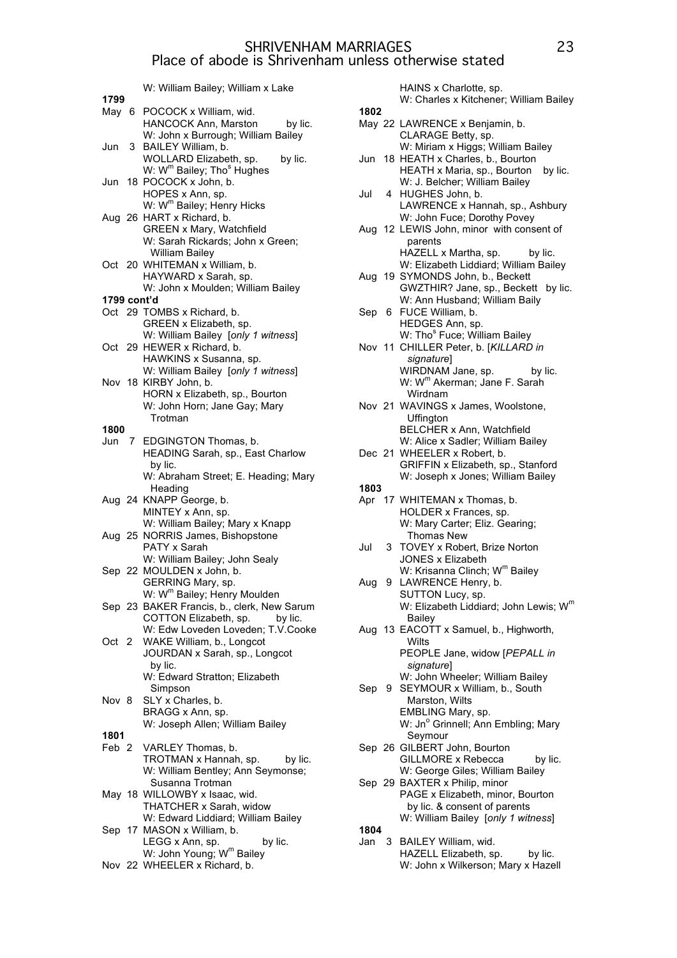W: William Bailey; William x Lake

|             | W: William Balley; William x Lake                                                     |
|-------------|---------------------------------------------------------------------------------------|
| 1799        |                                                                                       |
| May 6       | POCOCK x William, wid.                                                                |
|             | HANCOCK Ann, Marston<br>by lic.                                                       |
|             | W: John x Burrough; William Bailey                                                    |
| Jun         | 3 BAILEY William, b.                                                                  |
|             | WOLLARD Elizabeth, sp.<br>by lic.                                                     |
|             | W: W <sup>m</sup> Bailey; Tho <sup>s</sup> Hughes                                     |
|             |                                                                                       |
| Jun         | 18 POCOCK x John, b.                                                                  |
|             | HOPES x Ann, sp.                                                                      |
|             | W: W <sup>m</sup> Bailey; Henry Hicks                                                 |
|             | Aug 26 HART x Richard, b.                                                             |
|             | <b>GREEN x Mary, Watchfield</b>                                                       |
|             | W: Sarah Rickards; John x Green;                                                      |
|             | <b>William Bailey</b>                                                                 |
|             | Oct 20 WHITEMAN x William, b.                                                         |
|             |                                                                                       |
|             | HAYWARD x Sarah, sp.                                                                  |
|             | W: John x Moulden; William Bailey                                                     |
| 1799 cont'd |                                                                                       |
|             | Oct 29 TOMBS x Richard, b.                                                            |
|             | GREEN x Elizabeth, sp.                                                                |
|             | W: William Bailey [only 1 witness]                                                    |
|             | Oct 29 HEWER x Richard, b.                                                            |
|             | HAWKINS x Susanna, sp.                                                                |
|             |                                                                                       |
|             | W: William Bailey [only 1 witness]                                                    |
|             | Nov 18 KIRBY John, b.                                                                 |
|             | HORN x Elizabeth, sp., Bourton                                                        |
|             | W: John Horn; Jane Gay; Mary                                                          |
|             | Trotman                                                                               |
| 1800        |                                                                                       |
|             | Jun 7 EDGINGTON Thomas, b.                                                            |
|             | HEADING Sarah, sp., East Charlow                                                      |
|             | by lic.                                                                               |
|             |                                                                                       |
|             | W: Abraham Street; E. Heading; Mary                                                   |
|             | Heading                                                                               |
|             | Aug 24 KNAPP George, b.                                                               |
|             | MINTEY x Ann, sp.                                                                     |
|             | W: William Bailey; Mary x Knapp                                                       |
|             | Aug 25 NORRIS James, Bishopstone                                                      |
|             | PATY x Sarah                                                                          |
|             | W: William Bailey; John Sealy                                                         |
|             | Sep 22 MOULDEN x John, b.                                                             |
|             |                                                                                       |
|             | GERRING Mary, sp.                                                                     |
|             |                                                                                       |
|             | W: W <sup>m</sup> Bailey; Henry Moulden<br>Sep 23 BAKER Francis, b., clerk, New Sarum |
|             | COTTON Elizabeth, sp. by lic.                                                         |
|             | W: Edw Loveden Loveden; T.V.Cooke                                                     |
| Oct 2       | WAKE William, b., Longcot                                                             |
|             | JOURDAN x Sarah, sp., Longcot                                                         |
|             | by lic.                                                                               |
|             | W: Edward Stratton; Elizabeth                                                         |
|             |                                                                                       |
|             | Simpson                                                                               |
| Nov 8       | SLY x Charles, b.                                                                     |
|             | BRAGG x Ann, sp.                                                                      |
|             | W: Joseph Allen; William Bailey                                                       |
| 1801        |                                                                                       |
| Feb 2       | VARLEY Thomas, b.                                                                     |
|             | TROTMAN x Hannah, sp.<br>by lic.                                                      |
|             | W: William Bentley; Ann Seymonse;                                                     |
|             |                                                                                       |
|             | Susanna Trotman                                                                       |
|             | May 18 WILLOWBY x Isaac, wid.                                                         |
|             | THATCHER x Sarah, widow                                                               |
|             | W: Edward Liddiard; William Bailey                                                    |
|             | Sep 17 MASON x William, b.                                                            |
|             | by lic.<br>LEGG x Ann, sp.                                                            |
|             | W: John Young; W <sup>m</sup> Bailey                                                  |
|             |                                                                                       |

Nov 22 WHEELER x Richard, b.

HAINS x Charlotte, sp. W: Charles x Kitchener; William Bailey **1802** May 22 LAWRENCE x Benjamin, b. CLARAGE Betty, sp. W: Miriam x Higgs; William Bailey Jun 18 HEATH x Charles, b., Bourton HEATH x Maria, sp., Bourton by lic. W: J. Belcher; William Bailey Jul 4 HUGHES John, b. LAWRENCE x Hannah, sp., Ashbury W: John Fuce; Dorothy Povey Aug 12 LEWIS John, minor with consent of parents HAZELL x Martha, sp. by lic. W: Elizabeth Liddiard; William Bailey Aug 19 SYMONDS John, b., Beckett GWZTHIR? Jane, sp., Beckett by lic. W: Ann Husband; William Baily Sep 6 FUCE William, b. HEDGES Ann, sp. W: Tho<sup>s</sup> Fuce; William Bailey Nov 11 CHILLER Peter, b. [*KILLARD in signature*] WIRDNAM Jane, sp. by lic. W: Wm Akerman; Jane F. Sarah Wirdnam Nov 21 WAVINGS x James, Woolstone, Uffington BELCHER x Ann, Watchfield W: Alice x Sadler; William Bailey Dec 21 WHEELER x Robert, b. GRIFFIN x Elizabeth, sp., Stanford W: Joseph x Jones; William Bailey **1803** Apr 17 WHITEMAN x Thomas, b. HOLDER x Frances, sp. W: Mary Carter; Eliz. Gearing; Thomas New Jul 3 TOVEY x Robert, Brize Norton JONES x Elizabeth W: Krisanna Clinch; W<sup>m</sup> Bailey Aug 9 LAWRENCE Henry, b. SUTTON Lucy, sp. W: Elizabeth Liddiard; John Lewis; W<sup>m</sup> Bailey Aug 13 EACOTT x Samuel, b., Highworth, **Wilts** PEOPLE Jane, widow [*PEPALL in signature*] W: John Wheeler; William Bailey Sep 9 SEYMOUR x William, b., South Marston, Wilts EMBLING Mary, sp. W: Jn<sup>o</sup> Grinnell; Ann Embling; Mary Seymour Sep 26 GILBERT John, Bourton GILLMORE x Rebecca by lic. W: George Giles; William Bailey Sep 29 BAXTER x Philip, minor PAGE x Elizabeth, minor, Bourton by lic. & consent of parents W: William Bailey [*only 1 witness*] **1804** Jan 3 BAILEY William, wid.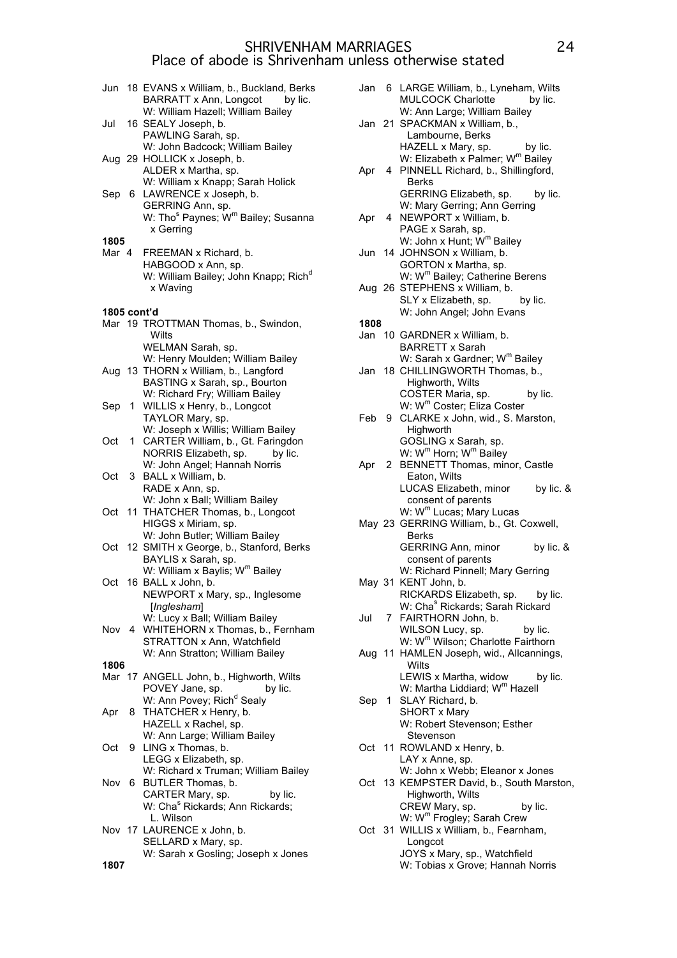| Jun           |    | 18 EVANS x William, b., Buckland, Berks<br>BARRATT x Ann, Longcot<br>by lic.<br>W: William Hazell; William Bailey |
|---------------|----|-------------------------------------------------------------------------------------------------------------------|
| Jul           |    | 16 SEALY Joseph, b.<br>PAWLING Sarah, sp.<br>W: John Badcock; William Bailey                                      |
|               |    | Aug 29 HOLLICK x Joseph, b.<br>ALDER x Martha, sp.<br>W: William x Knapp; Sarah Holick                            |
|               |    | Sep 6 LAWRENCE x Joseph, b.<br>GERRING Ann, sp.<br>W: Tho <sup>s</sup> Paynes; W <sup>m</sup> Bailey; Susanna     |
|               |    | x Gerring                                                                                                         |
| 1805<br>Mar 4 |    | FREEMAN x Richard, b.                                                                                             |
|               |    | HABGOOD x Ann, sp.<br>W: William Bailey; John Knapp; Rich <sup>d</sup><br>x Waving                                |
| 1805 cont'd   |    |                                                                                                                   |
|               |    | Mar 19 TROTTMAN Thomas, b., Swindon,<br>Wilts                                                                     |
|               |    | WELMAN Sarah, sp.<br>W: Henry Moulden; William Bailey                                                             |
|               |    | Aug 13 THORN x William, b., Langford                                                                              |
|               |    | BASTING x Sarah, sp., Bourton                                                                                     |
| Sep           | 1. | W: Richard Fry; William Bailey<br>WILLIS x Henry, b., Longcot                                                     |
|               |    | TAYLOR Mary, sp.                                                                                                  |
|               |    | W: Joseph x Willis; William Bailey                                                                                |
| Oct           | 1. | CARTER William, b., Gt. Faringdon<br>by lic.                                                                      |
|               |    | NORRIS Elizabeth, sp.<br>W: John Angel; Hannah Norris                                                             |
| Oct           | 3  | BALL x William, b.                                                                                                |
|               |    | RADE x Ann, sp.                                                                                                   |
|               |    | W: John x Ball; William Bailey<br>11 THATCHER Thomas, b., Longcot                                                 |
| Oct           |    | HIGGS x Miriam, sp.                                                                                               |
|               |    | W: John Butler; William Bailey                                                                                    |
| Oct           |    | 12 SMITH x George, b., Stanford, Berks                                                                            |
|               |    | BAYLIS x Sarah, sp.<br>W: William x Baylis; W <sup>m</sup> Bailey                                                 |
| Oct           |    | 16 BALL x John, b.                                                                                                |
|               |    | NEWPORT x Mary, sp., Inglesome                                                                                    |
|               |    | [Inglesham]<br>W: Lucy x Ball; William Bailey                                                                     |
| Nov 4         |    | WHITEHORN x Thomas, b., Fernham                                                                                   |
|               |    | STRATTON x Ann, Watchfield                                                                                        |
| 1806          |    | W: Ann Stratton; William Bailey                                                                                   |
|               |    | Mar 17 ANGELL John, b., Highworth, Wilts                                                                          |
|               |    | POVEY Jane, sp.<br>by lic.                                                                                        |
|               |    | W: Ann Povey; Rich <sup>d</sup> Sealy<br>THATCHER x Henry, b.                                                     |
| Apr           | 8. | HAZELL x Rachel, sp.                                                                                              |
|               |    | W: Ann Large; William Bailey                                                                                      |
| Oct           | 9  | LING x Thomas, b.                                                                                                 |
|               |    | LEGG x Elizabeth, sp.<br>W: Richard x Truman; William Bailey                                                      |
| Nov           | 6  | BUTLER Thomas, b.                                                                                                 |
|               |    | CARTER Mary, sp.<br>by lic.                                                                                       |
|               |    | W: Cha <sup>s</sup> Rickards; Ann Rickards;<br>L. Wilson                                                          |
|               |    | Nov 17 LAURENCE x John, b.                                                                                        |
|               |    | SELLARD x Mary, sp.                                                                                               |
| 1807          |    | W: Sarah x Gosling; Joseph x Jones                                                                                |
|               |    |                                                                                                                   |

|       |   | Jan 6 LARGE William, b., Lyneham, Wilts<br>MULCOCK Charlotte<br>by lic.                                                                            |
|-------|---|----------------------------------------------------------------------------------------------------------------------------------------------------|
|       |   | W: Ann Large; William Bailey<br>Jan 21 SPACKMAN x William, b.,                                                                                     |
| Apr   |   | Lambourne, Berks<br>HAZELL x Mary, sp.<br>by lic.<br>W: Elizabeth x Palmer; W <sup>m</sup> Bailey<br>4 PINNELL Richard, b., Shillingford,<br>Berks |
| Apr   | 4 | GERRING Elizabeth, sp.<br>by lic.<br>W: Mary Gerring; Ann Gerring<br>NEWPORT x William, b.<br>PAGE x Sarah, sp.                                    |
|       |   | W: John x Hunt; W <sup>m</sup> Bailey<br>Jun 14 JOHNSON x William, b.<br>GORTON x Martha, sp.                                                      |
|       |   | W: W <sup>m</sup> Bailey; Catherine Berens<br>Aug 26 STEPHENS x William, b.<br>SLY x Elizabeth, sp.<br>by lic.                                     |
|       |   | W: John Angel; John Evans                                                                                                                          |
|       |   |                                                                                                                                                    |
| 1808  |   |                                                                                                                                                    |
|       |   | Jan 10 GARDNER x William, b.                                                                                                                       |
|       |   | <b>BARRETT x Sarah</b>                                                                                                                             |
|       |   | W: Sarah x Gardner; W <sup>m</sup> Bailey<br>Jan 18 CHILLINGWORTH Thomas, b.,<br>Highworth, Wilts<br>COSTER Maria, sp.                             |
|       |   | by lic.                                                                                                                                            |
|       |   | W: W <sup>m</sup> Coster; Eliza Coster                                                                                                             |
|       |   | Feb 9 CLARKE x John, wid., S. Marston,                                                                                                             |
|       |   | Highworth                                                                                                                                          |
|       |   | GOSLING x Sarah, sp.                                                                                                                               |
|       |   |                                                                                                                                                    |
|       |   | W: W <sup>m</sup> Horn; W <sup>m</sup> Bailey                                                                                                      |
| Apr 2 |   | BENNETT Thomas, minor, Castle                                                                                                                      |
|       |   | Eaton, Wilts                                                                                                                                       |
|       |   | LUCAS Elizabeth, minor by lic. &                                                                                                                   |
|       |   |                                                                                                                                                    |
|       |   | consent of parents                                                                                                                                 |
|       |   | W: W <sup>m</sup> Lucas; Mary Lucas                                                                                                                |
|       |   | May 23 GERRING William, b., Gt. Coxwell,                                                                                                           |
|       |   | <b>Berks</b>                                                                                                                                       |
|       |   |                                                                                                                                                    |
|       |   | <b>GERRING Ann, minor</b><br>by lic. &                                                                                                             |
|       |   | consent of parents                                                                                                                                 |
|       |   | W: Richard Pinnell; Mary Gerring                                                                                                                   |
|       |   | May 31 KENT John, b.                                                                                                                               |
|       |   | RICKARDS Elizabeth, sp. by lic.                                                                                                                    |
|       |   |                                                                                                                                                    |
|       |   | W: Cha <sup>s</sup> Rickards; Sarah Rickard                                                                                                        |
| Jul   |   | 7 FAIRTHORN John, b.                                                                                                                               |
|       |   | WILSON Lucy, sp.<br>by lic.                                                                                                                        |
|       |   | W: W <sup>m</sup> Wilson; Charlotte Fairthorn                                                                                                      |
|       |   | Aug 11 HAMLEN Joseph, wid., Allcannings,                                                                                                           |
|       |   | Wilts                                                                                                                                              |
|       |   | LEWIS x Martha, widow<br>by lic.                                                                                                                   |
|       |   | W: Martha Liddiard; W <sup>m</sup> Hazell                                                                                                          |
|       |   |                                                                                                                                                    |
| Sep   |   | 1 SLAY Richard, b.                                                                                                                                 |
|       |   | <b>SHORT x Mary</b>                                                                                                                                |
|       |   | W: Robert Stevenson; Esther                                                                                                                        |
|       |   | Stevenson                                                                                                                                          |
| Oct   |   | 11 ROWLAND x Henry, b.                                                                                                                             |
|       |   | LAY x Anne, sp.                                                                                                                                    |
|       |   | W: John x Webb; Eleanor x Jones                                                                                                                    |
|       |   |                                                                                                                                                    |
| Oct   |   | 13 KEMPSTER David, b., South Marston,                                                                                                              |
|       |   | Highworth, Wilts                                                                                                                                   |
|       |   | CREW Mary, sp.<br>by lic.                                                                                                                          |
|       |   | W: W <sup>m</sup> Frogley; Sarah Crew                                                                                                              |
|       |   | Oct 31 WILLIS x William, b., Fearnham,                                                                                                             |
|       |   | Longcot                                                                                                                                            |
|       |   |                                                                                                                                                    |
|       |   | JOYS x Mary, sp., Watchfield                                                                                                                       |
|       |   | W: Tobias x Grove; Hannah Norris                                                                                                                   |
|       |   |                                                                                                                                                    |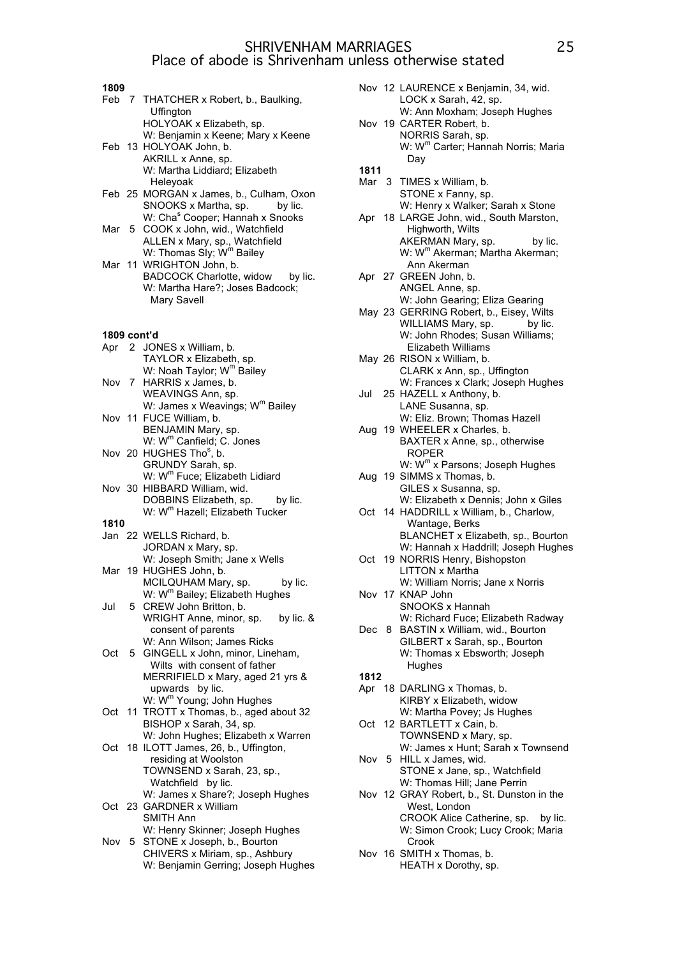- **1809** Feb 7 THATCHER x Robert, b., Baulking, **Uffington** HOLYOAK x Elizabeth, sp. W: Benjamin x Keene; Mary x Keene Feb 13 HOLYOAK John, b. AKRILL x Anne, sp. W: Martha Liddiard; Elizabeth Heleyoak Feb 25 MORGAN x James, b., Culham, Oxon SNOOKS x Martha, sp. by lic. W: Cha<sup>s</sup> Cooper; Hannah x Snooks Mar 5 COOK x John, wid., Watchfield ALLEN x Mary, sp., Watchfield W: Thomas Sly; W<sup>m</sup> Bailey Mar 11 WRIGHTON John, b. BADCOCK Charlotte, widow by lic. W: Martha Hare?; Joses Badcock; Mary Savell **1809 cont'd** Apr 2 JONES x William, b. TAYLOR x Elizabeth, sp. W: Noah Taylor; W<sup>m</sup> Bailey Nov 7 HARRIS x James, b. WEAVINGS Ann, sp. W: James x Weavings; W<sup>m</sup> Bailev Nov 11 FUCE William, b. BENJAMIN Mary, sp. W: W<sup>m</sup> Canfield; C. Jones Nov 20 HUGHES Tho<sup>s</sup>, b. GRUNDY Sarah, sp. W: W<sup>m</sup> Fuce; Elizabeth Lidiard Nov 30 HIBBARD William, wid. DOBBINS Elizabeth, sp. by lic. W: W<sup>m</sup> Hazell; Elizabeth Tucker **1810** Jan 22 WELLS Richard, b. JORDAN x Mary, sp. W: Joseph Smith; Jane x Wells Mar 19 HUGHES John, b. MCILQUHAM Mary, sp. by lic. W: W<sup>m</sup> Bailey; Elizabeth Hughes
- Jul 5 CREW John Britton, b. WRIGHT Anne, minor, sp. by lic. & consent of parents W: Ann Wilson; James Ricks
- Oct 5 GINGELL x John, minor, Lineham, Wilts with consent of father MERRIFIELD x Mary, aged 21 yrs & upwards by lic. W: Wm Young; John Hughes
- Oct 11 TROTT x Thomas, b., aged about 32 BISHOP x Sarah, 34, sp. W: John Hughes; Elizabeth x Warren
- Oct 18 ILOTT James, 26, b., Uffington, residing at Woolston TOWNSEND x Sarah, 23, sp., Watchfield by lic. W: James x Share?; Joseph Hughes Oct 23 GARDNER x William
- SMITH Ann W: Henry Skinner; Joseph Hughes
- Nov 5 STONE x Joseph, b., Bourton CHIVERS x Miriam, sp., Ashbury W: Benjamin Gerring; Joseph Hughes
- Nov 12 LAURENCE x Benjamin, 34, wid. LOCK x Sarah, 42, sp. W: Ann Moxham; Joseph Hughes Nov 19 CARTER Robert, b. NORRIS Sarah, sp. W: W<sup>m</sup> Carter; Hannah Norris; Maria Day **1811** Mar 3 TIMES x William, b. STONE x Fanny, sp. W: Henry x Walker; Sarah x Stone Apr 18 LARGE John, wid., South Marston, Highworth, Wilts AKERMAN Mary, sp. by lic. W: W<sup>m</sup> Akerman; Martha Akerman; Ann Akerman Apr 27 GREEN John, b. ANGEL Anne, sp. W: John Gearing; Eliza Gearing May 23 GERRING Robert, b., Eisey, Wilts WILLIAMS Mary, sp. by lic. W: John Rhodes: Susan Williams: Elizabeth Williams May 26 RISON x William, b. CLARK x Ann, sp., Uffington W: Frances x Clark; Joseph Hughes Jul 25 HAZELL x Anthony, b. LANE Susanna, sp. W: Eliz. Brown; Thomas Hazell Aug 19 WHEELER x Charles, b. BAXTER x Anne, sp., otherwise ROPER W: W<sup>m</sup> x Parsons; Joseph Hughes Aug 19 SIMMS x Thomas, b. GILES x Susanna, sp. W: Elizabeth x Dennis; John x Giles Oct 14 HADDRILL x William, b., Charlow, Wantage, Berks BLANCHET x Elizabeth, sp., Bourton W: Hannah x Haddrill; Joseph Hughes Oct 19 NORRIS Henry, Bishopston LITTON x Martha W: William Norris; Jane x Norris Nov 17 KNAP John SNOOKS x Hannah W: Richard Fuce; Elizabeth Radway Dec 8 BASTIN x William, wid., Bourton GILBERT x Sarah, sp., Bourton W: Thomas x Ebsworth; Joseph Hughes **1812** Apr 18 DARLING x Thomas, b. KIRBY x Elizabeth, widow W: Martha Povey; Js Hughes Oct 12 BARTLETT x Cain, b. TOWNSEND x Mary, sp. W: James x Hunt; Sarah x Townsend Nov 5 HILL x James, wid. STONE x Jane, sp., Watchfield W: Thomas Hill; Jane Perrin Nov 12 GRAY Robert, b., St. Dunston in the
	- West, London CROOK Alice Catherine, sp. by lic. W: Simon Crook; Lucy Crook; Maria Crook
- Nov 16 SMITH x Thomas, b. HEATH x Dorothy, sp.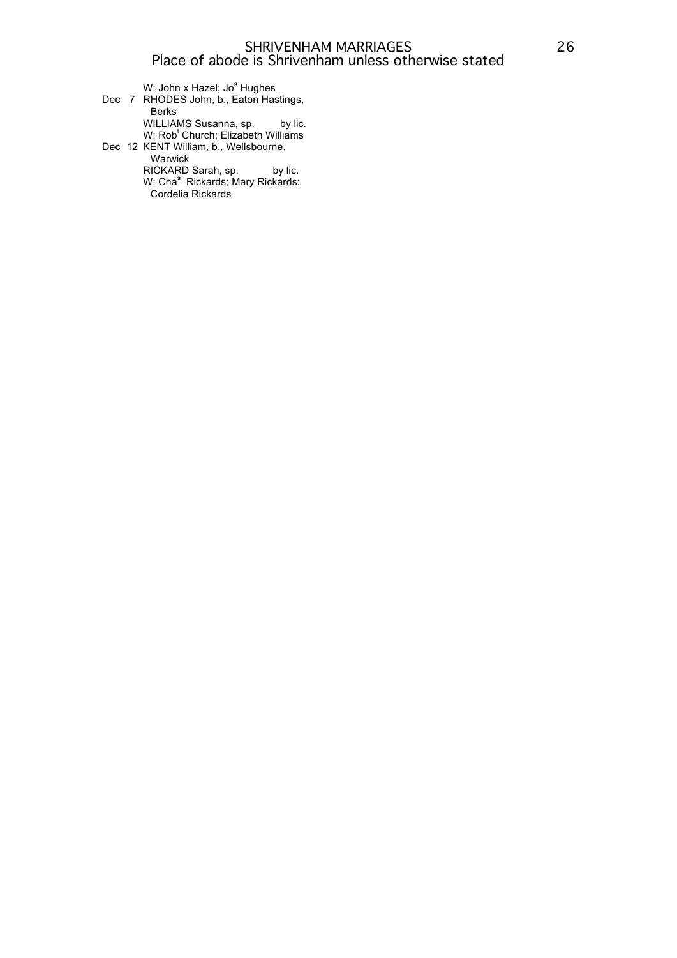W: John x Hazel; Jo<sup>s</sup> Hughes Dec 7 RHODES John, b., Eaton Hastings, Berks WILLIAMS Susanna, sp. by lic. W: Rob<sup>t</sup> Church; Elizabeth Williams Dec 12 KENT William, b., Wellsbourne, Warwick RICKARD Sarah, sp. by lic. W: Cha<sup>s</sup> Rickards; Mary Rickards; Cordelia Rickards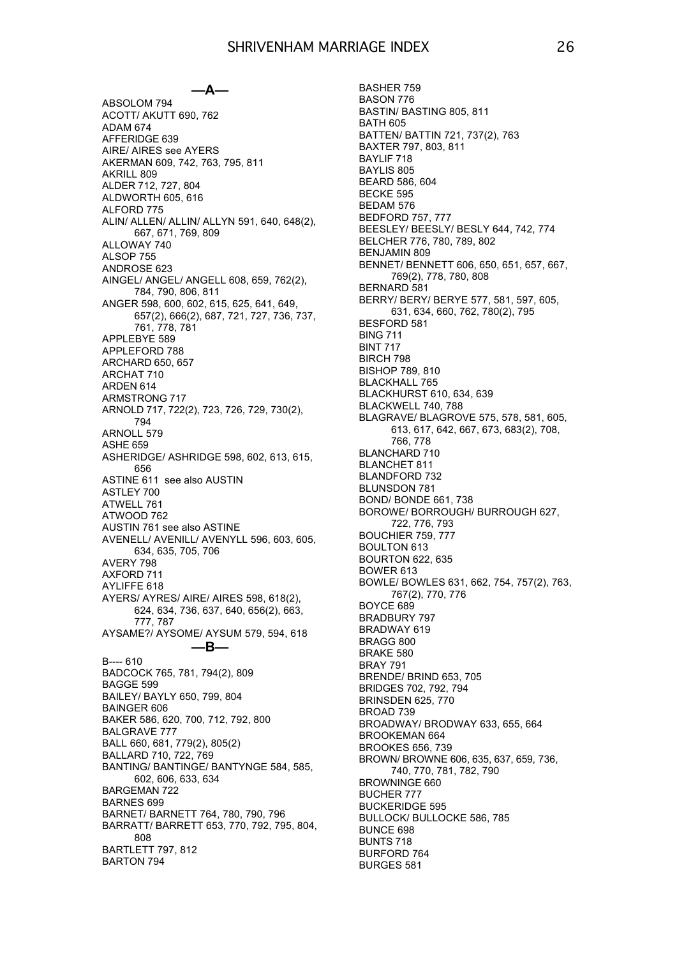#### **—A—**

ABSOLOM 794 ACOTT/ AKUTT 690, 762 ADAM 674 AFFERIDGE 639 AIRE/ AIRES see AYERS AKERMAN 609, 742, 763, 795, 811 AKRILL 809 ALDER 712, 727, 804 ALDWORTH 605, 616 ALFORD 775 ALIN/ ALLEN/ ALLIN/ ALLYN 591, 640, 648(2), 667, 671, 769, 809 ALLOWAY 740 ALSOP 755 ANDROSE 623 AINGEL/ ANGEL/ ANGELL 608, 659, 762(2), 784, 790, 806, 811 ANGER 598, 600, 602, 615, 625, 641, 649, 657(2), 666(2), 687, 721, 727, 736, 737, 761, 778, 781 APPLEBYE 589 APPLEFORD 788 ARCHARD 650, 657 ARCHAT 710 ARDEN 614 ARMSTRONG 717 ARNOLD 717, 722(2), 723, 726, 729, 730(2), 794 ARNOLL 579 ASHE 659 ASHERIDGE/ ASHRIDGE 598, 602, 613, 615, 656 ASTINE 611 see also AUSTIN ASTLEY 700 ATWELL 761 ATWOOD 762 AUSTIN 761 see also ASTINE AVENELL/ AVENILL/ AVENYLL 596, 603, 605, 634, 635, 705, 706 AVERY 798 AXFORD 711 AYLIFFE 618 AYERS/ AYRES/ AIRE/ AIRES 598, 618(2), 624, 634, 736, 637, 640, 656(2), 663, 777, 787 AYSAME?/ AYSOME/ AYSUM 579, 594, 618 **—B—** B---- 610 BADCOCK 765, 781, 794(2), 809 BAGGE 599 BAILEY/ BAYLY 650, 799, 804 BAINGER 606 BAKER 586, 620, 700, 712, 792, 800 BALGRAVE 777 BALL 660, 681, 779(2), 805(2) BALLARD 710, 722, 769 BANTING/ BANTINGE/ BANTYNGE 584, 585, 602, 606, 633, 634 BARGEMAN 722 BARNES 699 BARNET/ BARNETT 764, 780, 790, 796 BARRATT/ BARRETT 653, 770, 792, 795, 804, 808 BARTLETT 797, 812 BARTON 794

BASHER 759 BASON 776 BASTIN/ BASTING 805, 811 BATH 605 BATTEN/ BATTIN 721, 737(2), 763 BAXTER 797, 803, 811 BAYLIF 718 BAYLIS 805 BEARD 586, 604 BECKE 595 BEDAM 576 BEDFORD 757, 777 BEESLEY/ BEESLY/ BESLY 644, 742, 774 BELCHER 776, 780, 789, 802 BENJAMIN 809 BENNET/ BENNETT 606, 650, 651, 657, 667, 769(2), 778, 780, 808 BERNARD 581 BERRY/ BERY/ BERYE 577, 581, 597, 605, 631, 634, 660, 762, 780(2), 795 BESFORD 581 BING 711 BINT 717 BIRCH 798 BISHOP 789, 810 BLACKHALL 765 BLACKHURST 610, 634, 639 BLACKWELL 740, 788 BLAGRAVE/ BLAGROVE 575, 578, 581, 605, 613, 617, 642, 667, 673, 683(2), 708, 766, 778 BLANCHARD 710 BLANCHET 811 BLANDFORD 732 BLUNSDON 781 BOND/ BONDE 661, 738 BOROWE/ BORROUGH/ BURROUGH 627, 722, 776, 793 BOUCHIER 759, 777 BOULTON 613 BOURTON 622, 635 BOWER 613 BOWLE/ BOWLES 631, 662, 754, 757(2), 763, 767(2), 770, 776 BOYCE 689 BRADBURY 797 BRADWAY 619 BRAGG 800 BRAKE 580 BRAY 791 BRENDE/ BRIND 653, 705 BRIDGES 702, 792, 794 BRINSDEN 625, 770 BROAD 739 BROADWAY/ BRODWAY 633, 655, 664 BROOKEMAN 664 BROOKES 656, 739 BROWN/ BROWNE 606, 635, 637, 659, 736, 740, 770, 781, 782, 790 BROWNINGE 660 BUCHER 777 BUCKERIDGE 595 BULLOCK/ BULLOCKE 586, 785 BUNCE 698 BUNTS 718 BURFORD 764 BURGES 581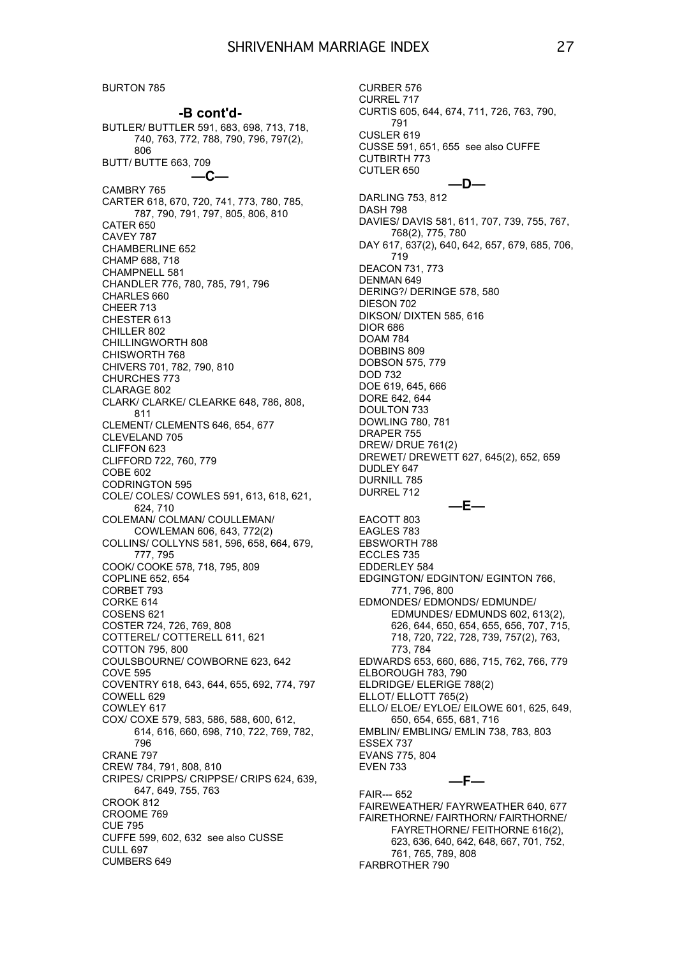BURTON 785

**-B cont'd-** BUTLER/ BUTTLER 591, 683, 698, 713, 718, 740, 763, 772, 788, 790, 796, 797(2), 806 BUTT/ BUTTE 663, 709 **—C—** CAMBRY 765 CARTER 618, 670, 720, 741, 773, 780, 785, 787, 790, 791, 797, 805, 806, 810 CATER 650 CAVEY 787 CHAMBERLINE 652 CHAMP 688, 718 CHAMPNELL 581 CHANDLER 776, 780, 785, 791, 796 CHARLES 660 CHEER 713 CHESTER 613 CHILLER 802 CHILLINGWORTH 808 CHISWORTH 768 CHIVERS 701, 782, 790, 810 CHURCHES 773 CLARAGE 802 CLARK/ CLARKE/ CLEARKE 648, 786, 808, 811 CLEMENT/ CLEMENTS 646, 654, 677 CLEVELAND 705 CLIFFON 623 CLIFFORD 722, 760, 779 COBE 602 CODRINGTON 595 COLE/ COLES/ COWLES 591, 613, 618, 621, 624, 710 COLEMAN/ COLMAN/ COULLEMAN/ COWLEMAN 606, 643, 772(2) COLLINS/ COLLYNS 581, 596, 658, 664, 679, 777, 795 COOK/ COOKE 578, 718, 795, 809 COPLINE 652, 654 CORBET 793 CORKE 614 COSENS 621 COSTER 724, 726, 769, 808 COTTEREL/ COTTERELL 611, 621 COTTON 795, 800 COULSBOURNE/ COWBORNE 623, 642 COVE 595 COVENTRY 618, 643, 644, 655, 692, 774, 797 COWELL 629 COWLEY 617 COX/ COXE 579, 583, 586, 588, 600, 612, 614, 616, 660, 698, 710, 722, 769, 782, 796 CRANE 797 CREW 784, 791, 808, 810 CRIPES/ CRIPPS/ CRIPPSE/ CRIPS 624, 639, 647, 649, 755, 763 CROOK 812 CROOME 769 CUE 795 CUFFE 599, 602, 632 see also CUSSE CULL 697 CUMBERS 649

CURBER 576 CURREL 717 CURTIS 605, 644, 674, 711, 726, 763, 790, 791 CUSLER 619 CUSSE 591, 651, 655 see also CUFFE CUTBIRTH 773 CUTLER 650 **—D—** DARLING 753, 812 DASH 798 DAVIES/ DAVIS 581, 611, 707, 739, 755, 767, 768(2), 775, 780 DAY 617, 637(2), 640, 642, 657, 679, 685, 706, 719 DEACON 731, 773 DENMAN 649 DERING?/ DERINGE 578, 580 DIESON 702 DIKSON/ DIXTEN 585, 616 DIOR 686 DOAM 784 DOBBINS 809 DOBSON 575, 779 DOD 732 DOE 619, 645, 666 DORE 642, 644 DOULTON 733 DOWLING 780, 781 DRAPER 755 DREW/ DRUE 761(2) DREWET/ DREWETT 627, 645(2), 652, 659 DUDLEY 647 DURNILL 785 DURREL 712 **—E—** EACOTT 803 EAGLES 783 EBSWORTH 788 ECCLES 735 EDDERLEY 584 EDGINGTON/ EDGINTON/ EGINTON 766, 771, 796, 800 EDMONDES/ EDMONDS/ EDMUNDE/ EDMUNDES/ EDMUNDS 602, 613(2), 626, 644, 650, 654, 655, 656, 707, 715, 718, 720, 722, 728, 739, 757(2), 763, 773, 784 EDWARDS 653, 660, 686, 715, 762, 766, 779 ELBOROUGH 783, 790 ELDRIDGE/ ELERIGE 788(2) ELLOT/ ELLOTT 765(2) ELLO/ ELOE/ EYLOE/ EILOWE 601, 625, 649, 650, 654, 655, 681, 716 EMBLIN/ EMBLING/ EMLIN 738, 783, 803 ESSEX 737 EVANS 775, 804 EVEN 733 **—F—** FAIR--- 652 FAIREWEATHER/ FAYRWEATHER 640, 677 FAIRETHORNE/ FAIRTHORN/ FAIRTHORNE/

FAYRETHORNE/ FEITHORNE 616(2), 623, 636, 640, 642, 648, 667, 701, 752, 761, 765, 789, 808 FARBROTHER 790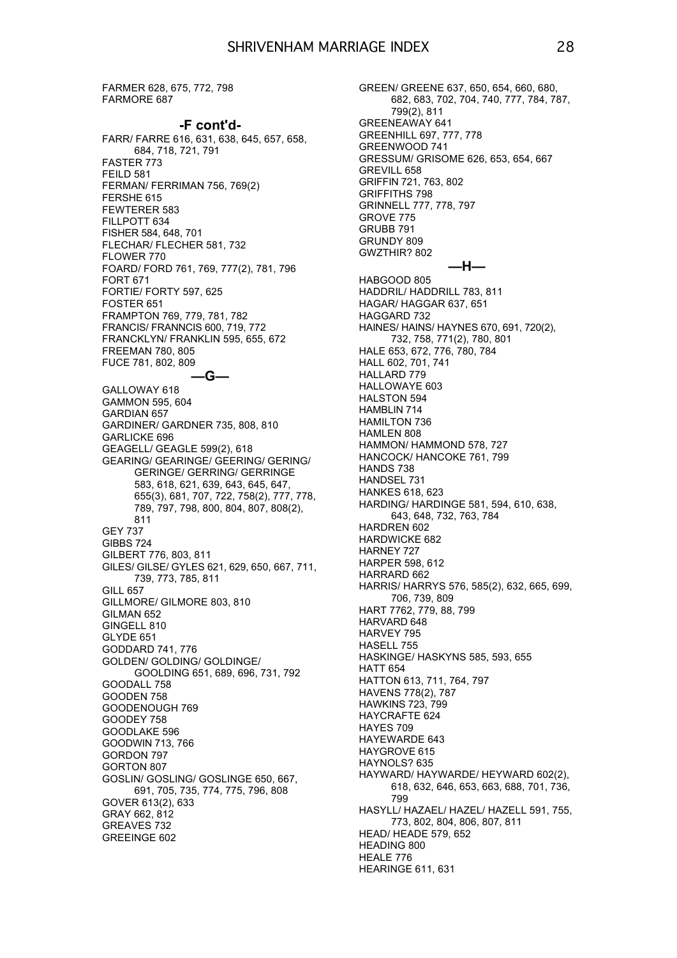FARMER 628, 675, 772, 798 FARMORE 687

#### **-F cont'd-**

FARR/ FARRE 616, 631, 638, 645, 657, 658, 684, 718, 721, 791 FASTER 773 **FFILD 581** FERMAN/ FERRIMAN 756, 769(2) FERSHE 615 FEWTERER 583 FILLPOTT 634 FISHER 584, 648, 701 FLECHAR/ FLECHER 581, 732 FLOWER 770 FOARD/ FORD 761, 769, 777(2), 781, 796 FORT 671 FORTIE/ FORTY 597, 625 FOSTER 651 FRAMPTON 769, 779, 781, 782 FRANCIS/ FRANNCIS 600, 719, 772 FRANCKLYN/ FRANKLIN 595, 655, 672 FREEMAN 780, 805 FUCE 781, 802, 809 **—G—** GALLOWAY 618 GAMMON 595, 604 GARDIAN 657 GARDINER/ GARDNER 735, 808, 810 GARLICKE 696 GEAGELL/ GEAGLE 599(2), 618 GEARING/ GEARINGE/ GEERING/ GERING/ GERINGE/ GERRING/ GERRINGE 583, 618, 621, 639, 643, 645, 647, 655(3), 681, 707, 722, 758(2), 777, 778, 789, 797, 798, 800, 804, 807, 808(2), 811 GEY 737 GIBBS 724 GILBERT 776, 803, 811 GILES/ GILSE/ GYLES 621, 629, 650, 667, 711, 739, 773, 785, 811 GILL 657 GILLMORE/ GILMORE 803, 810 GILMAN 652 GINGELL 810 GLYDE 651 GODDARD 741, 776 GOLDEN/ GOLDING/ GOLDINGE/ GOOLDING 651, 689, 696, 731, 792 GOODALL 758 GOODEN 758 GOODENOUGH 769 GOODEY 758 GOODLAKE 596 GOODWIN 713, 766 GORDON 797 GORTON 807 GOSLIN/ GOSLING/ GOSLINGE 650, 667, 691, 705, 735, 774, 775, 796, 808 GOVER 613(2), 633 GRAY 662, 812 GREAVES 732 GREEINGE 602

GREEN/ GREENE 637, 650, 654, 660, 680, 682, 683, 702, 704, 740, 777, 784, 787, 799(2), 811 GREENEAWAY 641 GREENHILL 697, 777, 778 GREENWOOD 741 GRESSUM/ GRISOME 626, 653, 654, 667 GREVILL 658 GRIFFIN 721, 763, 802 GRIFFITHS 798 GRINNELL 777, 778, 797 GROVE 775 GRUBB 791 GRUNDY 809 GWZTHIR? 802 **—H—** HABGOOD 805 HADDRIL/ HADDRILL 783, 811 HAGAR/ HAGGAR 637, 651 HAGGARD 732 HAINES/ HAINS/ HAYNES 670, 691, 720(2), 732, 758, 771(2), 780, 801 HALE 653, 672, 776, 780, 784 HALL 602, 701, 741 HALLARD 779 HALLOWAYE 603 HALSTON 594 HAMBLIN 714 HAMILTON 736 HAMLEN 808 HAMMON/ HAMMOND 578, 727 HANCOCK/ HANCOKE 761, 799 HANDS 738 HANDSEL 731 HANKES 618, 623 HARDING/ HARDINGE 581, 594, 610, 638, 643, 648, 732, 763, 784 HARDREN 602 HARDWICKE 682 HARNEY 727 HARPER 598, 612 HARRARD 662 HARRIS/ HARRYS 576, 585(2), 632, 665, 699, 706, 739, 809 HART 7762, 779, 88, 799 HARVARD 648 HARVEY 795 HASELL 755 HASKINGE/ HASKYNS 585, 593, 655 HATT 654 HATTON 613, 711, 764, 797 HAVENS 778(2), 787 HAWKINS 723, 799 HAYCRAFTE 624 HAYES 709 HAYEWARDE 643 HAYGROVE 615 HAYNOLS? 635 HAYWARD/ HAYWARDE/ HEYWARD 602(2), 618, 632, 646, 653, 663, 688, 701, 736, 799 HASYLL/ HAZAEL/ HAZEL/ HAZELL 591, 755, 773, 802, 804, 806, 807, 811 HEAD/ HEADE 579, 652 HEADING 800 HEALE 776 HEARINGE 611, 631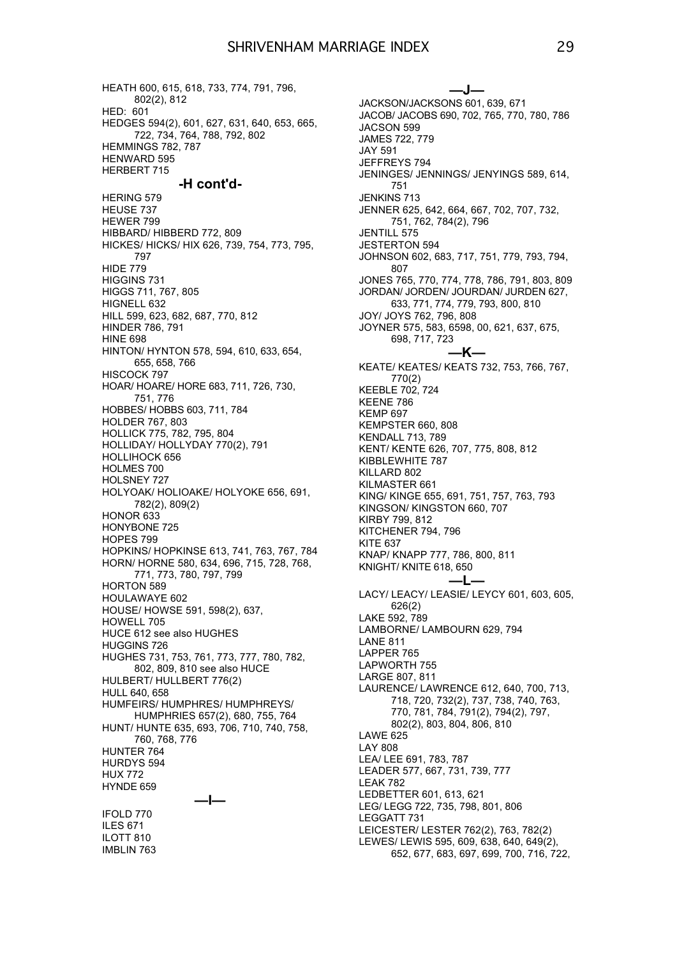HEATH 600, 615, 618, 733, 774, 791, 796, 802(2), 812 HED: 601 HEDGES 594(2), 601, 627, 631, 640, 653, 665, 722, 734, 764, 788, 792, 802 HEMMINGS 782, 787 HENWARD 595 HERBERT 715 **-H cont'd-** HERING 579 HEUSE 737 HEWER 799 HIBBARD/ HIBBERD 772, 809 HICKES/ HICKS/ HIX 626, 739, 754, 773, 795, 797 HIDE 779 HIGGINS 731 HIGGS 711, 767, 805 HIGNELL 632 HILL 599, 623, 682, 687, 770, 812 HINDER 786, 791 **HINE 698** HINTON/ HYNTON 578, 594, 610, 633, 654, 655, 658, 766 HISCOCK 797 HOAR/ HOARE/ HORE 683, 711, 726, 730, 751, 776 HOBBES/ HOBBS 603, 711, 784 HOLDER 767, 803 HOLLICK 775, 782, 795, 804 HOLLIDAY/ HOLLYDAY 770(2), 791 HOLLIHOCK 656 HOLMES 700 HOLSNEY 727 HOLYOAK/ HOLIOAKE/ HOLYOKE 656, 691, 782(2), 809(2) HONOR 633 HONYBONE 725 HOPES 799 HOPKINS/ HOPKINSE 613, 741, 763, 767, 784 HORN/ HORNE 580, 634, 696, 715, 728, 768, 771, 773, 780, 797, 799 HORTON 589 HOULAWAYE 602 HOUSE/ HOWSE 591, 598(2), 637, HOWELL 705 HUCE 612 see also HUGHES HUGGINS 726 HUGHES 731, 753, 761, 773, 777, 780, 782, 802, 809, 810 see also HUCE HULBERT/ HULLBERT 776(2) HULL 640, 658 HUMFEIRS/ HUMPHRES/ HUMPHREYS/ HUMPHRIES 657(2), 680, 755, 764 HUNT/ HUNTE 635, 693, 706, 710, 740, 758, 760, 768, 776 HUNTER 764 HURDYS 594 HUX 772 HYNDE 659 **—I—** IFOLD 770 ILES 671 ILOTT 810 IMBLIN 763

**—J—** JACKSON/JACKSONS 601, 639, 671 JACOB/ JACOBS 690, 702, 765, 770, 780, 786 JACSON 599 JAMES 722, 779 JAY 591 JEFFREYS 794 JENINGES/ JENNINGS/ JENYINGS 589, 614, 751 JENKINS 713 JENNER 625, 642, 664, 667, 702, 707, 732, 751, 762, 784(2), 796 JENTILL 575 JESTERTON 594 JOHNSON 602, 683, 717, 751, 779, 793, 794, 807 JONES 765, 770, 774, 778, 786, 791, 803, 809 JORDAN/ JORDEN/ JOURDAN/ JURDEN 627, 633, 771, 774, 779, 793, 800, 810 JOY/ JOYS 762, 796, 808 JOYNER 575, 583, 6598, 00, 621, 637, 675, 698, 717, 723 **—K—** KEATE/ KEATES/ KEATS 732, 753, 766, 767, 770(2) KEEBLE 702, 724 KEENE 786 KEMP 697 KEMPSTER 660, 808 KENDALL 713, 789 KENT/ KENTE 626, 707, 775, 808, 812 KIBBLEWHITE 787 KILLARD 802 KILMASTER 661 KING/ KINGE 655, 691, 751, 757, 763, 793 KINGSON/ KINGSTON 660, 707 KIRBY 799, 812 KITCHENER 794, 796 KITE 637 KNAP/ KNAPP 777, 786, 800, 811 KNIGHT/ KNITE 618, 650 **—L—** LACY/ LEACY/ LEASIE/ LEYCY 601, 603, 605, 626(2) LAKE 592, 789 LAMBORNE/ LAMBOURN 629, 794 LANE 811 LAPPER 765 LAPWORTH 755 LARGE 807, 811 LAURENCE/ LAWRENCE 612, 640, 700, 713, 718, 720, 732(2), 737, 738, 740, 763, 770, 781, 784, 791(2), 794(2), 797, 802(2), 803, 804, 806, 810 LAWE 625 LAY 808 LEA/ LEE 691, 783, 787 LEADER 577, 667, 731, 739, 777 LEAK 782 LEDBETTER 601, 613, 621 LEG/ LEGG 722, 735, 798, 801, 806 LEGGATT 731 LEICESTER/ LESTER 762(2), 763, 782(2) LEWES/ LEWIS 595, 609, 638, 640, 649(2), 652, 677, 683, 697, 699, 700, 716, 722,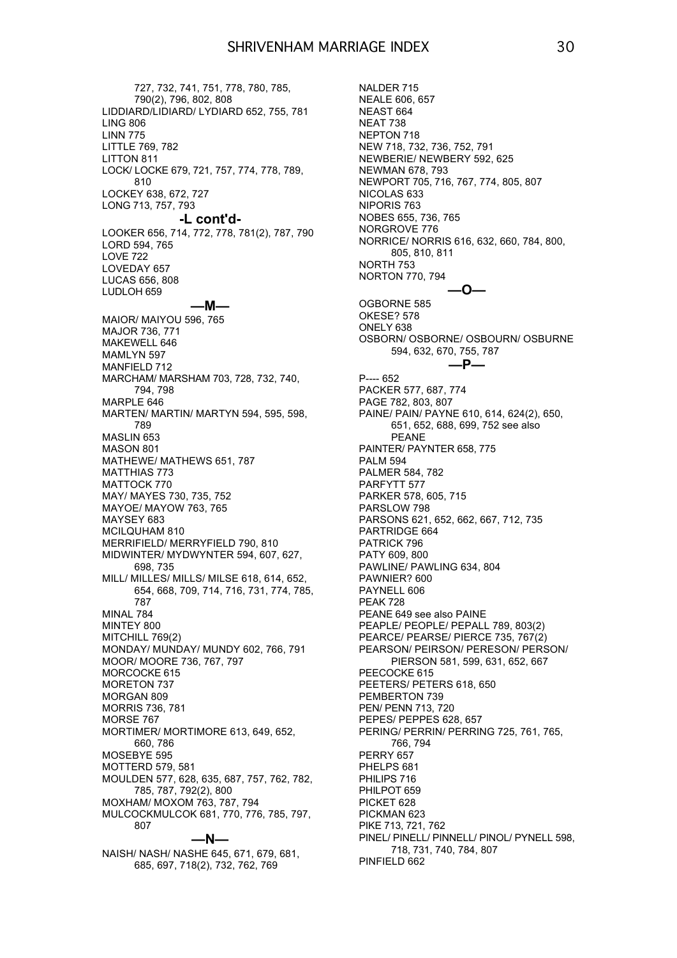727, 732, 741, 751, 778, 780, 785, 790(2), 796, 802, 808 LIDDIARD/LIDIARD/ LYDIARD 652, 755, 781 LING 806 LINN 775 LITTLE 769, 782 LITTON 811 LOCK/ LOCKE 679, 721, 757, 774, 778, 789, 810 LOCKEY 638, 672, 727 LONG 713, 757, 793 **-L cont'd-** LOOKER 656, 714, 772, 778, 781(2), 787, 790 LORD 594, 765 LOVE 722 LOVEDAY 657 LUCAS 656, 808 LUDLOH 659 **—M—** MAIOR/ MAIYOU 596, 765 MAJOR 736, 771 MAKEWELL 646 MAMLYN 597 MANFIELD 712 MARCHAM/ MARSHAM 703, 728, 732, 740, 794, 798 MARPLE 646 MARTEN/ MARTIN/ MARTYN 594, 595, 598, 789 MASLIN 653 MASON 801 MATHEWE/ MATHEWS 651, 787 MATTHIAS 773 MATTOCK 770 MAY/ MAYES 730, 735, 752 MAYOE/ MAYOW 763, 765 MAYSEY 683 MCILQUHAM 810 MERRIFIELD/ MERRYFIELD 790, 810 MIDWINTER/ MYDWYNTER 594, 607, 627, 698, 735 MILL/ MILLES/ MILLS/ MILSE 618, 614, 652, 654, 668, 709, 714, 716, 731, 774, 785, 787 MINAL 784 MINTEY 800 MITCHILL 769(2) MONDAY/ MUNDAY/ MUNDY 602, 766, 791 MOOR/ MOORE 736, 767, 797 MORCOCKE 615 MORETON 737 MORGAN 809 MORRIS 736, 781 MORSE 767 MORTIMER/ MORTIMORE 613, 649, 652, 660, 786 MOSEBYE 595 MOTTERD 579, 581 MOULDEN 577, 628, 635, 687, 757, 762, 782, 785, 787, 792(2), 800 MOXHAM/ MOXOM 763, 787, 794 MULCOCKMULCOK 681, 770, 776, 785, 797, 807 **—N—**

NAISH/ NASH/ NASHE 645, 671, 679, 681, 685, 697, 718(2), 732, 762, 769

NALDER 715 NEALE 606, 657 NEAST 664 NEAT 738 NEPTON 718 NEW 718, 732, 736, 752, 791 NEWBERIE/ NEWBERY 592, 625 NEWMAN 678, 793 NEWPORT 705, 716, 767, 774, 805, 807 NICOLAS 633 NIPORIS 763 NOBES 655, 736, 765 NORGROVE 776 NORRICE/ NORRIS 616, 632, 660, 784, 800, 805, 810, 811 NORTH 753 NORTON 770, 794 **—O—** OGBORNE 585 OKESE? 578 ONELY 638 OSBORN/ OSBORNE/ OSBOURN/ OSBURNE 594, 632, 670, 755, 787 **—P—** P---- 652 PACKER 577, 687, 774 PAGE 782, 803, 807 PAINE/ PAIN/ PAYNE 610, 614, 624(2), 650, 651, 652, 688, 699, 752 see also PEANE PAINTER/ PAYNTER 658, 775 PALM 594 PALMER 584, 782 PARFYTT 577 PARKER 578, 605, 715 PARSLOW 798 PARSONS 621, 652, 662, 667, 712, 735 PARTRIDGE 664 PATRICK 796 PATY 609, 800 PAWLINE/ PAWLING 634, 804 PAWNIER? 600 PAYNELL 606 PEAK 728 PEANE 649 see also PAINE PEAPLE/ PEOPLE/ PEPALL 789, 803(2) PEARCE/ PEARSE/ PIERCE 735, 767(2) PEARSON/ PEIRSON/ PERESON/ PERSON/ PIERSON 581, 599, 631, 652, 667 PEECOCKE 615 PEETERS/ PETERS 618, 650 PEMBERTON 739 PEN/ PENN 713, 720 PEPES/ PEPPES 628, 657 PERING/ PERRIN/ PERRING 725, 761, 765, 766, 794 PERRY 657 PHELPS 681 PHILIPS 716 PHILPOT 659 PICKET 628 PICKMAN 623 PIKE 713, 721, 762 PINEL/ PINELL/ PINNELL/ PINOL/ PYNELL 598, 718, 731, 740, 784, 807 PINFIELD 662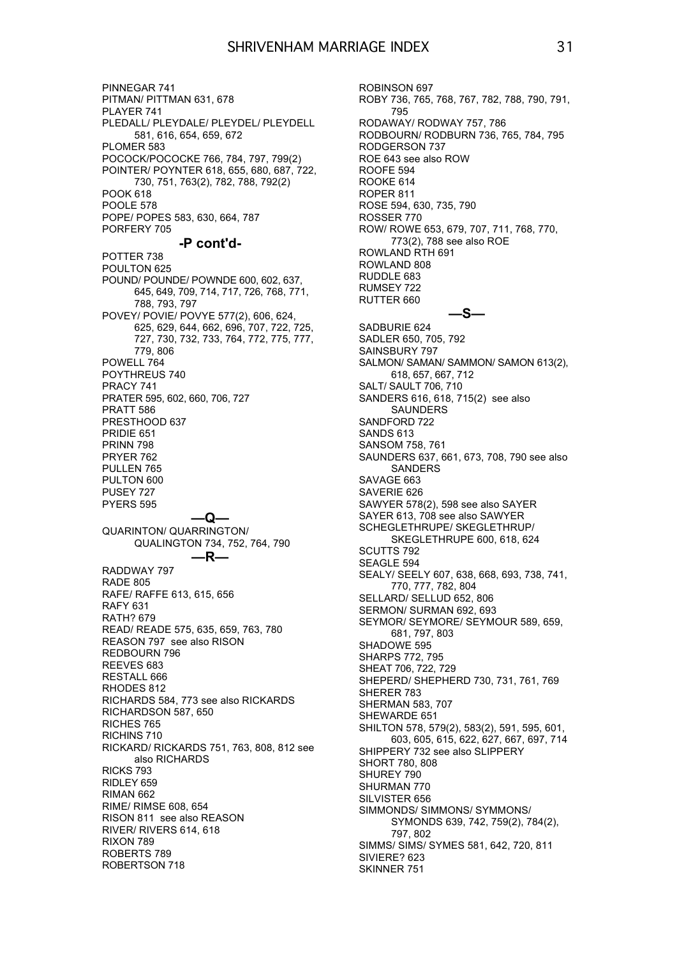PINNEGAR 741 PITMAN/ PITTMAN 631, 678 PLAYER 741 PLEDALL/ PLEYDALE/ PLEYDEL/ PLEYDELL 581, 616, 654, 659, 672 PLOMER 583 POCOCK/POCOCKE 766, 784, 797, 799(2) POINTER/ POYNTER 618, 655, 680, 687, 722, 730, 751, 763(2), 782, 788, 792(2) POOK 618 POOLE 578 POPE/ POPES 583, 630, 664, 787 PORFERY 705 **-P cont'd-** POTTER 738 POULTON 625 POUND/ POUNDE/ POWNDE 600, 602, 637, 645, 649, 709, 714, 717, 726, 768, 771, 788, 793, 797 POVEY/ POVIE/ POVYE 577(2), 606, 624, 625, 629, 644, 662, 696, 707, 722, 725, 727, 730, 732, 733, 764, 772, 775, 777, 779, 806 POWELL 764 POYTHREUS 740 PRACY 741 PRATER 595, 602, 660, 706, 727 PRATT 586 PRESTHOOD 637 PRIDIE 651 PRINN 798 PRYER 762 PULLEN 765 PULTON 600 PUSEY 727 PYERS 595 **—Q—** QUARINTON/ QUARRINGTON/ QUALINGTON 734, 752, 764, 790 **—R—** RADDWAY 797 RADE 805 RAFE/ RAFFE 613, 615, 656 RAFY 631 RATH? 679 READ/ READE 575, 635, 659, 763, 780 REASON 797 see also RISON REDBOURN 796 REEVES 683 RESTALL 666 RHODES 812 RICHARDS 584, 773 see also RICKARDS RICHARDSON 587, 650 RICHES 765 RICHINS 710 RICKARD/ RICKARDS 751, 763, 808, 812 see also RICHARDS RICKS 793 RIDLEY 659 RIMAN 662 RIME/ RIMSE 608, 654 RISON 811 see also REASON RIVER/ RIVERS 614, 618 RIXON 789 ROBERTS 789 ROBERTSON 718

ROBINSON 697 ROBY 736, 765, 768, 767, 782, 788, 790, 791, 795 RODAWAY/ RODWAY 757, 786 RODBOURN/ RODBURN 736, 765, 784, 795 RODGERSON 737 ROE 643 see also ROW ROOFE 594 ROOKE 614 ROPER 811 ROSE 594, 630, 735, 790 ROSSER 770 ROW/ ROWE 653, 679, 707, 711, 768, 770, 773(2), 788 see also ROE ROWLAND RTH 691 ROWLAND 808 RUDDLE 683 RUMSEY 722 RUTTER 660 **—S—** SADBURIE 624 SADLER 650, 705, 792 SAINSBURY 797 SALMON/ SAMAN/ SAMMON/ SAMON 613(2), 618, 657, 667, 712 SALT/ SAULT 706, 710 SANDERS 616, 618, 715(2) see also SAUNDERS SANDFORD 722 SANDS 613 SANSOM 758, 761 SAUNDERS 637, 661, 673, 708, 790 see also SANDERS SAVAGE 663 SAVERIE 626 SAWYER 578(2), 598 see also SAYER SAYER 613, 708 see also SAWYER SCHEGLETHRUPE/ SKEGLETHRUP/ SKEGLETHRUPE 600, 618, 624 SCUTTS 792 SEAGLE 594 SEALY/ SEELY 607, 638, 668, 693, 738, 741, 770, 777, 782, 804 SELLARD/ SELLUD 652, 806 SERMON/ SURMAN 692, 693 SEYMOR/ SEYMORE/ SEYMOUR 589, 659, 681, 797, 803 SHADOWE 595 SHARPS 772, 795 SHEAT 706, 722, 729 SHEPERD/ SHEPHERD 730, 731, 761, 769 SHERER 783 SHERMAN 583, 707 SHEWARDE 651 SHILTON 578, 579(2), 583(2), 591, 595, 601, 603, 605, 615, 622, 627, 667, 697, 714 SHIPPERY 732 see also SLIPPERY SHORT 780, 808 SHUREY 790 SHURMAN 770 SILVISTER 656 SIMMONDS/ SIMMONS/ SYMMONS/ SYMONDS 639, 742, 759(2), 784(2), 797, 802 SIMMS/ SIMS/ SYMES 581, 642, 720, 811 SIVIERE? 623 SKINNER 751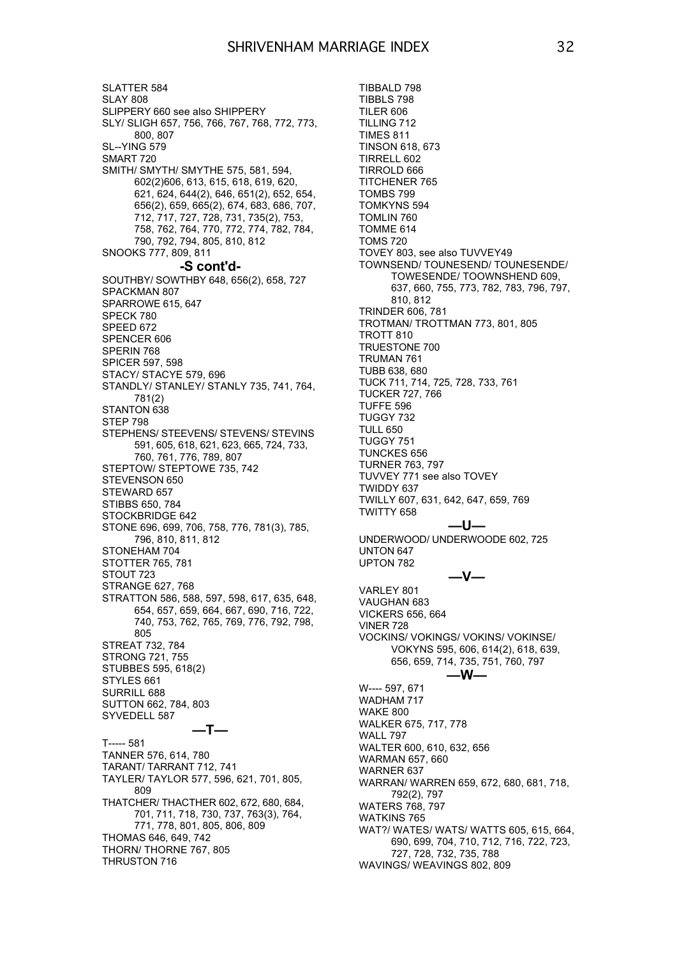SLATTER 584 SLAY 808 SLIPPERY 660 see also SHIPPERY SLY/ SLIGH 657, 756, 766, 767, 768, 772, 773, 800, 807 SL--YING 579 SMART 720 SMITH/ SMYTH/ SMYTHE 575, 581, 594, 602(2)606, 613, 615, 618, 619, 620, 621, 624, 644(2), 646, 651(2), 652, 654, 656(2), 659, 665(2), 674, 683, 686, 707, 712, 717, 727, 728, 731, 735(2), 753, 758, 762, 764, 770, 772, 774, 782, 784, 790, 792, 794, 805, 810, 812 SNOOKS 777, 809, 811 **-S cont'd-** SOUTHBY/ SOWTHBY 648, 656(2), 658, 727 SPACKMAN 807 SPARROWE 615, 647 SPECK 780 SPEED 672 SPENCER 606 SPERIN 768 SPICER 597, 598 STACY/ STACYE 579, 696 STANDLY/ STANLEY/ STANLY 735, 741, 764, 781(2) STANTON<sub>638</sub> STEP 798 STEPHENS/ STEEVENS/ STEVENS/ STEVINS 591, 605, 618, 621, 623, 665, 724, 733, 760, 761, 776, 789, 807 STEPTOW/ STEPTOWE 735, 742 STEVENSON 650 STEWARD 657 STIBBS 650, 784 STOCKBRIDGE 642 STONE 696, 699, 706, 758, 776, 781(3), 785, 796, 810, 811, 812 STONEHAM 704 STOTTER 765, 781 STOUT 723 STRANGE 627, 768 STRATTON 586, 588, 597, 598, 617, 635, 648, 654, 657, 659, 664, 667, 690, 716, 722, 740, 753, 762, 765, 769, 776, 792, 798, 805 STREAT 732, 784 STRONG 721, 755 STUBBES 595, 618(2) STYLES 661 SURRILL 688 SUTTON 662, 784, 803 SYVEDELL 587 **—T—** T----- 581 TANNER 576, 614, 780 TARANT/ TARRANT 712, 741 TAYLER/ TAYLOR 577, 596, 621, 701, 805, 809 THATCHER/ THACTHER 602, 672, 680, 684, 701, 711, 718, 730, 737, 763(3), 764, 771, 778, 801, 805, 806, 809 THOMAS 646, 649, 742 THORN/ THORNE 767, 805 THRUSTON 716

TIBBALD 798 TIBBLS 798 TILER 606 TILLING 712 TIMES 811 TINSON 618, 673 TIRRELL 602 TIRROLD 666 TITCHENER 765 TOMBS 799 TOMKYNS 594 TOMLIN 760 TOMME 614 TOMS 720 TOVEY 803, see also TUVVEY49 TOWNSEND/ TOUNESEND/ TOUNESENDE/ TOWESENDE/ TOOWNSHEND 609, 637, 660, 755, 773, 782, 783, 796, 797, 810, 812 TRINDER 606, 781 TROTMAN/ TROTTMAN 773, 801, 805 TROTT 810 TRUESTONE 700 TRUMAN 761 TUBB 638, 680 TUCK 711, 714, 725, 728, 733, 761 TUCKER 727, 766 TUFFE 596 TUGGY 732 TULL 650 TUGGY 751 TUNCKES 656 TURNER 763, 797 TUVVEY 771 see also TOVEY TWIDDY 637 TWILLY 607, 631, 642, 647, 659, 769 TWITTY 658 **—U—** UNDERWOOD/ UNDERWOODE 602, 725 UNTON 647 UPTON 782 **—V—** VARLEY 801 VAUGHAN 683 VICKERS 656, 664 VINER 728 VOCKINS/ VOKINGS/ VOKINS/ VOKINSE/ VOKYNS 595, 606, 614(2), 618, 639, 656, 659, 714, 735, 751, 760, 797 **—W—** W---- 597, 671 WADHAM 717 WAKE 800 WALKER 675, 717, 778 WALL 797 WALTER 600, 610, 632, 656 WARMAN 657, 660 WARNER 637 WARRAN/ WARREN 659, 672, 680, 681, 718, 792(2), 797 WATERS 768, 797 WATKINS 765 WAT?/ WATES/ WATS/ WATTS 605, 615, 664, 690, 699, 704, 710, 712, 716, 722, 723, 727, 728, 732, 735, 788 WAVINGS/ WEAVINGS 802, 809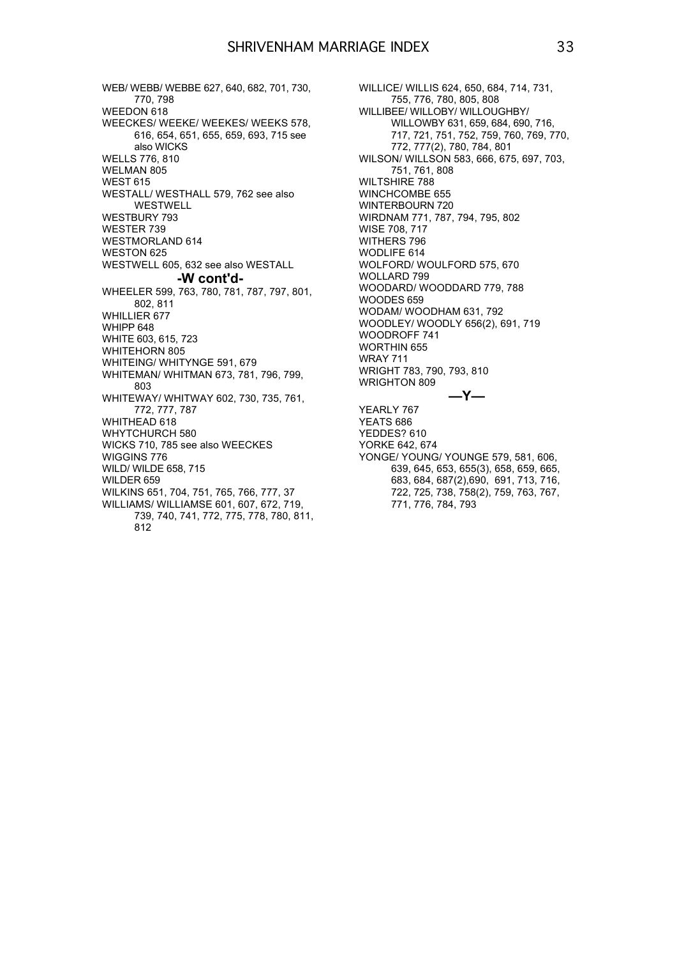WEB/ WEBB/ WEBBE 627, 640, 682, 701, 730, 770, 798 WEEDON 618 WEECKES/ WEEKE/ WEEKES/ WEEKS 578, 616, 654, 651, 655, 659, 693, 715 see also WICKS WELLS 776, 810 WELMAN 805 WEST 615 WESTALL/ WESTHALL 579, 762 see also WESTWELL WESTBURY 793 WESTER 739 WESTMORLAND 614 WESTON 625 WESTWELL 605, 632 see also WESTALL **-W cont'd-** WHEELER 599, 763, 780, 781, 787, 797, 801, 802, 811 WHILLIER 677 WHIPP 648 WHITE 603, 615, 723 WHITEHORN 805 WHITEING/ WHITYNGE 591, 679 WHITEMAN/ WHITMAN 673, 781, 796, 799, 803 WHITEWAY/ WHITWAY 602, 730, 735, 761, 772, 777, 787 WHITHEAD 618 WHYTCHURCH 580 WICKS 710, 785 see also WEECKES WIGGINS 776 WILD/ WILDE 658, 715 WILDER 659 WILKINS 651, 704, 751, 765, 766, 777, 37 WILLIAMS/ WILLIAMSE 601, 607, 672, 719, 739, 740, 741, 772, 775, 778, 780, 811, 812

WILLICE/ WILLIS 624, 650, 684, 714, 731, 755, 776, 780, 805, 808 WILLIBEE/ WILLOBY/ WILLOUGHBY/ WILLOWBY 631, 659, 684, 690, 716, 717, 721, 751, 752, 759, 760, 769, 770, 772, 777(2), 780, 784, 801 WILSON/ WILLSON 583, 666, 675, 697, 703, 751, 761, 808 WILTSHIRE 788 WINCHCOMBE 655 WINTERBOURN 720 WIRDNAM 771, 787, 794, 795, 802 WISE 708, 717 WITHERS 796 WODLIFE 614 WOLFORD/ WOULFORD 575, 670 WOLLARD 799 WOODARD/ WOODDARD 779, 788 WOODES 659 WODAM/ WOODHAM 631, 792 WOODLEY/ WOODLY 656(2), 691, 719 WOODROFF 741 WORTHIN 655 WRAY 711 WRIGHT 783, 790, 793, 810 WRIGHTON 809 **—Y—** YEARLY 767 YEATS 686 YEDDES? 610 YORKE 642, 674 YONGE/ YOUNG/ YOUNGE 579, 581, 606, 639, 645, 653, 655(3), 658, 659, 665, 683, 684, 687(2),690, 691, 713, 716, 722, 725, 738, 758(2), 759, 763, 767,

771, 776, 784, 793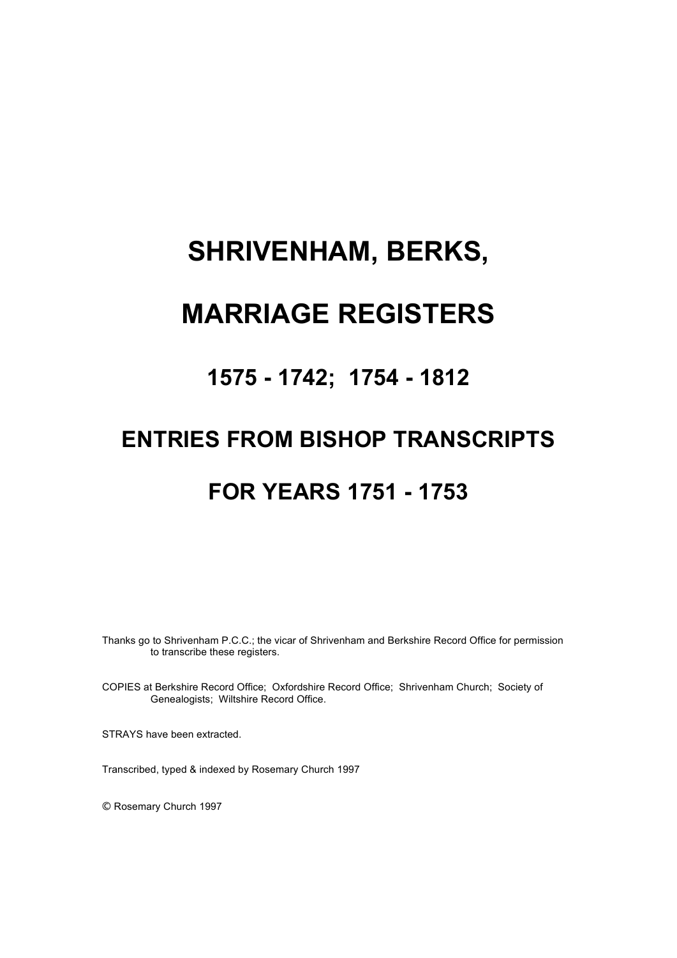# **SHRIVENHAM, BERKS,**

# **MARRIAGE REGISTERS**

## **1575 - 1742; 1754 - 1812**

# **ENTRIES FROM BISHOP TRANSCRIPTS**

## **FOR YEARS 1751 - 1753**

Thanks go to Shrivenham P.C.C.; the vicar of Shrivenham and Berkshire Record Office for permission to transcribe these registers.

COPIES at Berkshire Record Office; Oxfordshire Record Office; Shrivenham Church; Society of Genealogists; Wiltshire Record Office.

STRAYS have been extracted.

Transcribed, typed & indexed by Rosemary Church 1997

© Rosemary Church 1997